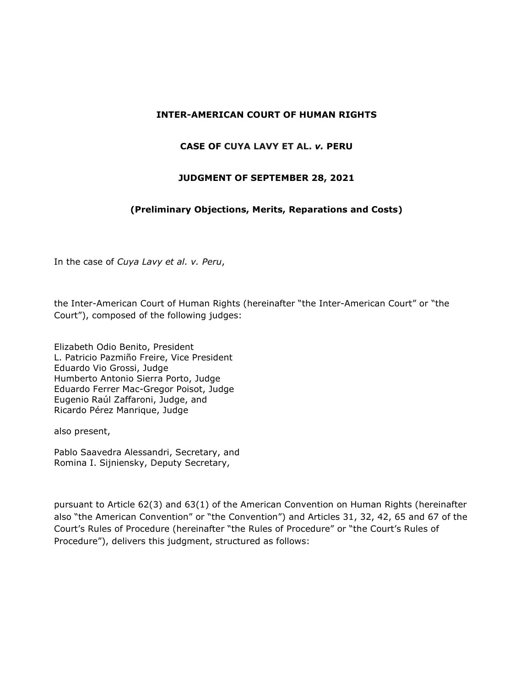# **INTER-AMERICAN COURT OF HUMAN RIGHTS**

#### **CASE OF CUYA LAVY ET AL.** *v.* **PERU**

#### **JUDGMENT OF SEPTEMBER 28, 2021**

# **(Preliminary Objections, Merits, Reparations and Costs)**

In the case of *Cuya Lavy et al. v. Peru*,

the Inter-American Court of Human Rights (hereinafter "the Inter-American Court" or "the Court"), composed of the following judges:

Elizabeth Odio Benito, President L. Patricio Pazmiño Freire, Vice President Eduardo Vio Grossi, Judge Humberto Antonio Sierra Porto, Judge Eduardo Ferrer Mac-Gregor Poisot, Judge Eugenio Raúl Zaffaroni, Judge, and Ricardo Pérez Manrique, Judge

also present,

Pablo Saavedra Alessandri, Secretary, and Romina I. Sijniensky, Deputy Secretary,

pursuant to Article 62(3) and 63(1) of the American Convention on Human Rights (hereinafter also "the American Convention" or "the Convention") and Articles 31, 32, 42, 65 and 67 of the Court's Rules of Procedure (hereinafter "the Rules of Procedure" or "the Court's Rules of Procedure"), delivers this judgment, structured as follows: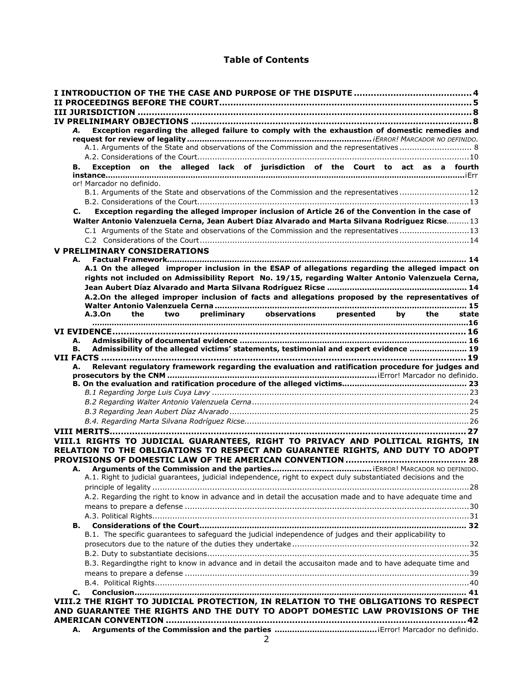# **Table of Contents**

| А.                                                                                 |                           |  |  | Exception regarding the alleged failure to comply with the exhaustion of domestic remedies and                 |  |  |  |       |
|------------------------------------------------------------------------------------|---------------------------|--|--|----------------------------------------------------------------------------------------------------------------|--|--|--|-------|
|                                                                                    |                           |  |  |                                                                                                                |  |  |  |       |
|                                                                                    |                           |  |  | A.1. Arguments of the State and observations of the Commission and the representatives  8                      |  |  |  |       |
|                                                                                    |                           |  |  |                                                                                                                |  |  |  |       |
| В.                                                                                 |                           |  |  | Exception on the alleged lack of jurisdiction of the Court to act as a fourth                                  |  |  |  |       |
|                                                                                    |                           |  |  |                                                                                                                |  |  |  |       |
|                                                                                    | or! Marcador no definido. |  |  |                                                                                                                |  |  |  |       |
|                                                                                    |                           |  |  | B.1. Arguments of the State and observations of the Commission and the representatives12                       |  |  |  |       |
|                                                                                    |                           |  |  |                                                                                                                |  |  |  |       |
| C.                                                                                 |                           |  |  | Exception regarding the alleged improper inclusion of Article 26 of the Convention in the case of              |  |  |  |       |
|                                                                                    |                           |  |  | Walter Antonio Valenzuela Cerna, Jean Aubert Díaz Alvarado and Marta Silvana Rodríguez Ricse 13                |  |  |  |       |
|                                                                                    |                           |  |  | C.1 Arguments of the State and observations of the Commission and the representatives 13                       |  |  |  |       |
|                                                                                    |                           |  |  |                                                                                                                |  |  |  |       |
| <b>V PRELIMINARY CONSIDERATIONS</b>                                                |                           |  |  |                                                                                                                |  |  |  |       |
| А.                                                                                 |                           |  |  |                                                                                                                |  |  |  |       |
|                                                                                    |                           |  |  | A.1 On the alleged improper inclusion in the ESAP of allegations regarding the alleged impact on               |  |  |  |       |
|                                                                                    |                           |  |  | rights not included on Admissibility Report No. 19/15, regarding Walter Antonio Valenzuela Cerna,              |  |  |  |       |
|                                                                                    |                           |  |  |                                                                                                                |  |  |  |       |
|                                                                                    |                           |  |  | A.2.On the alleged improper inclusion of facts and allegations proposed by the representatives of              |  |  |  |       |
|                                                                                    |                           |  |  |                                                                                                                |  |  |  |       |
|                                                                                    |                           |  |  | A.3.On the two preliminary observations presented by the                                                       |  |  |  | state |
|                                                                                    |                           |  |  |                                                                                                                |  |  |  |       |
|                                                                                    |                           |  |  |                                                                                                                |  |  |  |       |
| А.                                                                                 |                           |  |  |                                                                                                                |  |  |  |       |
| В.                                                                                 |                           |  |  | Admissibility of the alleged victims' statements, testimonial and expert evidence  19                          |  |  |  |       |
|                                                                                    |                           |  |  |                                                                                                                |  |  |  |       |
| А.                                                                                 |                           |  |  |                                                                                                                |  |  |  |       |
|                                                                                    |                           |  |  |                                                                                                                |  |  |  |       |
|                                                                                    |                           |  |  | Relevant regulatory framework regarding the evaluation and ratification procedure for judges and               |  |  |  |       |
|                                                                                    |                           |  |  |                                                                                                                |  |  |  |       |
|                                                                                    |                           |  |  |                                                                                                                |  |  |  |       |
|                                                                                    |                           |  |  |                                                                                                                |  |  |  |       |
|                                                                                    |                           |  |  |                                                                                                                |  |  |  |       |
|                                                                                    |                           |  |  |                                                                                                                |  |  |  |       |
|                                                                                    |                           |  |  |                                                                                                                |  |  |  |       |
|                                                                                    |                           |  |  |                                                                                                                |  |  |  |       |
| VIII.1 RIGHTS TO JUDICIAL GUARANTEES, RIGHT TO PRIVACY AND POLITICAL RIGHTS, IN    |                           |  |  |                                                                                                                |  |  |  |       |
| RELATION TO THE OBLIGATIONS TO RESPECT AND GUARANTEE RIGHTS, AND DUTY TO ADOPT     |                           |  |  |                                                                                                                |  |  |  |       |
|                                                                                    |                           |  |  |                                                                                                                |  |  |  |       |
| А.                                                                                 |                           |  |  |                                                                                                                |  |  |  |       |
|                                                                                    |                           |  |  | A.1. Right to judicial guarantees, judicial independence, right to expect duly substantiated decisions and the |  |  |  |       |
|                                                                                    |                           |  |  |                                                                                                                |  |  |  |       |
|                                                                                    |                           |  |  | A.2. Regarding the right to know in advance and in detail the accusation made and to have adequate time and    |  |  |  |       |
|                                                                                    |                           |  |  |                                                                                                                |  |  |  |       |
|                                                                                    |                           |  |  |                                                                                                                |  |  |  |       |
| В.                                                                                 |                           |  |  |                                                                                                                |  |  |  |       |
|                                                                                    |                           |  |  |                                                                                                                |  |  |  |       |
|                                                                                    |                           |  |  | B.1. The specific guarantees to safeguard the judicial independence of judges and their applicability to       |  |  |  |       |
|                                                                                    |                           |  |  |                                                                                                                |  |  |  |       |
|                                                                                    |                           |  |  |                                                                                                                |  |  |  |       |
|                                                                                    |                           |  |  | B.3. Regardingthe right to know in advance and in detail the accusaiton made and to have adequate time and     |  |  |  |       |
|                                                                                    |                           |  |  |                                                                                                                |  |  |  |       |
|                                                                                    |                           |  |  |                                                                                                                |  |  |  |       |
| С.                                                                                 |                           |  |  |                                                                                                                |  |  |  |       |
| VIII.2 THE RIGHT TO JUDICIAL PROTECTION, IN RELATION TO THE OBLIGATIONS TO RESPECT |                           |  |  |                                                                                                                |  |  |  |       |
| AND GUARANTEE THE RIGHTS AND THE DUTY TO ADOPT DOMESTIC LAW PROVISIONS OF THE      |                           |  |  |                                                                                                                |  |  |  |       |
| А.                                                                                 |                           |  |  |                                                                                                                |  |  |  |       |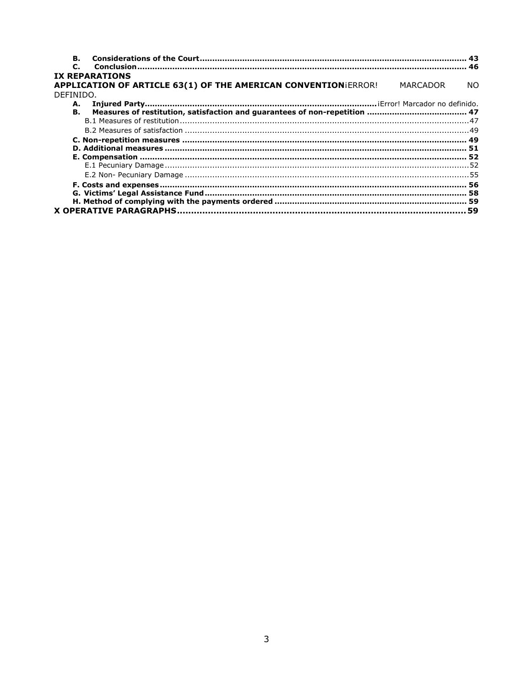| В.                                                             |          |           |
|----------------------------------------------------------------|----------|-----------|
| $\mathbf{C}$                                                   |          |           |
| <b>IX REPARATIONS</b>                                          |          |           |
| APPLICATION OF ARTICLE 63(1) OF THE AMERICAN CONVENTIONIERROR! | MARCADOR | <b>NO</b> |
| DEFINIDO.                                                      |          |           |
| А.                                                             |          |           |
| В.                                                             |          |           |
|                                                                |          |           |
|                                                                |          |           |
|                                                                |          |           |
|                                                                |          |           |
|                                                                |          |           |
|                                                                |          |           |
|                                                                |          |           |
|                                                                |          |           |
|                                                                |          |           |
|                                                                |          |           |
|                                                                |          |           |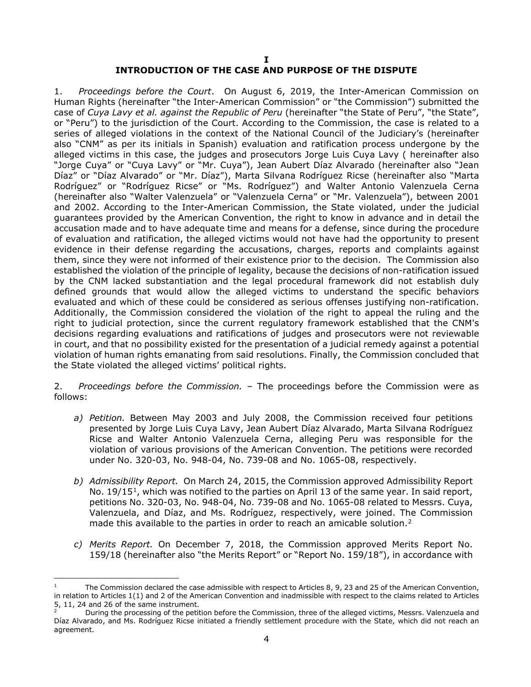# **INTRODUCTION OF THE CASE AND PURPOSE OF THE DISPUTE**

<span id="page-3-0"></span>1. *Proceedings before the Court*. On August 6, 2019, the Inter-American Commission on Human Rights (hereinafter "the Inter-American Commission" or "the Commission") submitted the case of *Cuya Lavy et al. against the Republic of Peru* (hereinafter "the State of Peru", "the State", or "Peru") to the jurisdiction of the Court. According to the Commission, the case is related to a series of alleged violations in the context of the National Council of the Judiciary's (hereinafter also "CNM" as per its initials in Spanish) evaluation and ratification process undergone by the alleged victims in this case, the judges and prosecutors Jorge Luis Cuya Lavy ( hereinafter also "Jorge Cuya" or "Cuya Lavy" or "Mr. Cuya"), Jean Aubert Díaz Alvarado (hereinafter also "Jean Díaz" or "Díaz Alvarado" or "Mr. Díaz"), Marta Silvana Rodríguez Ricse (hereinafter also "Marta Rodríguez" or "Rodríguez Ricse" or "Ms. Rodríguez") and Walter Antonio Valenzuela Cerna (hereinafter also "Walter Valenzuela" or "Valenzuela Cerna" or "Mr. Valenzuela"), between 2001 and 2002. According to the Inter-American Commission, the State violated, under the judicial guarantees provided by the American Convention, the right to know in advance and in detail the accusation made and to have adequate time and means for a defense, since during the procedure of evaluation and ratification, the alleged victims would not have had the opportunity to present evidence in their defense regarding the accusations, charges, reports and complaints against them, since they were not informed of their existence prior to the decision. The Commission also established the violation of the principle of legality, because the decisions of non-ratification issued by the CNM lacked substantiation and the legal procedural framework did not establish duly defined grounds that would allow the alleged victims to understand the specific behaviors evaluated and which of these could be considered as serious offenses justifying non-ratification. Additionally, the Commission considered the violation of the right to appeal the ruling and the right to judicial protection, since the current regulatory framework established that the CNM's decisions regarding evaluations and ratifications of judges and prosecutors were not reviewable in court, and that no possibility existed for the presentation of a judicial remedy against a potential violation of human rights emanating from said resolutions. Finally, the Commission concluded that the State violated the alleged victims' political rights.

2. *Proceedings before the Commission. –* The proceedings before the Commission were as follows:

- *a) Petition.* Between May 2003 and July 2008, the Commission received four petitions presented by Jorge Luis Cuya Lavy, Jean Aubert Díaz Alvarado, Marta Silvana Rodríguez Ricse and Walter Antonio Valenzuela Cerna, alleging Peru was responsible for the violation of various provisions of the American Convention. The petitions were recorded under No. 320-03, No. 948-04, No. 739-08 and No. 1065-08, respectively.
- *b) Admissibility Report.* On March 24, 2015, the Commission approved Admissibility Report No.  $19/15<sup>1</sup>$ , which was notified to the parties on April 13 of the same year. In said report, petitions No. 320-03, No. 948-04, No. 739-08 and No. 1065-08 related to Messrs. Cuya, Valenzuela, and Díaz, and Ms. Rodríguez, respectively, were joined. The Commission made this available to the parties in order to reach an amicable solution.<sup>[2](#page-3-2)</sup>
- *c) Merits Report.* On December 7, 2018, the Commission approved Merits Report No. 159/18 (hereinafter also "the Merits Report" or "Report No. 159/18"), in accordance with

<span id="page-3-1"></span>The Commission declared the case admissible with respect to Articles 8, 9, 23 and 25 of the American Convention, in relation to Articles 1(1) and 2 of the American Convention and inadmissible with respect to the claims related to Articles 5, 11, 24 and 26 of the same instrument.<br><sup>2</sup> During the processing of the petition before the Commission, three of the alleged victims, Messrs. Valenzuela and

<span id="page-3-2"></span>Díaz Alvarado, and Ms. Rodríguez Ricse initiated a friendly settlement procedure with the State, which did not reach an agreement.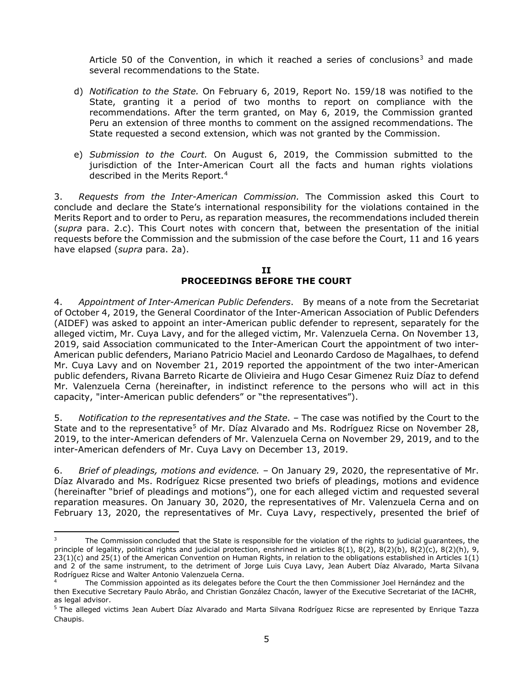Article 50 of the Convention, in which it reached a series of conclusions<sup>[3](#page-4-1)</sup> and made several recommendations to the State.

- d) *Notification to the State.* On February 6, 2019, Report No. 159/18 was notified to the State, granting it a period of two months to report on compliance with the recommendations. After the term granted, on May 6, 2019, the Commission granted Peru an extension of three months to comment on the assigned recommendations. The State requested a second extension, which was not granted by the Commission.
- e) *Submission to the Court.* On August 6, 2019, the Commission submitted to the jurisdiction of the Inter-American Court all the facts and human rights violations described in the Merits Report.[4](#page-4-2)

3. *Requests from the Inter-American Commission.* The Commission asked this Court to conclude and declare the State's international responsibility for the violations contained in the Merits Report and to order to Peru, as reparation measures, the recommendations included therein (*supra* para. 2.c). This Court notes with concern that, between the presentation of the initial requests before the Commission and the submission of the case before the Court, 11 and 16 years have elapsed (*supra* para. 2a).

#### **II PROCEEDINGS BEFORE THE COURT**

<span id="page-4-0"></span>4. *Appointment of Inter-American Public Defenders*. By means of a note from the Secretariat of October 4, 2019, the General Coordinator of the Inter-American Association of Public Defenders (AIDEF) was asked to appoint an inter-American public defender to represent, separately for the alleged victim, Mr. Cuya Lavy, and for the alleged victim, Mr. Valenzuela Cerna. On November 13, 2019, said Association communicated to the Inter-American Court the appointment of two inter-American public defenders, Mariano Patricio Maciel and Leonardo Cardoso de Magalhaes, to defend Mr. Cuya Lavy and on November 21, 2019 reported the appointment of the two inter-American public defenders, Rivana Barreto Ricarte de Olivieira and Hugo Cesar Gimenez Ruiz Díaz to defend Mr. Valenzuela Cerna (hereinafter, in indistinct reference to the persons who will act in this capacity, "inter-American public defenders" or "the representatives").

5. *Notification to the representatives and the State. –* The case was notified by the Court to the State and to the representative<sup>[5](#page-4-3)</sup> of Mr. Díaz Alvarado and Ms. Rodríguez Ricse on November 28, 2019, to the inter-American defenders of Mr. Valenzuela Cerna on November 29, 2019, and to the inter-American defenders of Mr. Cuya Lavy on December 13, 2019.

6. *Brief of pleadings, motions and evidence. –* On January 29, 2020, the representative of Mr. Díaz Alvarado and Ms. Rodríguez Ricse presented two briefs of pleadings, motions and evidence (hereinafter "brief of pleadings and motions"), one for each alleged victim and requested several reparation measures. On January 30, 2020, the representatives of Mr. Valenzuela Cerna and on February 13, 2020, the representatives of Mr. Cuya Lavy, respectively, presented the brief of

<span id="page-4-1"></span><sup>&</sup>lt;sup>3</sup> The Commission concluded that the State is responsible for the violation of the rights to judicial guarantees, the principle of legality, political rights and judicial protection, enshrined in articles 8(1), 8(2), 8(2)(b), 8(2)(c), 8(2)(h), 9, 23(1)(c) and 25(1) of the American Convention on Human Rights, in relation to the obligations established in Articles 1(1) and 2 of the same instrument, to the detriment of Jorge Luis Cuya Lavy, Jean Aubert Díaz Alvarado, Marta Silvana Rodríguez Ricse and Walter Antonio Valenzuela Cerna.

<span id="page-4-2"></span>The Commission appointed as its delegates before the Court the then Commissioner Joel Hernández and the then Executive Secretary Paulo Abrâo, and Christian González Chacón, lawyer of the Executive Secretariat of the IACHR, as legal advisor.

<span id="page-4-3"></span><sup>&</sup>lt;sup>5</sup> The alleged victims Jean Aubert Díaz Alvarado and Marta Silvana Rodríguez Ricse are represented by Enrique Tazza Chaupis.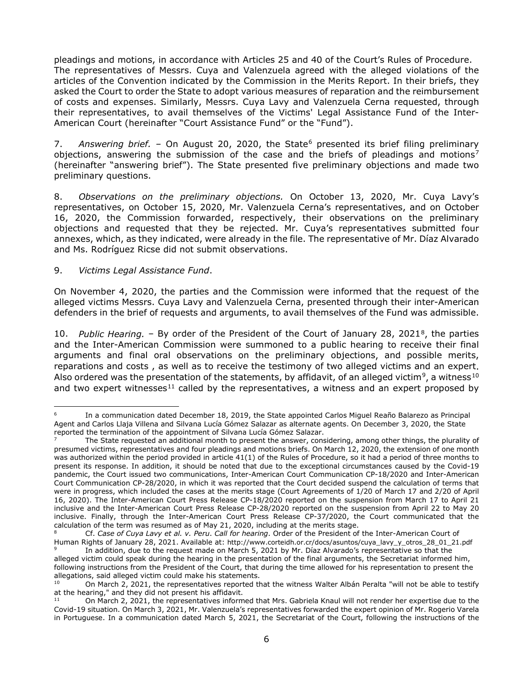pleadings and motions, in accordance with Articles 25 and 40 of the Court's Rules of Procedure. The representatives of Messrs. Cuya and Valenzuela agreed with the alleged violations of the articles of the Convention indicated by the Commission in the Merits Report. In their briefs, they asked the Court to order the State to adopt various measures of reparation and the reimbursement of costs and expenses. Similarly, Messrs. Cuya Lavy and Valenzuela Cerna requested, through their representatives, to avail themselves of the Victims' Legal Assistance Fund of the Inter-American Court (hereinafter "Court Assistance Fund" or the "Fund").

7. Answering brief. – On August 20, 2020, the State<sup>[6](#page-5-0)</sup> presented its brief filing preliminary objections, answering the submission of the case and the briefs of pleadings and motions<sup>[7](#page-5-1)</sup> (hereinafter "answering brief"). The State presented five preliminary objections and made two preliminary questions.

8. *Observations on the preliminary objections.* On October 13, 2020, Mr. Cuya Lavy's representatives, on October 15, 2020, Mr. Valenzuela Cerna's representatives, and on October 16, 2020, the Commission forwarded, respectively, their observations on the preliminary objections and requested that they be rejected. Mr. Cuya's representatives submitted four annexes, which, as they indicated, were already in the file. The representative of Mr. Díaz Alvarado and Ms. Rodríguez Ricse did not submit observations.

#### 9. *Victims Legal Assistance Fund*.

On November 4, 2020, the parties and the Commission were informed that the request of the alleged victims Messrs. Cuya Lavy and Valenzuela Cerna, presented through their inter-American defenders in the brief of requests and arguments, to avail themselves of the Fund was admissible.

10. *Public Hearing.* – By order of the President of the Court of January 28, 2021[8,](#page-5-2) the parties and the Inter-American Commission were summoned to a public hearing to receive their final arguments and final oral observations on the preliminary objections, and possible merits, reparations and costs , as well as to receive the testimony of two alleged victims and an expert. Also ordered was the presentation of the statements, by affidavit, of an alleged victim<sup>9</sup>, a witness<sup>[10](#page-5-4)</sup> and two expert witnesses<sup>[11](#page-5-5)</sup> called by the representatives, a witness and an expert proposed by

<span id="page-5-0"></span><sup>6</sup> In a communication dated December 18, 2019, the State appointed Carlos Miguel Reaño Balarezo as Principal Agent and Carlos Llaja Villena and Silvana Lucía Gómez Salazar as alternate agents. On December 3, 2020, the State reported the termination of the appointment of Silvana Lucía Gómez Salazar.<br><sup>7</sup> The State requested an additional month to present the answer, considering, among other things, the plurality of

<span id="page-5-1"></span>presumed victims, representatives and four pleadings and motions briefs. On March 12, 2020, the extension of one month was authorized within the period provided in article 41(1) of the Rules of Procedure, so it had a period of three months to present its response. In addition, it should be noted that due to the exceptional circumstances caused by the Covid-19 pandemic, the Court issued two communications, Inter-American Court Communication CP-18/2020 and Inter-American Court Communication CP-28/2020, in which it was reported that the Court decided suspend the calculation of terms that were in progress, which included the cases at the merits stage (Court Agreements of 1/20 of March 17 and 2/20 of April 16, 2020). The Inter-American Court Press Release CP-18/2020 reported on the suspension from March 17 to April 21 inclusive and the Inter-American Court Press Release CP-28/2020 reported on the suspension from April 22 to May 20 inclusive. Finally, through the Inter-American Court Press Release CP-37/2020, the Court communicated that the calculation of the term was resumed as of May 21, 2020, including at the merits stage.

<span id="page-5-2"></span><sup>8</sup> Cf. *Case of Cuya Lavy et al. v. Peru*. *Call for hearing*. Order of the President of the Inter-American Court of Human Rights of January 28, 2021. Available at: http://www.corteidh.or.cr/docs/asuntos/cuya\_lavy\_y\_otros\_28\_01\_21.pdf

<span id="page-5-3"></span>In addition, due to the request made on March 5, 2021 by Mr. Díaz Alvarado's representative so that the alleged victim could speak during the hearing in the presentation of the final arguments, the Secretariat informed him, following instructions from the President of the Court, that during the time allowed for his representation to present the allegations, said alleged victim could make his statements.<br> $10^{10}$  On March 2, 2021, the representatives reperted the

<span id="page-5-4"></span><sup>10</sup> On March 2, 2021, the representatives reported that the witness Walter Albán Peralta "will not be able to testify at the hearing," and they did not present his affidavit.<br> $\frac{11}{2}$  On March 2, 2021, the representatives inform

<span id="page-5-5"></span><sup>11</sup> On March 2, 2021, the representatives informed that Mrs. Gabriela Knaul will not render her expertise due to the Covid-19 situation. On March 3, 2021, Mr. Valenzuela's representatives forwarded the expert opinion of Mr. Rogerio Varela in Portuguese. In a communication dated March 5, 2021, the Secretariat of the Court, following the instructions of the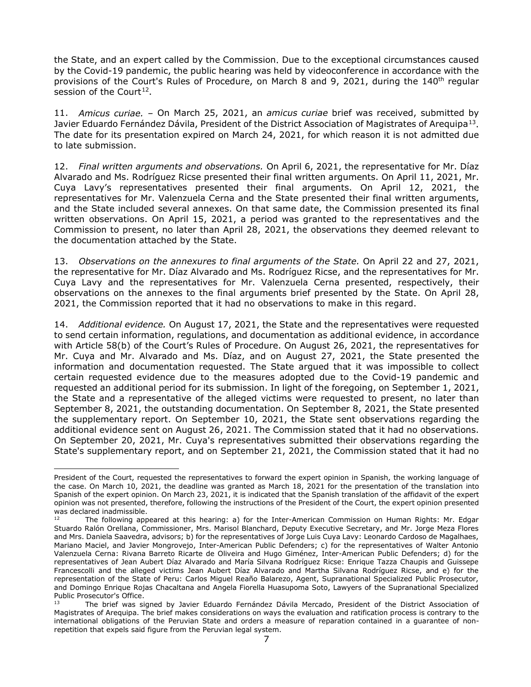the State, and an expert called by the Commission. Due to the exceptional circumstances caused by the Covid-19 pandemic, the public hearing was held by videoconference in accordance with the provisions of the Court's Rules of Procedure, on March 8 and 9, 2021, during the 140<sup>th</sup> regular session of the Court<sup>12</sup>.

11. *Amicus curiae. –* On March 25, 2021, an *amicus curiae* brief was received, submitted by Javier Eduardo Fernández Dávila, President of the District Association of Magistrates of Arequipa<sup>13</sup>. The date for its presentation expired on March 24, 2021, for which reason it is not admitted due to late submission.

12. *Final written arguments and observations.* On April 6, 2021, the representative for Mr. Díaz Alvarado and Ms. Rodríguez Ricse presented their final written arguments. On April 11, 2021, Mr. Cuya Lavy's representatives presented their final arguments. On April 12, 2021, the representatives for Mr. Valenzuela Cerna and the State presented their final written arguments, and the State included several annexes. On that same date, the Commission presented its final written observations. On April 15, 2021, a period was granted to the representatives and the Commission to present, no later than April 28, 2021, the observations they deemed relevant to the documentation attached by the State.

13. *Observations on the annexures to final arguments of the State.* On April 22 and 27, 2021, the representative for Mr. Díaz Alvarado and Ms. Rodríguez Ricse, and the representatives for Mr. Cuya Lavy and the representatives for Mr. Valenzuela Cerna presented, respectively, their observations on the annexes to the final arguments brief presented by the State. On April 28, 2021, the Commission reported that it had no observations to make in this regard.

14. *Additional evidence.* On August 17, 2021, the State and the representatives were requested to send certain information, regulations, and documentation as additional evidence, in accordance with Article 58(b) of the Court's Rules of Procedure. On August 26, 2021, the representatives for Mr. Cuya and Mr. Alvarado and Ms. Díaz, and on August 27, 2021, the State presented the information and documentation requested. The State argued that it was impossible to collect certain requested evidence due to the measures adopted due to the Covid-19 pandemic and requested an additional period for its submission. In light of the foregoing, on September 1, 2021, the State and a representative of the alleged victims were requested to present, no later than September 8, 2021, the outstanding documentation. On September 8, 2021, the State presented the supplementary report. On September 10, 2021, the State sent observations regarding the additional evidence sent on August 26, 2021. The Commission stated that it had no observations. On September 20, 2021, Mr. Cuya's representatives submitted their observations regarding the State's supplementary report, and on September 21, 2021, the Commission stated that it had no

President of the Court, requested the representatives to forward the expert opinion in Spanish, the working language of the case. On March 10, 2021, the deadline was granted as March 18, 2021 for the presentation of the translation into Spanish of the expert opinion. On March 23, 2021, it is indicated that the Spanish translation of the affidavit of the expert opinion was not presented, therefore, following the instructions of the President of the Court, the expert opinion presented was declared inadmissible.

<span id="page-6-0"></span>The following appeared at this hearing: a) for the Inter-American Commission on Human Rights: Mr. Edgar Stuardo Ralón Orellana, Commissioner, Mrs. Marisol Blanchard, Deputy Executive Secretary, and Mr. Jorge Meza Flores and Mrs. Daniela Saavedra, advisors; b) for the representatives of Jorge Luis Cuya Lavy: Leonardo Cardoso de Magalhaes, Mariano Maciel, and Javier Mongrovejo, Inter-American Public Defenders; c) for the representatives of Walter Antonio Valenzuela Cerna: Rivana Barreto Ricarte de Oliveira and Hugo Giménez, Inter-American Public Defenders; d) for the representatives of Jean Aubert Díaz Alvarado and María Silvana Rodríguez Ricse: Enrique Tazza Chaupis and Guissepe Francescolli and the alleged victims Jean Aubert Díaz Alvarado and Martha Silvana Rodríguez Ricse, and e) for the representation of the State of Peru: Carlos Miguel Reaño Balarezo, Agent, Supranational Specialized Public Prosecutor, and Domingo Enrique Rojas Chacaltana and Angela Fiorella Huasupoma Soto, Lawyers of the Supranational Specialized Public Prosecutor's Office.

<span id="page-6-1"></span>The brief was signed by Javier Eduardo Fernández Dávila Mercado, President of the District Association of Magistrates of Arequipa. The brief makes considerations on ways the evaluation and ratification process is contrary to the international obligations of the Peruvian State and orders a measure of reparation contained in a guarantee of nonrepetition that expels said figure from the Peruvian legal system.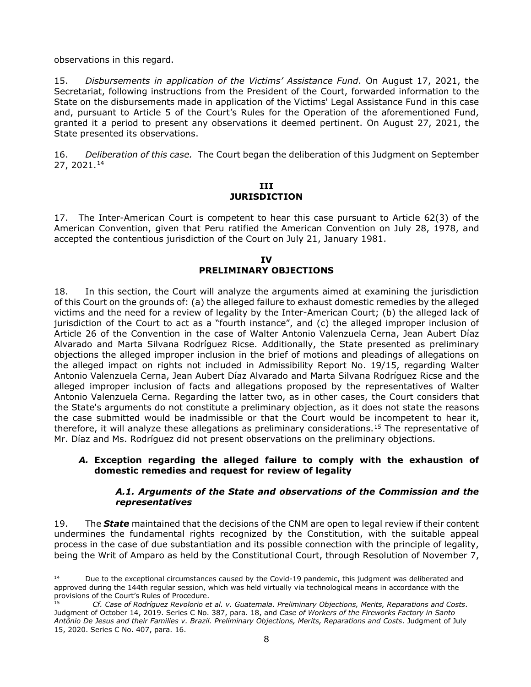observations in this regard.

15. *Disbursements in application of the Victims' Assistance Fund*. On August 17, 2021, the Secretariat, following instructions from the President of the Court, forwarded information to the State on the disbursements made in application of the Victims' Legal Assistance Fund in this case and, pursuant to Article 5 of the Court's Rules for the Operation of the aforementioned Fund, granted it a period to present any observations it deemed pertinent. On August 27, 2021, the State presented its observations.

<span id="page-7-0"></span>16. *Deliberation of this case.* The Court began the deliberation of this Judgment on September 27, 2021.[14](#page-7-3)

#### **III JURISDICTION**

17. The Inter-American Court is competent to hear this case pursuant to Article 62(3) of the American Convention, given that Peru ratified the American Convention on July 28, 1978, and accepted the contentious jurisdiction of the Court on July 21, January 1981.

# **IV PRELIMINARY OBJECTIONS**

<span id="page-7-1"></span>18. In this section, the Court will analyze the arguments aimed at examining the jurisdiction of this Court on the grounds of: (a) the alleged failure to exhaust domestic remedies by the alleged victims and the need for a review of legality by the Inter-American Court; (b) the alleged lack of jurisdiction of the Court to act as a "fourth instance", and (c) the alleged improper inclusion of Article 26 of the Convention in the case of Walter Antonio Valenzuela Cerna, Jean Aubert Díaz Alvarado and Marta Silvana Rodríguez Ricse. Additionally, the State presented as preliminary objections the alleged improper inclusion in the brief of motions and pleadings of allegations on the alleged impact on rights not included in Admissibility Report No. 19/15, regarding Walter Antonio Valenzuela Cerna, Jean Aubert Díaz Alvarado and Marta Silvana Rodríguez Ricse and the alleged improper inclusion of facts and allegations proposed by the representatives of Walter Antonio Valenzuela Cerna. Regarding the latter two, as in other cases, the Court considers that the State's arguments do not constitute a preliminary objection, as it does not state the reasons the case submitted would be inadmissible or that the Court would be incompetent to hear it, therefore, it will analyze these allegations as preliminary considerations.<sup>[15](#page-7-4)</sup> The representative of Mr. Díaz and Ms. Rodríguez did not present observations on the preliminary objections.

#### *A.* **Exception regarding the alleged failure to comply with the exhaustion of domestic remedies and request for review of legality**

#### *A.1. Arguments of the State and observations of the Commission and the representatives*

<span id="page-7-2"></span>19. The *State* maintained that the decisions of the CNM are open to legal review if their content undermines the fundamental rights recognized by the Constitution, with the suitable appeal process in the case of due substantiation and its possible connection with the principle of legality, being the Writ of Amparo as held by the Constitutional Court, through Resolution of November 7,

<span id="page-7-3"></span><sup>&</sup>lt;sup>14</sup> Due to the exceptional circumstances caused by the Covid-19 pandemic, this judgment was deliberated and approved during the 144th regular session, which was held virtually via technological means in accordance with the provisions of the Court's Rules of Procedure.

<span id="page-7-4"></span><sup>15</sup> *Cf. Case of Rodríguez Revolorio et al. v. Guatemala*. *Preliminary Objections, Merits, Reparations and Costs*. Judgment of October 14, 2019. Series C No. 387, para. 18, and *Case of Workers of the Fireworks Factory in Santo Antônio De Jesus and their Families v. Brazil. Preliminary Objections, Merits, Reparations and Costs*. Judgment of July 15, 2020. Series C No. 407, para. 16.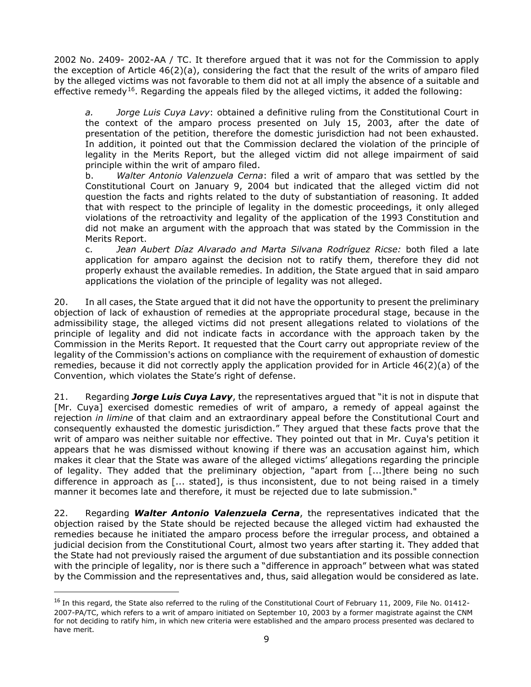2002 No. 2409- 2002-AA / TC. It therefore argued that it was not for the Commission to apply the exception of Article 46(2)(a), considering the fact that the result of the writs of amparo filed by the alleged victims was not favorable to them did not at all imply the absence of a suitable and effective remedy<sup>[16](#page-8-0)</sup>. Regarding the appeals filed by the alleged victims, it added the following:

*a. Jorge Luis Cuya Lavy*: obtained a definitive ruling from the Constitutional Court in the context of the amparo process presented on July 15, 2003, after the date of presentation of the petition, therefore the domestic jurisdiction had not been exhausted. In addition, it pointed out that the Commission declared the violation of the principle of legality in the Merits Report, but the alleged victim did not allege impairment of said principle within the writ of amparo filed.

b. *Walter Antonio Valenzuela Cerna*: filed a writ of amparo that was settled by the Constitutional Court on January 9, 2004 but indicated that the alleged victim did not question the facts and rights related to the duty of substantiation of reasoning. It added that with respect to the principle of legality in the domestic proceedings, it only alleged violations of the retroactivity and legality of the application of the 1993 Constitution and did not make an argument with the approach that was stated by the Commission in the Merits Report.

c. *Jean Aubert Díaz Alvarado and Marta Silvana Rodríguez Ricse:* both filed a late application for amparo against the decision not to ratify them, therefore they did not properly exhaust the available remedies. In addition, the State argued that in said amparo applications the violation of the principle of legality was not alleged.

20. In all cases, the State argued that it did not have the opportunity to present the preliminary objection of lack of exhaustion of remedies at the appropriate procedural stage, because in the admissibility stage, the alleged victims did not present allegations related to violations of the principle of legality and did not indicate facts in accordance with the approach taken by the Commission in the Merits Report. It requested that the Court carry out appropriate review of the legality of the Commission's actions on compliance with the requirement of exhaustion of domestic remedies, because it did not correctly apply the application provided for in Article 46(2)(a) of the Convention, which violates the State's right of defense.

21. Regarding *Jorge Luis Cuya Lavy*, the representatives argued that "it is not in dispute that [Mr. Cuya] exercised domestic remedies of writ of amparo, a remedy of appeal against the rejection *in limine* of that claim and an extraordinary appeal before the Constitutional Court and consequently exhausted the domestic jurisdiction." They argued that these facts prove that the writ of amparo was neither suitable nor effective. They pointed out that in Mr. Cuya's petition it appears that he was dismissed without knowing if there was an accusation against him, which makes it clear that the State was aware of the alleged victims' allegations regarding the principle of legality. They added that the preliminary objection, "apart from [...]there being no such difference in approach as [... stated], is thus inconsistent, due to not being raised in a timely manner it becomes late and therefore, it must be rejected due to late submission."

22. Regarding *Walter Antonio Valenzuela Cerna*, the representatives indicated that the objection raised by the State should be rejected because the alleged victim had exhausted the remedies because he initiated the amparo process before the irregular process, and obtained a judicial decision from the Constitutional Court, almost two years after starting it. They added that the State had not previously raised the argument of due substantiation and its possible connection with the principle of legality, nor is there such a "difference in approach" between what was stated by the Commission and the representatives and, thus, said allegation would be considered as late.

<span id="page-8-0"></span> $16$  In this regard, the State also referred to the ruling of the Constitutional Court of February 11, 2009, File No. 01412-2007-PA/TC, which refers to a writ of amparo initiated on September 10, 2003 by a former magistrate against the CNM for not deciding to ratify him, in which new criteria were established and the amparo process presented was declared to have merit.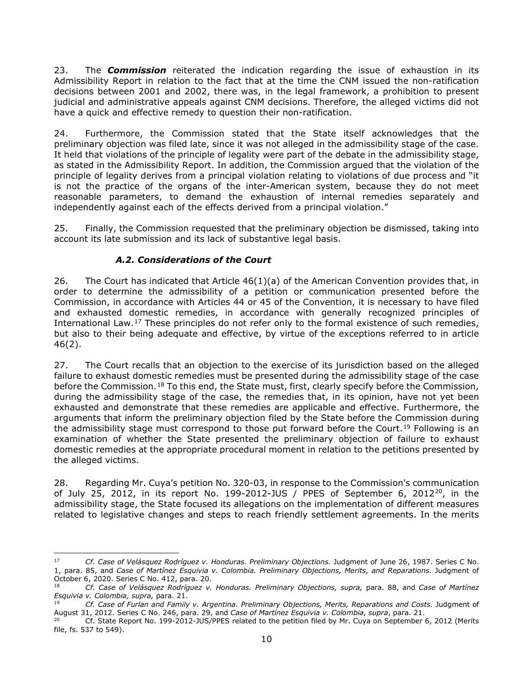23. The *Commission* reiterated the indication regarding the issue of exhaustion in its Admissibility Report in relation to the fact that at the time the CNM issued the non-ratification decisions between 2001 and 2002, there was, in the legal framework, a prohibition to present judicial and administrative appeals against CNM decisions. Therefore, the alleged victims did not have a quick and effective remedy to question their non-ratification.

24. Furthermore, the Commission stated that the State itself acknowledges that the preliminary objection was filed late, since it was not alleged in the admissibility stage of the case. It held that violations of the principle of legality were part of the debate in the admissibility stage, as stated in the Admissibility Report. In addition, the Commission argued that the violation of the principle of legality derives from a principal violation relating to violations of due process and "it is not the practice of the organs of the inter-American system, because they do not meet reasonable parameters, to demand the exhaustion of internal remedies separately and independently against each of the effects derived from a principal violation."

25. Finally, the Commission requested that the preliminary objection be dismissed, taking into account its late submission and its lack of substantive legal basis.

# *A.2. Considerations of the Court*

<span id="page-9-0"></span>26. The Court has indicated that Article 46(1)(a) of the American Convention provides that, in order to determine the admissibility of a petition or communication presented before the Commission, in accordance with Articles 44 or 45 of the Convention, it is necessary to have filed and exhausted domestic remedies, in accordance with generally recognized principles of International Law.<sup>[17](#page-9-1)</sup> These principles do not refer only to the formal existence of such remedies, but also to their being adequate and effective, by virtue of the exceptions referred to in article 46(2).

27. The Court recalls that an objection to the exercise of its jurisdiction based on the alleged failure to exhaust domestic remedies must be presented during the admissibility stage of the case before the Commission.<sup>[18](#page-9-2)</sup> To this end, the State must, first, clearly specify before the Commission, during the admissibility stage of the case, the remedies that, in its opinion, have not yet been exhausted and demonstrate that these remedies are applicable and effective. Furthermore, the arguments that inform the preliminary objection filed by the State before the Commission during the admissibility stage must correspond to those put forward before the Court.<sup>[19](#page-9-3)</sup> Following is an examination of whether the State presented the preliminary objection of failure to exhaust domestic remedies at the appropriate procedural moment in relation to the petitions presented by the alleged victims.

28. Regarding Mr. Cuya's petition No. 320-03, in response to the Commission's communication of July 25, [20](#page-9-4)12, in its report No. 199-2012-JUS / PPES of September 6, 2012 $^{20}$ , in the admissibility stage, the State focused its allegations on the implementation of different measures related to legislative changes and steps to reach friendly settlement agreements. In the merits

<span id="page-9-1"></span><sup>17</sup> *Cf. Case of Velásquez Rodríguez v. Honduras. Preliminary Objections.* Judgment of June 26, 1987. Series C No. 1, para. 85, and *Case of Martínez Esquivia v. Colombia. Preliminary Objections, Merits, and Reparations.* Judgment of October 6, 2020. Series C No. 412, para. 20.

<span id="page-9-2"></span><sup>18</sup> *Cf. Case of Velásquez Rodríguez v. Honduras. Preliminary Objections, supra,* para. 88, and *Case of Martínez Esquivia v. Colombia, supra,* para. 21.

<span id="page-9-3"></span><sup>19</sup> *Cf. Case of Furlan and Family v. Argentina. Preliminary Objections, Merits, Reparations and Costs.* Judgment of August 31, 2012. Series C No. 246, para. 29, and *Case of Martínez Esquivia v. Colombia, supra*, para. 21.

<span id="page-9-4"></span><sup>20</sup> Cf. State Report No. 199-2012-JUS/PPES related to the petition filed by Mr. Cuya on September 6, 2012 (Merits file, fs. 537 to 549).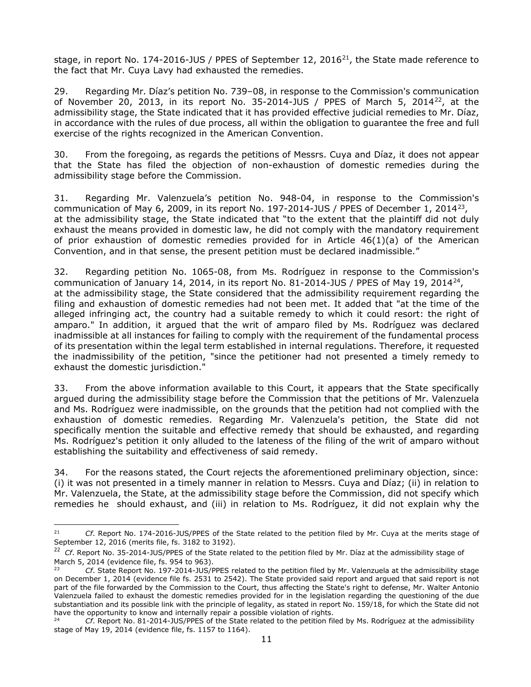stage, in report No. 174-2016-JUS / PPES of September 12, 2016 $^{21}$ , the State made reference to the fact that Mr. Cuya Lavy had exhausted the remedies.

29. Regarding Mr. Díaz's petition No. 739–08, in response to the Commission's communication of November 20, 2013, in its report No. 35-2014-JUS / PPES of March 5, 2014[22,](#page-10-1) at the admissibility stage, the State indicated that it has provided effective judicial remedies to Mr. Díaz, in accordance with the rules of due process, all within the obligation to guarantee the free and full exercise of the rights recognized in the American Convention.

30. From the foregoing, as regards the petitions of Messrs. Cuya and Díaz, it does not appear that the State has filed the objection of non-exhaustion of domestic remedies during the admissibility stage before the Commission.

31. Regarding Mr. Valenzuela's petition No. 948-04, in response to the Commission's communication of May 6, 2009, in its report No. 197-2014-JUS / PPES of December 1, 2014[23](#page-10-2), at the admissibility stage, the State indicated that "to the extent that the plaintiff did not duly exhaust the means provided in domestic law, he did not comply with the mandatory requirement of prior exhaustion of domestic remedies provided for in Article 46(1)(a) of the American Convention, and in that sense, the present petition must be declared inadmissible."

32. Regarding petition No. 1065-08, from Ms. Rodríguez in response to the Commission's communication of January 14, 2014, in its report No. 81-2014-JUS / PPES of May 19, 2014<sup>[24](#page-10-3)</sup>, at the admissibility stage, the State considered that the admissibility requirement regarding the filing and exhaustion of domestic remedies had not been met. It added that "at the time of the alleged infringing act, the country had a suitable remedy to which it could resort: the right of amparo." In addition, it argued that the writ of amparo filed by Ms. Rodríguez was declared inadmissible at all instances for failing to comply with the requirement of the fundamental process of its presentation within the legal term established in internal regulations. Therefore, it requested the inadmissibility of the petition, "since the petitioner had not presented a timely remedy to exhaust the domestic jurisdiction."

33. From the above information available to this Court, it appears that the State specifically argued during the admissibility stage before the Commission that the petitions of Mr. Valenzuela and Ms. Rodríguez were inadmissible, on the grounds that the petition had not complied with the exhaustion of domestic remedies. Regarding Mr. Valenzuela's petition, the State did not specifically mention the suitable and effective remedy that should be exhausted, and regarding Ms. Rodríguez's petition it only alluded to the lateness of the filing of the writ of amparo without establishing the suitability and effectiveness of said remedy.

34. For the reasons stated, the Court rejects the aforementioned preliminary objection, since: (i) it was not presented in a timely manner in relation to Messrs. Cuya and Díaz; (ii) in relation to Mr. Valenzuela, the State, at the admissibility stage before the Commission, did not specify which remedies he should exhaust, and (iii) in relation to Ms. Rodríguez, it did not explain why the

<span id="page-10-0"></span><sup>21</sup> *Cf*. Report No. 174-2016-JUS/PPES of the State related to the petition filed by Mr. Cuya at the merits stage of September 12, 2016 (merits file, fs. 3182 to 3192).

<span id="page-10-1"></span><sup>&</sup>lt;sup>22</sup> *Cf*. Report No. 35-2014-JUS/PPES of the State related to the petition filed by Mr. Díaz at the admissibility stage of March 5, 2014 (evidence file, fs. 954 to 963).

<span id="page-10-2"></span><sup>23</sup> *Cf*. State Report No. 197-2014-JUS/PPES related to the petition filed by Mr. Valenzuela at the admissibility stage on December 1, 2014 (evidence file fs. 2531 to 2542). The State provided said report and argued that said report is not part of the file forwarded by the Commission to the Court, thus affecting the State's right to defense, Mr. Walter Antonio Valenzuela failed to exhaust the domestic remedies provided for in the legislation regarding the questioning of the due substantiation and its possible link with the principle of legality, as stated in report No. 159/18, for which the State did not have the opportunity to know and internally repair a possible violation of rights.

<span id="page-10-3"></span><sup>24</sup> *Cf*. Report No. 81-2014-JUS/PPES of the State related to the petition filed by Ms. Rodríguez at the admissibility stage of May 19, 2014 (evidence file, fs. 1157 to 1164).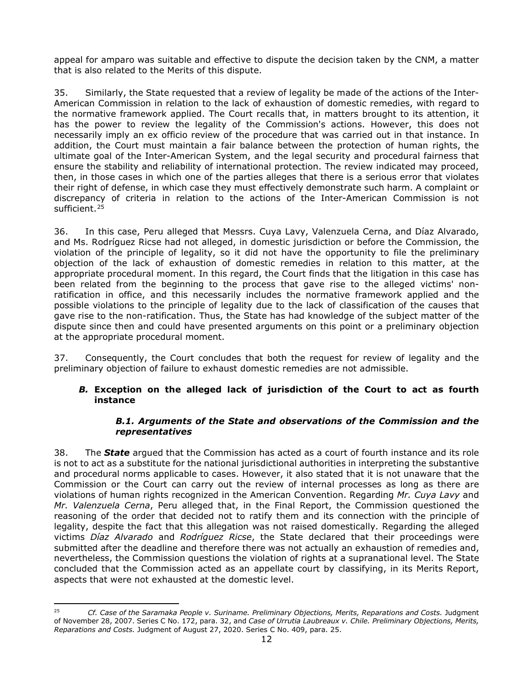appeal for amparo was suitable and effective to dispute the decision taken by the CNM, a matter that is also related to the Merits of this dispute.

35. Similarly, the State requested that a review of legality be made of the actions of the Inter-American Commission in relation to the lack of exhaustion of domestic remedies, with regard to the normative framework applied. The Court recalls that, in matters brought to its attention, it has the power to review the legality of the Commission's actions. However, this does not necessarily imply an ex officio review of the procedure that was carried out in that instance. In addition, the Court must maintain a fair balance between the protection of human rights, the ultimate goal of the Inter-American System, and the legal security and procedural fairness that ensure the stability and reliability of international protection. The review indicated may proceed, then, in those cases in which one of the parties alleges that there is a serious error that violates their right of defense, in which case they must effectively demonstrate such harm. A complaint or discrepancy of criteria in relation to the actions of the Inter-American Commission is not sufficient.<sup>[25](#page-11-1)</sup>

36. In this case, Peru alleged that Messrs. Cuya Lavy, Valenzuela Cerna, and Díaz Alvarado, and Ms. Rodríguez Ricse had not alleged, in domestic jurisdiction or before the Commission, the violation of the principle of legality, so it did not have the opportunity to file the preliminary objection of the lack of exhaustion of domestic remedies in relation to this matter, at the appropriate procedural moment. In this regard, the Court finds that the litigation in this case has been related from the beginning to the process that gave rise to the alleged victims' nonratification in office, and this necessarily includes the normative framework applied and the possible violations to the principle of legality due to the lack of classification of the causes that gave rise to the non-ratification. Thus, the State has had knowledge of the subject matter of the dispute since then and could have presented arguments on this point or a preliminary objection at the appropriate procedural moment.

37. Consequently, the Court concludes that both the request for review of legality and the preliminary objection of failure to exhaust domestic remedies are not admissible.

# *B.* **Exception on the alleged lack of jurisdiction of the Court to act as fourth instance**

# *B.1. Arguments of the State and observations of the Commission and the representatives*

<span id="page-11-0"></span>38. The *State* argued that the Commission has acted as a court of fourth instance and its role is not to act as a substitute for the national jurisdictional authorities in interpreting the substantive and procedural norms applicable to cases. However, it also stated that it is not unaware that the Commission or the Court can carry out the review of internal processes as long as there are violations of human rights recognized in the American Convention. Regarding *Mr. Cuya Lavy* and *Mr. Valenzuela Cerna*, Peru alleged that, in the Final Report, the Commission questioned the reasoning of the order that decided not to ratify them and its connection with the principle of legality, despite the fact that this allegation was not raised domestically. Regarding the alleged victims *Díaz Alvarado* and *Rodríguez Ricse*, the State declared that their proceedings were submitted after the deadline and therefore there was not actually an exhaustion of remedies and, nevertheless, the Commission questions the violation of rights at a supranational level. The State concluded that the Commission acted as an appellate court by classifying, in its Merits Report, aspects that were not exhausted at the domestic level.

<span id="page-11-1"></span><sup>25</sup> *Cf. Case of the Saramaka People v. Suriname. Preliminary Objections, Merits, Reparations and Costs.* Judgment of November 28, 2007. Series C No. 172, para. 32, and *Case of Urrutia Laubreaux v. Chile. Preliminary Objections, Merits, Reparations and Costs.* Judgment of August 27, 2020. Series C No. 409, para. 25.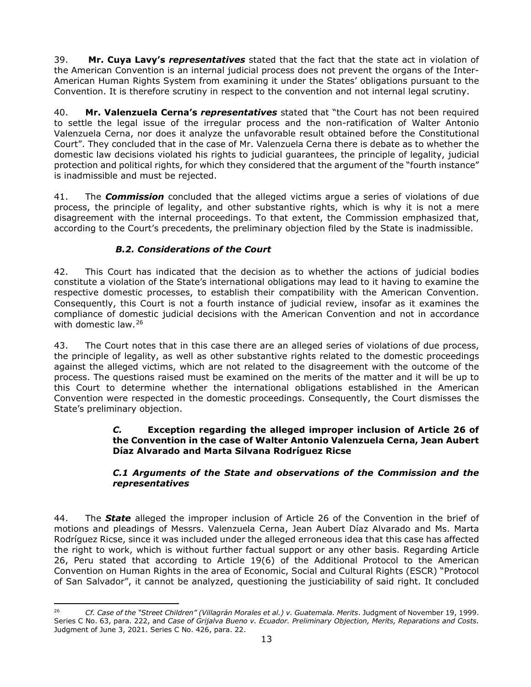39. **Mr. Cuya Lavy's** *representatives* stated that the fact that the state act in violation of the American Convention is an internal judicial process does not prevent the organs of the Inter-American Human Rights System from examining it under the States' obligations pursuant to the Convention. It is therefore scrutiny in respect to the convention and not internal legal scrutiny.

40. **Mr. Valenzuela Cerna's** *representatives* stated that "the Court has not been required to settle the legal issue of the irregular process and the non-ratification of Walter Antonio Valenzuela Cerna, nor does it analyze the unfavorable result obtained before the Constitutional Court". They concluded that in the case of Mr. Valenzuela Cerna there is debate as to whether the domestic law decisions violated his rights to judicial guarantees, the principle of legality, judicial protection and political rights, for which they considered that the argument of the "fourth instance" is inadmissible and must be rejected.

41. The *Commission* concluded that the alleged victims argue a series of violations of due process, the principle of legality, and other substantive rights, which is why it is not a mere disagreement with the internal proceedings. To that extent, the Commission emphasized that, according to the Court's precedents, the preliminary objection filed by the State is inadmissible.

# *B.2. Considerations of the Court*

<span id="page-12-0"></span>42. This Court has indicated that the decision as to whether the actions of judicial bodies constitute a violation of the State's international obligations may lead to it having to examine the respective domestic processes, to establish their compatibility with the American Convention. Consequently, this Court is not a fourth instance of judicial review, insofar as it examines the compliance of domestic judicial decisions with the American Convention and not in accordance with domestic law.<sup>[26](#page-12-3)</sup>

43. The Court notes that in this case there are an alleged series of violations of due process, the principle of legality, as well as other substantive rights related to the domestic proceedings against the alleged victims, which are not related to the disagreement with the outcome of the process. The questions raised must be examined on the merits of the matter and it will be up to this Court to determine whether the international obligations established in the American Convention were respected in the domestic proceedings. Consequently, the Court dismisses the State's preliminary objection.

# <span id="page-12-1"></span>*C.* **Exception regarding the alleged improper inclusion of Article 26 of the Convention in the case of Walter Antonio Valenzuela Cerna, Jean Aubert Díaz Alvarado and Marta Silvana Rodríguez Ricse**

# *C.1 Arguments of the State and observations of the Commission and the representatives*

<span id="page-12-2"></span>44. The *State* alleged the improper inclusion of Article 26 of the Convention in the brief of motions and pleadings of Messrs. Valenzuela Cerna, Jean Aubert Díaz Alvarado and Ms. Marta Rodríguez Ricse, since it was included under the alleged erroneous idea that this case has affected the right to work, which is without further factual support or any other basis. Regarding Article 26, Peru stated that according to Article 19(6) of the Additional Protocol to the American Convention on Human Rights in the area of Economic, Social and Cultural Rights (ESCR) "Protocol of San Salvador", it cannot be analyzed, questioning the justiciability of said right. It concluded

<span id="page-12-3"></span><sup>26</sup> *Cf. Case of the "Street Children" (Villagrán Morales et al.) v. Guatemala. Merits*. Judgment of November 19, 1999. Series C No. 63, para. 222, and *Case of Grijalva Bueno v. Ecuador. Preliminary Objection, Merits, Reparations and Costs.*  Judgment of June 3, 2021. Series C No. 426, para. 22.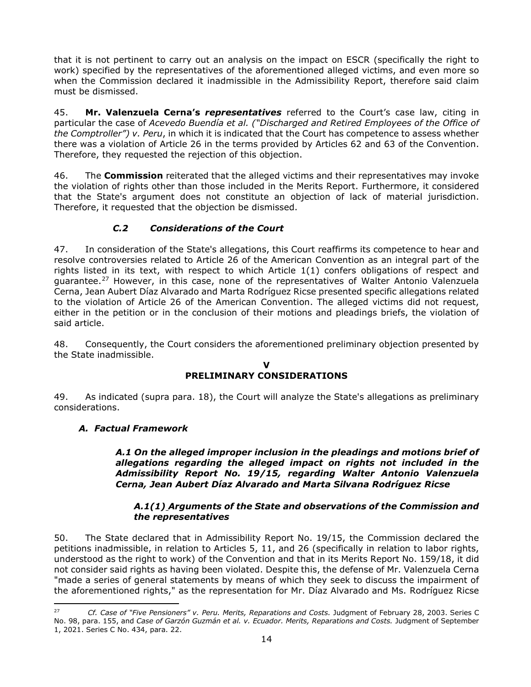that it is not pertinent to carry out an analysis on the impact on ESCR (specifically the right to work) specified by the representatives of the aforementioned alleged victims, and even more so when the Commission declared it inadmissible in the Admissibility Report, therefore said claim must be dismissed.

45. **Mr. Valenzuela Cerna's** *representatives* referred to the Court's case law, citing in particular the case of *Acevedo Buendía et al. ("Discharged and Retired Employees of the Office of the Comptroller") v. Peru*, in which it is indicated that the Court has competence to assess whether there was a violation of Article 26 in the terms provided by Articles 62 and 63 of the Convention. Therefore, they requested the rejection of this objection.

46. The **Commission** reiterated that the alleged victims and their representatives may invoke the violation of rights other than those included in the Merits Report. Furthermore, it considered that the State's argument does not constitute an objection of lack of material jurisdiction. Therefore, it requested that the objection be dismissed.

# *C.2 Considerations of the Court*

<span id="page-13-0"></span>47. In consideration of the State's allegations, this Court reaffirms its competence to hear and resolve controversies related to Article 26 of the American Convention as an integral part of the rights listed in its text, with respect to which Article 1(1) confers obligations of respect and guarantee.<sup>[27](#page-13-4)</sup> However, in this case, none of the representatives of Walter Antonio Valenzuela Cerna, Jean Aubert Díaz Alvarado and Marta Rodríguez Ricse presented specific allegations related to the violation of Article 26 of the American Convention. The alleged victims did not request, either in the petition or in the conclusion of their motions and pleadings briefs, the violation of said article.

48. Consequently, the Court considers the aforementioned preliminary objection presented by the State inadmissible.

#### **V PRELIMINARY CONSIDERATIONS**

<span id="page-13-1"></span>49. As indicated (supra para. 18), the Court will analyze the State's allegations as preliminary considerations.

# <span id="page-13-3"></span><span id="page-13-2"></span>*A. Factual Framework*

*A.1 On the alleged improper inclusion in the pleadings and motions brief of allegations regarding the alleged impact on rights not included in the Admissibility Report No. 19/15, regarding Walter Antonio Valenzuela Cerna, Jean Aubert Díaz Alvarado and Marta Silvana Rodríguez Ricse*

#### *A.1(1) Arguments of the State and observations of the Commission and the representatives*

50. The State declared that in Admissibility Report No. 19/15, the Commission declared the petitions inadmissible, in relation to Articles 5, 11, and 26 (specifically in relation to labor rights, understood as the right to work) of the Convention and that in its Merits Report No. 159/18, it did not consider said rights as having been violated. Despite this, the defense of Mr. Valenzuela Cerna "made a series of general statements by means of which they seek to discuss the impairment of the aforementioned rights," as the representation for Mr. Díaz Alvarado and Ms. Rodríguez Ricse

<span id="page-13-4"></span><sup>27</sup> *Cf. Case of "Five Pensioners" v. Peru. Merits, Reparations and Costs.* Judgment of February 28, 2003. Series C No. 98, para. 155, and *Case of Garzón Guzmán et al. v. Ecuador. Merits, Reparations and Costs.* Judgment of September 1, 2021. Series C No. 434, para. 22.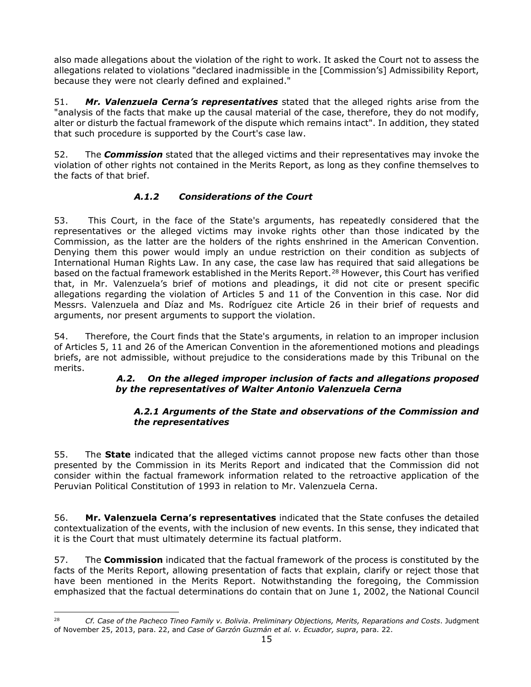also made allegations about the violation of the right to work. It asked the Court not to assess the allegations related to violations "declared inadmissible in the [Commission's] Admissibility Report, because they were not clearly defined and explained."

51. *Mr. Valenzuela Cerna's representatives* stated that the alleged rights arise from the "analysis of the facts that make up the causal material of the case, therefore, they do not modify, alter or disturb the factual framework of the dispute which remains intact". In addition, they stated that such procedure is supported by the Court's case law.

52. The *Commission* stated that the alleged victims and their representatives may invoke the violation of other rights not contained in the Merits Report, as long as they confine themselves to the facts of that brief.

# *A.1.2 Considerations of the Court*

53. This Court, in the face of the State's arguments, has repeatedly considered that the representatives or the alleged victims may invoke rights other than those indicated by the Commission, as the latter are the holders of the rights enshrined in the American Convention. Denying them this power would imply an undue restriction on their condition as subjects of International Human Rights Law. In any case, the case law has required that said allegations be based on the factual framework established in the Merits Report.<sup>[28](#page-14-1)</sup> However, this Court has verified that, in Mr. Valenzuela's brief of motions and pleadings, it did not cite or present specific allegations regarding the violation of Articles 5 and 11 of the Convention in this case. Nor did Messrs. Valenzuela and Díaz and Ms. Rodríguez cite Article 26 in their brief of requests and arguments, nor present arguments to support the violation.

<span id="page-14-0"></span>54. Therefore, the Court finds that the State's arguments, in relation to an improper inclusion of Articles 5, 11 and 26 of the American Convention in the aforementioned motions and pleadings briefs, are not admissible, without prejudice to the considerations made by this Tribunal on the merits.

# *A.2. On the alleged improper inclusion of facts and allegations proposed by the representatives of Walter Antonio Valenzuela Cerna*

# *A.2.1 Arguments of the State and observations of the Commission and the representatives*

55. The **State** indicated that the alleged victims cannot propose new facts other than those presented by the Commission in its Merits Report and indicated that the Commission did not consider within the factual framework information related to the retroactive application of the Peruvian Political Constitution of 1993 in relation to Mr. Valenzuela Cerna.

56. **Mr. Valenzuela Cerna's representatives** indicated that the State confuses the detailed contextualization of the events, with the inclusion of new events. In this sense, they indicated that it is the Court that must ultimately determine its factual platform.

57. The **Commission** indicated that the factual framework of the process is constituted by the facts of the Merits Report, allowing presentation of facts that explain, clarify or reject those that have been mentioned in the Merits Report. Notwithstanding the foregoing, the Commission emphasized that the factual determinations do contain that on June 1, 2002, the National Council

<span id="page-14-1"></span><sup>28</sup> *Cf. Case of the Pacheco Tineo Family v. Bolivia*. *Preliminary Objections, Merits, Reparations and Costs*. Judgment of November 25, 2013, para. 22, and *Case of Garzón Guzmán et al. v. Ecuador, supra*, para. 22.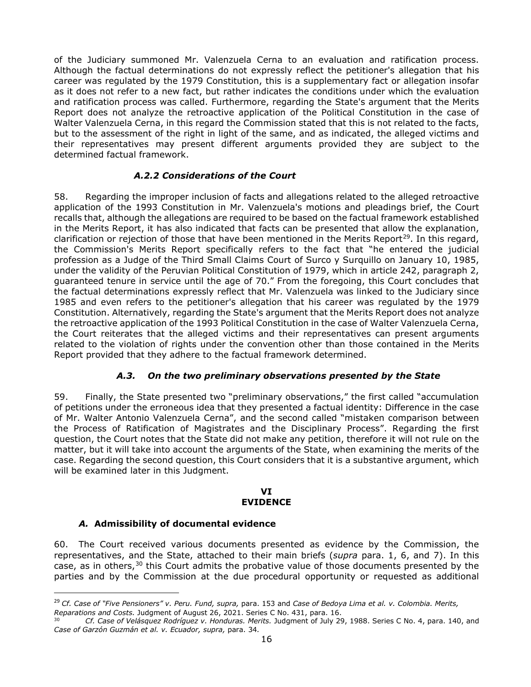of the Judiciary summoned Mr. Valenzuela Cerna to an evaluation and ratification process. Although the factual determinations do not expressly reflect the petitioner's allegation that his career was regulated by the 1979 Constitution, this is a supplementary fact or allegation insofar as it does not refer to a new fact, but rather indicates the conditions under which the evaluation and ratification process was called. Furthermore, regarding the State's argument that the Merits Report does not analyze the retroactive application of the Political Constitution in the case of Walter Valenzuela Cerna, in this regard the Commission stated that this is not related to the facts, but to the assessment of the right in light of the same, and as indicated, the alleged victims and their representatives may present different arguments provided they are subject to the determined factual framework.

# *A.2.2 Considerations of the Court*

58. Regarding the improper inclusion of facts and allegations related to the alleged retroactive application of the 1993 Constitution in Mr. Valenzuela's motions and pleadings brief, the Court recalls that, although the allegations are required to be based on the factual framework established in the Merits Report, it has also indicated that facts can be presented that allow the explanation, clarification or rejection of those that have been mentioned in the Merits Report<sup>[29](#page-15-3)</sup>. In this regard, the Commission's Merits Report specifically refers to the fact that "he entered the judicial profession as a Judge of the Third Small Claims Court of Surco y Surquillo on January 10, 1985, under the validity of the Peruvian Political Constitution of 1979, which in article 242, paragraph 2, guaranteed tenure in service until the age of 70." From the foregoing, this Court concludes that the factual determinations expressly reflect that Mr. Valenzuela was linked to the Judiciary since 1985 and even refers to the petitioner's allegation that his career was regulated by the 1979 Constitution. Alternatively, regarding the State's argument that the Merits Report does not analyze the retroactive application of the 1993 Political Constitution in the case of Walter Valenzuela Cerna, the Court reiterates that the alleged victims and their representatives can present arguments related to the violation of rights under the convention other than those contained in the Merits Report provided that they adhere to the factual framework determined.

#### *A.3. On the two preliminary observations presented by the State*

<span id="page-15-0"></span>59. Finally, the State presented two "preliminary observations," the first called "accumulation of petitions under the erroneous idea that they presented a factual identity: Difference in the case of Mr. Walter Antonio Valenzuela Cerna", and the second called "mistaken comparison between the Process of Ratification of Magistrates and the Disciplinary Process". Regarding the first question, the Court notes that the State did not make any petition, therefore it will not rule on the matter, but it will take into account the arguments of the State, when examining the merits of the case. Regarding the second question, this Court considers that it is a substantive argument, which will be examined later in this Judgment.

#### **VI EVIDENCE**

#### <span id="page-15-1"></span>*A.* **Admissibility of documental evidence**

<span id="page-15-2"></span>60. The Court received various documents presented as evidence by the Commission, the representatives, and the State, attached to their main briefs (*supra* para. 1, 6, and 7). In this case, as in others,<sup>[30](#page-15-4)</sup> this Court admits the probative value of those documents presented by the parties and by the Commission at the due procedural opportunity or requested as additional

<span id="page-15-3"></span><sup>29</sup> *Cf. Case of "Five Pensioners" v. Peru. Fund, supra,* para. 153 and *Case of Bedoya Lima et al. v. Colombia. Merits,* 

<span id="page-15-4"></span>*Reparations and Costs.* Judgment of August 26, 2021. Series C No. 431, para. 16.

<sup>30</sup> *Cf. Case of Velásquez Rodríguez v. Honduras. Merits.* Judgment of July 29, 1988. Series C No. 4, para. 140, and *Case of Garzón Guzmán et al. v. Ecuador, supra,* para. 34*.*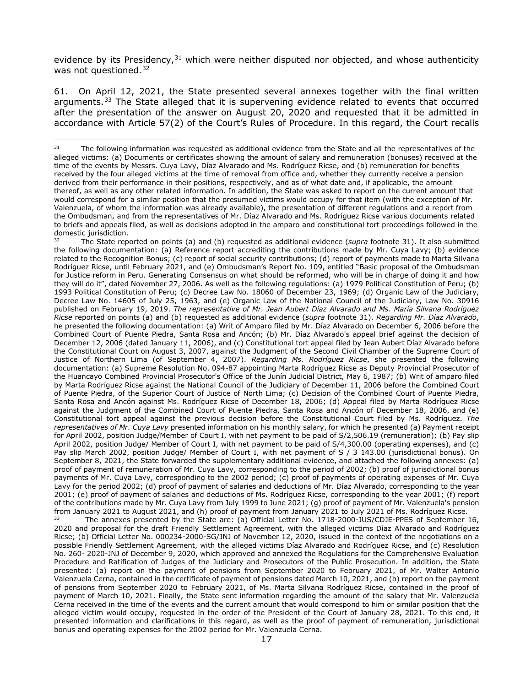evidence by its Presidency, $31$  which were neither disputed nor objected, and whose authenticity was not questioned.<sup>[32](#page-16-1)</sup>

61. On April 12, 2021, the State presented several annexes together with the final written arguments.<sup>[33](#page-16-2)</sup> The State alleged that it is supervening evidence related to events that occurred after the presentation of the answer on August 20, 2020 and requested that it be admitted in accordance with Article 57(2) of the Court's Rules of Procedure. In this regard, the Court recalls

<span id="page-16-1"></span><sup>32</sup> The State reported on points (a) and (b) requested as additional evidence (*supra* footnote 31). It also submitted the following documentation: (a) Reference report accrediting the contributions made by Mr. Cuya Lavy; (b) evidence related to the Recognition Bonus; (c) report of social security contributions; (d) report of payments made to Marta Silvana Rodríguez Ricse, until February 2021, and (e) Ombudsman's Report No. 109, entitled "Basic proposal of the Ombudsman for Justice reform in Peru. Generating Consensus on what should be reformed, who will be in charge of doing it and how they will do it", dated November 27, 2006. As well as the following regulations: (a) 1979 Political Constitution of Peru; (b) 1993 Political Constitution of Peru; (c) Decree Law No. 18060 of December 23, 1969; (d) Organic Law of the Judiciary, Decree Law No. 14605 of July 25, 1963, and (e) Organic Law of the National Council of the Judiciary, Law No. 30916 published on February 19, 2019. *The representative of Mr. Jean Aubert Díaz Alvarado and Ms. María Silvana Rodríguez Ricse* reported on points (a) and (b) requested as additional evidence (*supra* footnote 31). *Regarding Mr. Díaz Alvarado*, he presented the following documentation: (a) Writ of Amparo filed by Mr. Díaz Alvarado on December 6, 2006 before the Combined Court of Puente Piedra, Santa Rosa and Ancón; (b) Mr. Díaz Alvarado's appeal brief against the decision of December 12, 2006 (dated January 11, 2006), and (c) Constitutional tort appeal filed by Jean Aubert Díaz Alvarado before the Constitutional Court on August 3, 2007, against the Judgment of the Second Civil Chamber of the Supreme Court of Justice of Northern Lima (of September 4, 2007). *Regarding Ms. Rodríguez Ricse*, she presented the following documentation: (a) Supreme Resolution No. 094-87 appointing Marta Rodríguez Ricse as Deputy Provincial Prosecutor of the Huancayo Combined Provincial Prosecutor's Office of the Junín Judicial District, May 6, 1987; (b) Writ of amparo filed by Marta Rodríguez Ricse against the National Council of the Judiciary of December 11, 2006 before the Combined Court of Puente Piedra, of the Superior Court of Justice of North Lima; (c) Decision of the Combined Court of Puente Piedra, Santa Rosa and Ancón against Ms. Rodríguez Ricse of December 18, 2006; (d) Appeal filed by Marta Rodríguez Ricse against the Judgment of the Combined Court of Puente Piedra, Santa Rosa and Ancón of December 18, 2006, and (e) Constitutional tort appeal against the previous decision before the Constitutional Court filed by Ms. Rodríguez. *The representatives of Mr. Cuya Lavy* presented information on his monthly salary, for which he presented (a) Payment receipt for April 2002, position Judge/Member of Court I, with net payment to be paid of S/2,506.19 (remuneration); (b) Pay slip April 2002, position Judge/ Member of Court I, with net payment to be paid of S/4,300.00 (operating expenses), and (c) Pay slip March 2002, position Judge/ Member of Court I, with net payment of S / 3 143.00 (jurisdictional bonus). On September 8, 2021, the State forwarded the supplementary additional evidence, and attached the following annexes: (a) proof of payment of remuneration of Mr. Cuya Lavy, corresponding to the period of 2002; (b) proof of jurisdictional bonus payments of Mr. Cuya Lavy, corresponding to the 2002 period; (c) proof of payments of operating expenses of Mr. Cuya Lavy for the period 2002; (d) proof of payment of salaries and deductions of Mr. Díaz Alvarado, corresponding to the year 2001; (e) proof of payment of salaries and deductions of Ms. Rodríguez Ricse, corresponding to the year 2001; (f) report of the contributions made by Mr. Cuya Lavy from July 1999 to June 2021; (g) proof of payment of Mr. Valenzuela's pension from January 2021 to August 2021, and (h) proof of payment from January 2021 to July 2021 of Ms. Rodríguez Ricse.

<span id="page-16-2"></span>The annexes presented by the State are: (a) Official Letter No. 1718-2000-JUS/CDJE-PPES of September 16, 2020 and proposal for the draft Friendly Settlement Agreement, with the alleged victims Díaz Alvarado and Rodríguez Ricse; (b) Official Letter No. 000234-2000-SG/JNJ of November 12, 2020, issued in the context of the negotiations on a possible Friendly Settlement Agreement, with the alleged victims Díaz Alvarado and Rodríguez Ricse, and (c) Resolution No. 260- 2020-JNJ of December 9, 2020, which approved and annexed the Regulations for the Comprehensive Evaluation Procedure and Ratification of Judges of the Judiciary and Prosecutors of the Public Prosecution. In addition, the State presented: (a) report on the payment of pensions from September 2020 to February 2021, of Mr. Walter Antonio Valenzuela Cerna, contained in the certificate of payment of pensions dated March 10, 2021, and (b) report on the payment of pensions from September 2020 to February 2021, of Ms. Marta Silvana Rodríguez Ricse, contained in the proof of payment of March 10, 2021. Finally, the State sent information regarding the amount of the salary that Mr. Valenzuela Cerna received in the time of the events and the current amount that would correspond to him or similar position that the alleged victim would occupy, requested in the order of the President of the Court of January 28, 2021. To this end, it presented information and clarifications in this regard, as well as the proof of payment of remuneration, jurisdictional bonus and operating expenses for the 2002 period for Mr. Valenzuela Cerna.

<span id="page-16-0"></span><sup>&</sup>lt;sup>31</sup> The following information was requested as additional evidence from the State and all the representatives of the alleged victims: (a) Documents or certificates showing the amount of salary and remuneration (bonuses) received at the time of the events by Messrs. Cuya Lavy, Díaz Alvarado and Ms. Rodríguez Ricse, and (b) remuneration for benefits received by the four alleged victims at the time of removal from office and, whether they currently receive a pension derived from their performance in their positions, respectively, and as of what date and, if applicable, the amount thereof, as well as any other related information. In addition, the State was asked to report on the current amount that would correspond for a similar position that the presumed victims would occupy for that item (with the exception of Mr. Valenzuela, of whom the information was already available), the presentation of different regulations and a report from the Ombudsman, and from the representatives of Mr. Díaz Alvarado and Ms. Rodríguez Ricse various documents related to briefs and appeals filed, as well as decisions adopted in the amparo and constitutional tort proceedings followed in the domestic jurisdiction.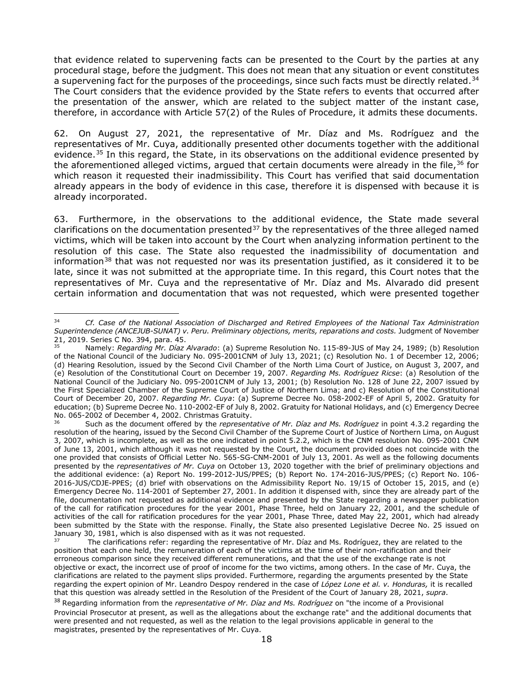that evidence related to supervening facts can be presented to the Court by the parties at any procedural stage, before the judgment. This does not mean that any situation or event constitutes a supervening fact for the purposes of the proceedings, since such facts must be directly related.<sup>[34](#page-17-0)</sup> The Court considers that the evidence provided by the State refers to events that occurred after the presentation of the answer, which are related to the subject matter of the instant case, therefore, in accordance with Article 57(2) of the Rules of Procedure, it admits these documents.

62. On August 27, 2021, the representative of Mr. Díaz and Ms. Rodríguez and the representatives of Mr. Cuya, additionally presented other documents together with the additional evidence.<sup>[35](#page-17-1)</sup> In this regard, the State, in its observations on the additional evidence presented by the aforementioned alleged victims, argued that certain documents were already in the file,  $36$  for which reason it requested their inadmissibility. This Court has verified that said documentation already appears in the body of evidence in this case, therefore it is dispensed with because it is already incorporated.

63. Furthermore, in the observations to the additional evidence, the State made several clarifications on the documentation presented $37$  by the representatives of the three alleged named victims, which will be taken into account by the Court when analyzing information pertinent to the resolution of this case. The State also requested the inadmissibility of documentation and information<sup>[38](#page-17-4)</sup> that was not requested nor was its presentation justified, as it considered it to be late, since it was not submitted at the appropriate time. In this regard, this Court notes that the representatives of Mr. Cuya and the representative of Mr. Díaz and Ms. Alvarado did present certain information and documentation that was not requested, which were presented together

<span id="page-17-0"></span><sup>34</sup> *Cf. Case of the National Association of Discharged and Retired Employees of the National Tax Administration Superintendence (ANCEJUB-SUNAT) v. Peru. Preliminary objections, merits, reparations and costs.* Judgment of November 21, 2019. Series C No. 394, para. 45.

<span id="page-17-1"></span><sup>35</sup> Namely: *Regarding Mr. Díaz Alvarado*: (a) Supreme Resolution No. 115-89-JUS of May 24, 1989; (b) Resolution of the National Council of the Judiciary No. 095-2001CNM of July 13, 2021; (c) Resolution No. 1 of December 12, 2006; (d) Hearing Resolution, issued by the Second Civil Chamber of the North Lima Court of Justice, on August 3, 2007, and (e) Resolution of the Constitutional Court on December 19, 2007. *Regarding Ms. Rodríguez Ricse*: (a) Resolution of the National Council of the Judiciary No. 095-2001CNM of July 13, 2001; (b) Resolution No. 128 of June 22, 2007 issued by the First Specialized Chamber of the Supreme Court of Justice of Northern Lima; and c) Resolution of the Constitutional Court of December 20, 2007. *Regarding Mr. Cuya*: (a) Supreme Decree No. 058-2002-EF of April 5, 2002. Gratuity for education; (b) Supreme Decree No. 110-2002-EF of July 8, 2002. Gratuity for National Holidays, and (c) Emergency Decree No. 065-2002 of December 4, 2002. Christmas Gratuity.

<span id="page-17-2"></span><sup>36</sup> Such as the document offered by the *representative of Mr. Díaz and Ms. Rodríguez* in point 4.3.2 regarding the resolution of the hearing, issued by the Second Civil Chamber of the Supreme Court of Justice of Northern Lima, on August 3, 2007, which is incomplete, as well as the one indicated in point 5.2.2, which is the CNM resolution No. 095-2001 CNM of June 13, 2001, which although it was not requested by the Court, the document provided does not coincide with the one provided that consists of Official Letter No. 565-SG-CNM-2001 of July 13, 2001. As well as the following documents presented by the *representatives of Mr. Cuya* on October 13, 2020 together with the brief of preliminary objections and the additional evidence: (a) Report No. 199-2012-JUS/PPES; (b) Report No. 174-2016-JUS/PPES; (c) Report No. 106- 2016-JUS/CDJE-PPES; (d) brief with observations on the Admissibility Report No. 19/15 of October 15, 2015, and (e) Emergency Decree No. 114-2001 of September 27, 2001. In addition it dispensed with, since they are already part of the file, documentation not requested as additional evidence and presented by the State regarding a newspaper publication of the call for ratification procedures for the year 2001, Phase Three, held on January 22, 2001, and the schedule of activities of the call for ratification procedures for the year 2001, Phase Three, dated May 22, 2001, which had already been submitted by the State with the response. Finally, the State also presented Legislative Decree No. 25 issued on January 30, 1981, which is also dispensed with as it was not requested.

<span id="page-17-3"></span>The clarifications refer: regarding the representative of Mr. Díaz and Ms. Rodríguez, they are related to the position that each one held, the remuneration of each of the victims at the time of their non-ratification and their erroneous comparison since they received different remunerations, and that the use of the exchange rate is not objective or exact, the incorrect use of proof of income for the two victims, among others. In the case of Mr. Cuya, the clarifications are related to the payment slips provided. Furthermore, regarding the arguments presented by the State regarding the expert opinion of Mr. Leandro Despoy rendered in the case of *López Lone et al. v. Honduras,* it is recalled that this question was already settled in the Resolution of the President of the Court of January 28, 2021, *supra*.

<span id="page-17-4"></span><sup>38</sup> Regarding information from the *representative of Mr. Díaz and Ms. Rodríguez* on "the income of a Provisional Provincial Prosecutor at present, as well as the allegations about the exchange rate" and the additional documents that were presented and not requested, as well as the relation to the legal provisions applicable in general to the magistrates, presented by the representatives of Mr. Cuya.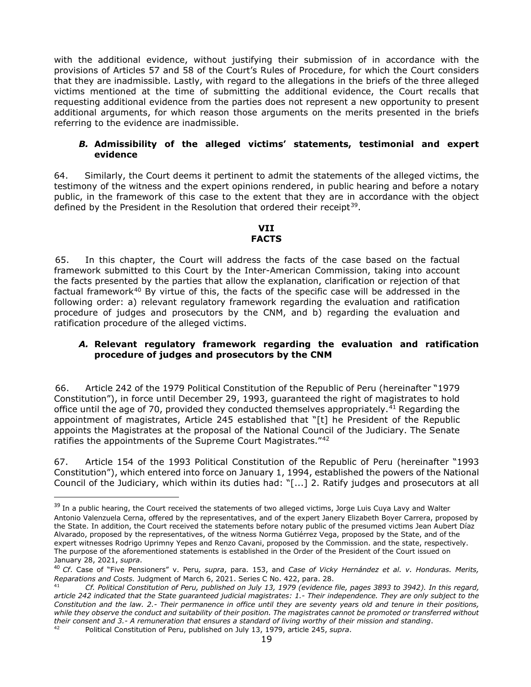with the additional evidence, without justifying their submission of in accordance with the provisions of Articles 57 and 58 of the Court's Rules of Procedure, for which the Court considers that they are inadmissible. Lastly, with regard to the allegations in the briefs of the three alleged victims mentioned at the time of submitting the additional evidence, the Court recalls that requesting additional evidence from the parties does not represent a new opportunity to present additional arguments, for which reason those arguments on the merits presented in the briefs referring to the evidence are inadmissible.

#### <span id="page-18-0"></span>*B.* **Admissibility of the alleged victims' statements, testimonial and expert evidence**

64. Similarly, the Court deems it pertinent to admit the statements of the alleged victims, the testimony of the witness and the expert opinions rendered, in public hearing and before a notary public, in the framework of this case to the extent that they are in accordance with the object defined by the President in the Resolution that ordered their receipt<sup>39</sup>.

#### **VII FACTS**

<span id="page-18-1"></span>65. In this chapter, the Court will address the facts of the case based on the factual framework submitted to this Court by the Inter-American Commission, taking into account the facts presented by the parties that allow the explanation, clarification or rejection of that factual framework<sup>[40](#page-18-3)</sup> By virtue of this, the facts of the specific case will be addressed in the following order: a) relevant regulatory framework regarding the evaluation and ratification procedure of judges and prosecutors by the CNM, and b) regarding the evaluation and ratification procedure of the alleged victims.

#### *A.* **Relevant regulatory framework regarding the evaluation and ratification procedure of judges and prosecutors by the CNM**

66. Article 242 of the 1979 Political Constitution of the Republic of Peru (hereinafter "1979 Constitution"), in force until December 29, 1993, guaranteed the right of magistrates to hold office until the age of 70, provided they conducted themselves appropriately.<sup>[41](#page-18-4)</sup> Regarding the appointment of magistrates, Article 245 established that "[t] he President of the Republic appoints the Magistrates at the proposal of the National Council of the Judiciary. The Senate ratifies the appointments of the Supreme Court Magistrates."<sup>[42](#page-18-5)</sup>

67. Article 154 of the 1993 Political Constitution of the Republic of Peru (hereinafter "1993 Constitution"), which entered into force on January 1, 1994, established the powers of the National Council of the Judiciary, which within its duties had: "[...] 2. Ratify judges and prosecutors at all

<span id="page-18-2"></span><sup>&</sup>lt;sup>39</sup> In a public hearing, the Court received the statements of two alleged victims, Jorge Luis Cuya Lavy and Walter Antonio Valenzuela Cerna, offered by the representatives, and of the expert Janery Elizabeth Boyer Carrera, proposed by the State. In addition, the Court received the statements before notary public of the presumed victims Jean Aubert Díaz Alvarado, proposed by the representatives, of the witness Norma Gutiérrez Vega, proposed by the State, and of the expert witnesses Rodrigo Uprimny Yepes and Renzo Cavani, proposed by the Commission. and the state, respectively. The purpose of the aforementioned statements is established in the Order of the President of the Court issued on January 28, 2021, *supra*.

<span id="page-18-3"></span><sup>40</sup> *Cf*. Case of "Five Pensioners" v. Peru*, supra*, para. 153, and *Case of Vicky Hernández et al. v. Honduras. Merits, Reparations and Costs.* Judgment of March 6, 2021. Series C No. 422, para. 28.

<span id="page-18-4"></span><sup>41</sup> *Cf. Political Constitution of Peru, published on July 13, 1979 (evidence file, pages 3893 to 3942). In this regard, article 242 indicated that the State guaranteed judicial magistrates: 1.- Their independence. They are only subject to the Constitution and the law. 2.- Their permanence in office until they are seventy years old and tenure in their positions, while they observe the conduct and suitability of their position. The magistrates cannot be promoted or transferred without their consent and 3.- A remuneration that ensures a standard of living worthy of their mission and standing*.

<span id="page-18-5"></span><sup>42</sup> Political Constitution of Peru, published on July 13, 1979, article 245, *supra*.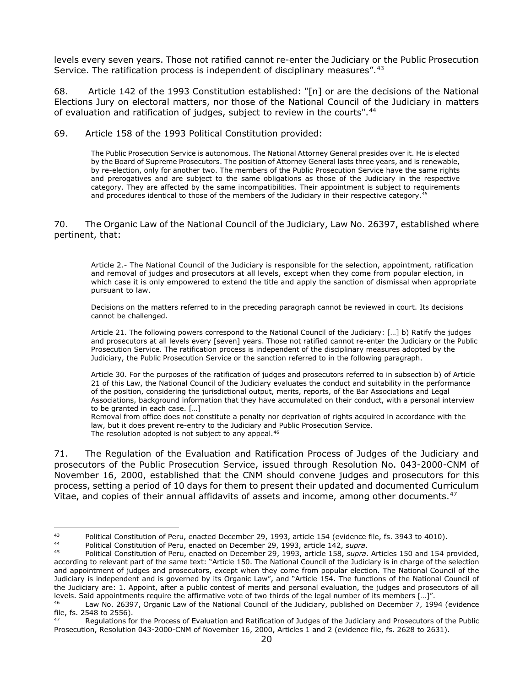levels every seven years. Those not ratified cannot re-enter the Judiciary or the Public Prosecution Service. The ratification process is independent of disciplinary measures".<sup>[43](#page-19-0)</sup>

68. Article 142 of the 1993 Constitution established: "[n] or are the decisions of the National Elections Jury on electoral matters, nor those of the National Council of the Judiciary in matters of evaluation and ratification of judges, subject to review in the courts".[44](#page-19-1)

69. Article 158 of the 1993 Political Constitution provided:

The Public Prosecution Service is autonomous. The National Attorney General presides over it. He is elected by the Board of Supreme Prosecutors. The position of Attorney General lasts three years, and is renewable, by re-election, only for another two. The members of the Public Prosecution Service have the same rights and prerogatives and are subject to the same obligations as those of the Judiciary in the respective category. They are affected by the same incompatibilities. Their appointment is subject to requirements and procedures identical to those of the members of the Judiciary in their respective category.<sup>[45](#page-19-2)</sup>

70. The Organic Law of the National Council of the Judiciary, Law No. 26397, established where pertinent, that:

Article 2.- The National Council of the Judiciary is responsible for the selection, appointment, ratification and removal of judges and prosecutors at all levels, except when they come from popular election, in which case it is only empowered to extend the title and apply the sanction of dismissal when appropriate pursuant to law.

Decisions on the matters referred to in the preceding paragraph cannot be reviewed in court. Its decisions cannot be challenged.

Article 21. The following powers correspond to the National Council of the Judiciary: […] b) Ratify the judges and prosecutors at all levels every [seven] years. Those not ratified cannot re-enter the Judiciary or the Public Prosecution Service. The ratification process is independent of the disciplinary measures adopted by the Judiciary, the Public Prosecution Service or the sanction referred to in the following paragraph.

Article 30. For the purposes of the ratification of judges and prosecutors referred to in subsection b) of Article 21 of this Law, the National Council of the Judiciary evaluates the conduct and suitability in the performance of the position, considering the jurisdictional output, merits, reports, of the Bar Associations and Legal Associations, background information that they have accumulated on their conduct, with a personal interview to be granted in each case. […]

Removal from office does not constitute a penalty nor deprivation of rights acquired in accordance with the law, but it does prevent re-entry to the Judiciary and Public Prosecution Service. The resolution adopted is not subject to any appeal.<sup>[46](#page-19-3)</sup>

71. The Regulation of the Evaluation and Ratification Process of Judges of the Judiciary and prosecutors of the Public Prosecution Service, issued through Resolution No. 043-2000-CNM of November 16, 2000, established that the CNM should convene judges and prosecutors for this process, setting a period of 10 days for them to present their updated and documented Curriculum Vitae, and copies of their annual affidavits of assets and income, among other documents.<sup>[47](#page-19-4)</sup>

<span id="page-19-0"></span><sup>&</sup>lt;sup>43</sup> Political Constitution of Peru, enacted December 29, 1993, article 154 (evidence file, fs. 3943 to 4010).

<span id="page-19-1"></span><sup>44</sup> Political Constitution of Peru, enacted on December 29, 1993, article 142, *supra*.

<span id="page-19-2"></span><sup>45</sup> Political Constitution of Peru, enacted on December 29, 1993, article 158, *supra*. Articles 150 and 154 provided, according to relevant part of the same text: "Article 150. The National Council of the Judiciary is in charge of the selection and appointment of judges and prosecutors, except when they come from popular election. The National Council of the Judiciary is independent and is governed by its Organic Law", and "Article 154. The functions of the National Council of the Judiciary are: 1. Appoint, after a public contest of merits and personal evaluation, the judges and prosecutors of all levels. Said appointments require the affirmative vote of two thirds of the legal number of its members […]".

<span id="page-19-3"></span>Law No. 26397, Organic Law of the National Council of the Judiciary, published on December 7, 1994 (evidence file, fs. 2548 to 2556).

<span id="page-19-4"></span>Regulations for the Process of Evaluation and Ratification of Judges of the Judiciary and Prosecutors of the Public Prosecution, Resolution 043-2000-CNM of November 16, 2000, Articles 1 and 2 (evidence file, fs. 2628 to 2631).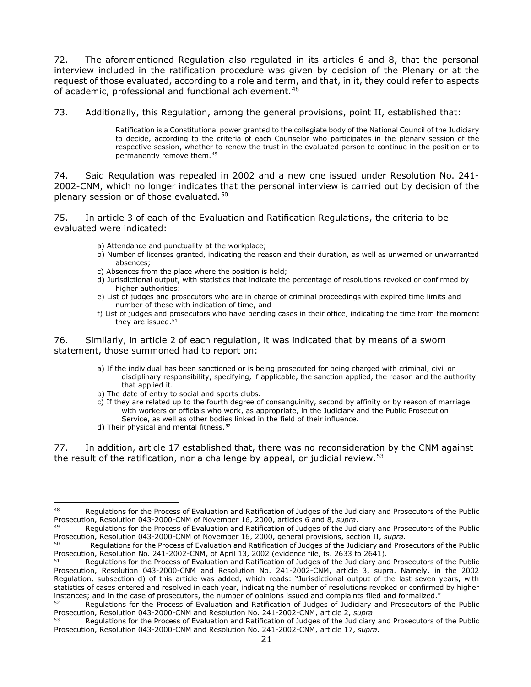72. The aforementioned Regulation also regulated in its articles 6 and 8, that the personal interview included in the ratification procedure was given by decision of the Plenary or at the request of those evaluated, according to a role and term, and that, in it, they could refer to aspects of academic, professional and functional achievement.<sup>48</sup>

73. Additionally, this Regulation, among the general provisions, point II, established that:

Ratification is a Constitutional power granted to the collegiate body of the National Council of the Judiciary to decide, according to the criteria of each Counselor who participates in the plenary session of the respective session, whether to renew the trust in the evaluated person to continue in the position or to permanently remove them.[49](#page-20-1)

74. Said Regulation was repealed in 2002 and a new one issued under Resolution No. 241- 2002-CNM, which no longer indicates that the personal interview is carried out by decision of the plenary session or of those evaluated.[50](#page-20-2)

75. In article 3 of each of the Evaluation and Ratification Regulations, the criteria to be evaluated were indicated:

- a) Attendance and punctuality at the workplace;
- b) Number of licenses granted, indicating the reason and their duration, as well as unwarned or unwarranted absences;
- c) Absences from the place where the position is held;
- d) Jurisdictional output, with statistics that indicate the percentage of resolutions revoked or confirmed by higher authorities:
- e) List of judges and prosecutors who are in charge of criminal proceedings with expired time limits and number of these with indication of time, and
- f) List of judges and prosecutors who have pending cases in their office, indicating the time from the moment they are issued.<sup>51</sup>

76. Similarly, in article 2 of each regulation, it was indicated that by means of a sworn statement, those summoned had to report on:

- a) If the individual has been sanctioned or is being prosecuted for being charged with criminal, civil or disciplinary responsibility, specifying, if applicable, the sanction applied, the reason and the authority that applied it.
- b) The date of entry to social and sports clubs.
- c) If they are related up to the fourth degree of consanguinity, second by affinity or by reason of marriage with workers or officials who work, as appropriate, in the Judiciary and the Public Prosecution Service, as well as other bodies linked in the field of their influence.
- d) Their physical and mental fitness.<sup>[52](#page-20-4)</sup>

77. In addition, article 17 established that, there was no reconsideration by the CNM against the result of the ratification, nor a challenge by appeal, or judicial review.<sup>[53](#page-20-5)</sup>

<span id="page-20-0"></span><sup>48</sup> Regulations for the Process of Evaluation and Ratification of Judges of the Judiciary and Prosecutors of the Public Prosecution, Resolution 043-2000-CNM of November 16, 2000, articles 6 and 8, *supra*.

<span id="page-20-1"></span><sup>49</sup> Regulations for the Process of Evaluation and Ratification of Judges of the Judiciary and Prosecutors of the Public<br>Prosecution, Resolution 043-2000-CNM of November 16, 2000, general provisions, section II, *supra*.

<span id="page-20-2"></span><sup>&</sup>lt;sup>50</sup> Requiations for the Process of Evaluation and Ratification of Judges of the Judiciary and Prosecutors of the Public Prosecution, Resolution No. 241-2002-CNM, of April 13, 2002 (evidence file, fs. 2633 to 2641).

<span id="page-20-3"></span>Regulations for the Process of Evaluation and Ratification of Judges of the Judiciary and Prosecutors of the Public Prosecution, Resolution 043-2000-CNM and Resolution No. 241-2002-CNM, article 3, supra. Namely, in the 2002 Regulation, subsection d) of this article was added, which reads: "Jurisdictional output of the last seven years, with statistics of cases entered and resolved in each year, indicating the number of resolutions revoked or confirmed by higher instances; and in the case of prosecutors, the number of opinions issued and complaints filed and formalized."

<span id="page-20-4"></span><sup>52</sup> Regulations for the Process of Evaluation and Ratification of Judges of Judiciary and Prosecutors of the Public Prosecution, Resolution 043-2000-CNM and Resolution No. 241-2002-CNM, article 2, *supra*.

<span id="page-20-5"></span>Regulations for the Process of Evaluation and Ratification of Judges of the Judiciary and Prosecutors of the Public Prosecution, Resolution 043-2000-CNM and Resolution No. 241-2002-CNM, article 17, *supra*.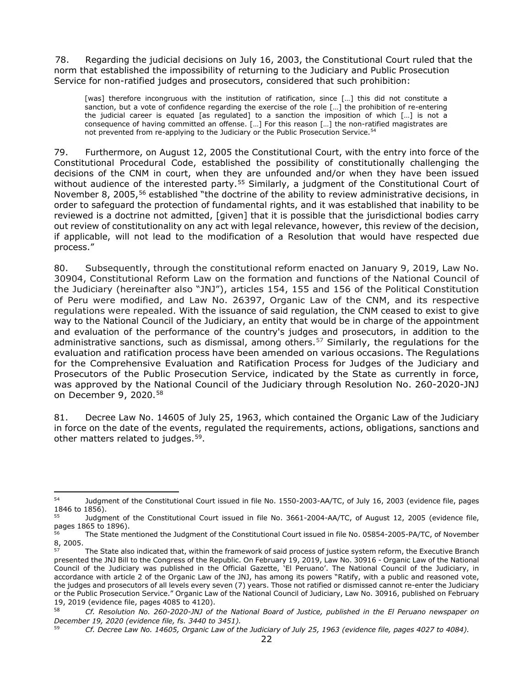78. Regarding the judicial decisions on July 16, 2003, the Constitutional Court ruled that the norm that established the impossibility of returning to the Judiciary and Public Prosecution Service for non-ratified judges and prosecutors, considered that such prohibition:

[was] therefore incongruous with the institution of ratification, since [...] this did not constitute a sanction, but a vote of confidence regarding the exercise of the role […] the prohibition of re-entering the judicial career is equated [as regulated] to a sanction the imposition of which […] is not a consequence of having committed an offense. […] For this reason […] the non-ratified magistrates are not prevented from re-applying to the Judiciary or the Public Prosecution Service.<sup>54</sup>

79. Furthermore, on August 12, 2005 the Constitutional Court, with the entry into force of the Constitutional Procedural Code, established the possibility of constitutionally challenging the decisions of the CNM in court, when they are unfounded and/or when they have been issued without audience of the interested party.<sup>[55](#page-21-1)</sup> Similarly, a judgment of the Constitutional Court of November 8, 2005,<sup>[56](#page-21-2)</sup> established "the doctrine of the ability to review administrative decisions, in order to safeguard the protection of fundamental rights, and it was established that inability to be reviewed is a doctrine not admitted, [given] that it is possible that the jurisdictional bodies carry out review of constitutionality on any act with legal relevance, however, this review of the decision, if applicable, will not lead to the modification of a Resolution that would have respected due process."

80. Subsequently, through the constitutional reform enacted on January 9, 2019, Law No. 30904, Constitutional Reform Law on the formation and functions of the National Council of the Judiciary (hereinafter also "JNJ"), articles 154, 155 and 156 of the Political Constitution of Peru were modified, and Law No. 26397, Organic Law of the CNM, and its respective regulations were repealed. With the issuance of said regulation, the CNM ceased to exist to give way to the National Council of the Judiciary, an entity that would be in charge of the appointment and evaluation of the performance of the country's judges and prosecutors, in addition to the administrative sanctions, such as dismissal, among others.<sup>[57](#page-21-3)</sup> Similarly, the regulations for the evaluation and ratification process have been amended on various occasions. The Regulations for the Comprehensive Evaluation and Ratification Process for Judges of the Judiciary and Prosecutors of the Public Prosecution Service, indicated by the State as currently in force, was approved by the National Council of the Judiciary through Resolution No. 260-2020-JNJ on December 9, 2020.[58](#page-21-4)

81. Decree Law No. 14605 of July 25, 1963, which contained the Organic Law of the Judiciary in force on the date of the events, regulated the requirements, actions, obligations, sanctions and other matters related to judges.<sup>59</sup>.

<span id="page-21-0"></span><sup>54</sup> Judgment of the Constitutional Court issued in file No. 1550-2003-AA/TC, of July 16, 2003 (evidence file, pages 1846 to 1856).

<span id="page-21-1"></span><sup>&</sup>lt;sup>55</sup> Judgment of the Constitutional Court issued in file No. 3661-2004-AA/TC, of August 12, 2005 (evidence file, pages 1865 to 1896).

<span id="page-21-2"></span>The State mentioned the Judgment of the Constitutional Court issued in file No. 05854-2005-PA/TC, of November 8, 2005.

<span id="page-21-3"></span>The State also indicated that, within the framework of said process of justice system reform, the Executive Branch presented the JNJ Bill to the Congress of the Republic. On February 19, 2019, Law No. 30916 - Organic Law of the National Council of the Judiciary was published in the Official Gazette, 'El Peruano'. The National Council of the Judiciary, in accordance with article 2 of the Organic Law of the JNJ, has among its powers "Ratify, with a public and reasoned vote, the judges and prosecutors of all levels every seven (7) years. Those not ratified or dismissed cannot re-enter the Judiciary or the Public Prosecution Service." Organic Law of the National Council of Judiciary, Law No. 30916, published on February 19, 2019 (evidence file, pages 4085 to 4120).

<span id="page-21-4"></span><sup>58</sup> *Cf. Resolution No. 260-2020-JNJ of the National Board of Justice, published in the El Peruano newspaper on December 19, 2020 (evidence file, fs. 3440 to 3451).*

<span id="page-21-5"></span><sup>59</sup> *Cf. Decree Law No. 14605, Organic Law of the Judiciary of July 25, 1963 (evidence file, pages 4027 to 4084).*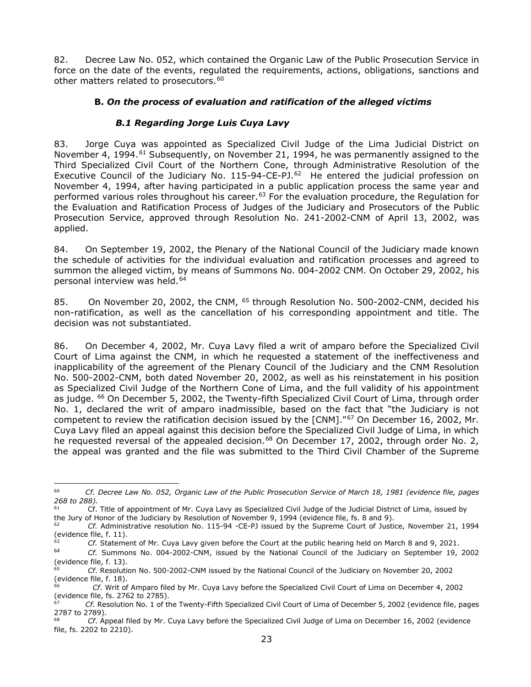82. Decree Law No. 052, which contained the Organic Law of the Public Prosecution Service in force on the date of the events, regulated the requirements, actions, obligations, sanctions and other matters related to prosecutors.<sup>[60](#page-22-2)</sup>

# <span id="page-22-0"></span>**B.** *On the process of evaluation and ratification of the alleged victims*

# *B.1 Regarding Jorge Luis Cuya Lavy*

<span id="page-22-1"></span>83. Jorge Cuya was appointed as Specialized Civil Judge of the Lima Judicial District on November 4, 1994.<sup>[61](#page-22-3)</sup> Subsequently, on November 21, 1994, he was permanently assigned to the Third Specialized Civil Court of the Northern Cone, through Administrative Resolution of the Executive Council of the Judiciary No. 115-94-CE-PJ.<sup>[62](#page-22-4)</sup> He entered the judicial profession on November 4, 1994, after having participated in a public application process the same year and performed various roles throughout his career.<sup>[63](#page-22-5)</sup> For the evaluation procedure, the Regulation for the Evaluation and Ratification Process of Judges of the Judiciary and Prosecutors of the Public Prosecution Service, approved through Resolution No. 241-2002-CNM of April 13, 2002, was applied.

84. On September 19, 2002, the Plenary of the National Council of the Judiciary made known the schedule of activities for the individual evaluation and ratification processes and agreed to summon the alleged victim, by means of Summons No. 004-2002 CNM. On October 29, 2002, his personal interview was held.<sup>[64](#page-22-6)</sup>

85. On November 20, 2002, the CNM, [65](#page-22-7) through Resolution No. 500-2002-CNM, decided his non-ratification, as well as the cancellation of his corresponding appointment and title. The decision was not substantiated.

86. On December 4, 2002, Mr. Cuya Lavy filed a writ of amparo before the Specialized Civil Court of Lima against the CNM, in which he requested a statement of the ineffectiveness and inapplicability of the agreement of the Plenary Council of the Judiciary and the CNM Resolution No. 500-2002-CNM, both dated November 20, 2002, as well as his reinstatement in his position as Specialized Civil Judge of the Northern Cone of Lima, and the full validity of his appointment as judge. <sup>66</sup> On December 5, 2002, the Twenty-fifth Specialized Civil Court of Lima, through order No. 1, declared the writ of amparo inadmissible, based on the fact that "the Judiciary is not competent to review the ratification decision issued by the [CNM]."<sup>[67](#page-22-9)</sup> On December 16, 2002, Mr. Cuya Lavy filed an appeal against this decision before the Specialized Civil Judge of Lima, in which he requested reversal of the appealed decision.<sup>[68](#page-22-10)</sup> On December 17, 2002, through order No. 2, the appeal was granted and the file was submitted to the Third Civil Chamber of the Supreme

<span id="page-22-2"></span><sup>60</sup> *Cf. Decree Law No. 052, Organic Law of the Public Prosecution Service of March 18, 1981 (evidence file, pages 268 to 288).*

<span id="page-22-3"></span><sup>61</sup> Cf. Title of appointment of Mr. Cuya Lavy as Specialized Civil Judge of the Judicial District of Lima, issued by the Jury of Honor of the Judiciary by Resolution of November 9, 1994 (evidence file, fs. 8 and 9).<br>
Cf. Administrative resolution No. 115, 04, CF, PJ issued by the Supreme Court of Justice

<span id="page-22-4"></span><sup>62</sup> *Cf.* Administrative resolution No. 115-94 -CE-PJ issued by the Supreme Court of Justice, November 21, 1994 (evidence file, f. 11).

<span id="page-22-6"></span><span id="page-22-5"></span><sup>63</sup> *Cf.* Statement of Mr. Cuya Lavy given before the Court at the public hearing held on March 8 and 9, 2021.

<sup>64</sup> *Cf.* Summons No. 004-2002-CNM, issued by the National Council of the Judiciary on September 19, 2002 (evidence file, f. 13).

<span id="page-22-7"></span><sup>65</sup> *Cf*. Resolution No. 500-2002-CNM issued by the National Council of the Judiciary on November 20, 2002 (evidence file, f. 18).

<span id="page-22-8"></span><sup>66</sup> *Cf*. Writ of Amparo filed by Mr. Cuya Lavy before the Specialized Civil Court of Lima on December 4, 2002 (evidence file, fs. 2762 to 2785).

<span id="page-22-9"></span><sup>67</sup> *Cf.* Resolution No. 1 of the Twenty-Fifth Specialized Civil Court of Lima of December 5, 2002 (evidence file, pages  $2787$  to 2789).

<span id="page-22-10"></span><sup>68</sup> *Cf*. Appeal filed by Mr. Cuya Lavy before the Specialized Civil Judge of Lima on December 16, 2002 (evidence file, fs. 2202 to 2210).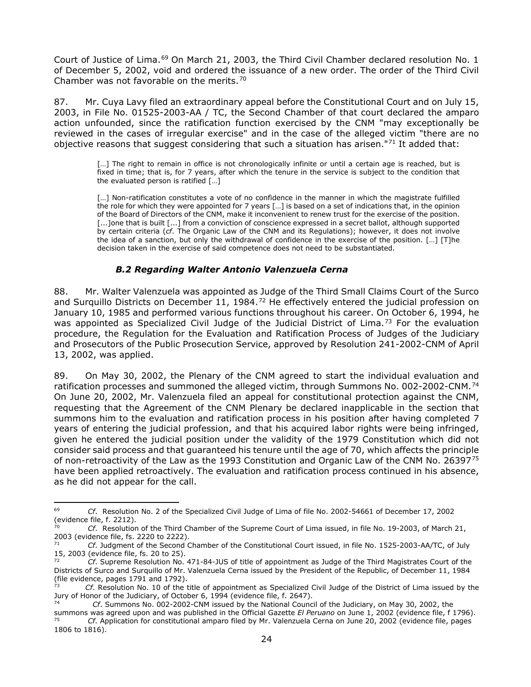Court of Justice of Lima.<sup>[69](#page-23-1)</sup> On March 21, 2003, the Third Civil Chamber declared resolution No. 1 of December 5, 2002, void and ordered the issuance of a new order. The order of the Third Civil Chamber was not favorable on the merits.<sup>[70](#page-23-2)</sup>

87. Mr. Cuya Lavy filed an extraordinary appeal before the Constitutional Court and on July 15, 2003, in File No. 01525-2003-AA / TC, the Second Chamber of that court declared the amparo action unfounded, since the ratification function exercised by the CNM "may exceptionally be reviewed in the cases of irregular exercise" and in the case of the alleged victim "there are no objective reasons that suggest considering that such a situation has arisen."<sup>[71](#page-23-3)</sup> It added that:

> [...] The right to remain in office is not chronologically infinite or until a certain age is reached, but is fixed in time; that is, for 7 years, after which the tenure in the service is subject to the condition that the evaluated person is ratified […]

> [...] Non-ratification constitutes a vote of no confidence in the manner in which the magistrate fulfilled the role for which they were appointed for 7 years […] is based on a set of indications that, in the opinion of the Board of Directors of the CNM, make it inconvenient to renew trust for the exercise of the position. [...]one that is built [...] from a conviction of conscience expressed in a secret ballot, although supported by certain criteria (*cf*. The Organic Law of the CNM and its Regulations); however, it does not involve the idea of a sanction, but only the withdrawal of confidence in the exercise of the position. […] [T]he decision taken in the exercise of said competence does not need to be substantiated.

# *B.2 Regarding Walter Antonio Valenzuela Cerna*

<span id="page-23-0"></span>88. Mr. Walter Valenzuela was appointed as Judge of the Third Small Claims Court of the Surco and Surguillo Districts on December 11, 1984.<sup>[72](#page-23-4)</sup> He effectively entered the judicial profession on January 10, 1985 and performed various functions throughout his career. On October 6, 1994, he was appointed as Specialized Civil Judge of the Judicial District of Lima.<sup>[73](#page-23-5)</sup> For the evaluation procedure, the Regulation for the Evaluation and Ratification Process of Judges of the Judiciary and Prosecutors of the Public Prosecution Service, approved by Resolution 241-2002-CNM of April 13, 2002, was applied.

89. On May 30, 2002, the Plenary of the CNM agreed to start the individual evaluation and ratification processes and summoned the alleged victim, through Summons No. 002-2002-CNM.[74](#page-23-6) On June 20, 2002, Mr. Valenzuela filed an appeal for constitutional protection against the CNM, requesting that the Agreement of the CNM Plenary be declared inapplicable in the section that summons him to the evaluation and ratification process in his position after having completed 7 years of entering the judicial profession, and that his acquired labor rights were being infringed, given he entered the judicial position under the validity of the 1979 Constitution which did not consider said process and that guaranteed his tenure until the age of 70, which affects the principle of non-retroactivity of the Law as the 1993 Constitution and Organic Law of the CNM No. 26397<sup>[75](#page-23-7)</sup> have been applied retroactively. The evaluation and ratification process continued in his absence, as he did not appear for the call.

<span id="page-23-1"></span><sup>69</sup> *Cf*. Resolution No. 2 of the Specialized Civil Judge of Lima of file No. 2002-54661 of December 17, 2002 (evidence file, f. 2212).

<span id="page-23-2"></span><sup>70</sup> *Cf*. Resolution of the Third Chamber of the Supreme Court of Lima issued, in file No. 19-2003, of March 21, 2003 (evidence file, fs. 2220 to 2222).<br> $\frac{71}{71}$  Cf. Judament of the Second C

<span id="page-23-3"></span><sup>71</sup> *Cf*. Judgment of the Second Chamber of the Constitutional Court issued, in file No. 1525-2003-AA/TC, of July 15, 2003 (evidence file, fs. 20 to 25).

<span id="page-23-4"></span>Cf. Supreme Resolution No. 471-84-JUS of title of appointment as Judge of the Third Magistrates Court of the Districts of Surco and Surquillo of Mr. Valenzuela Cerna issued by the President of the Republic, of December 11, 1984 (file evidence, pages 1791 and 1792).

<span id="page-23-5"></span><sup>73</sup> *Cf*. Resolution No. 10 of the title of appointment as Specialized Civil Judge of the District of Lima issued by the Jury of Honor of the Judiciary, of October 6, 1994 (evidence file, f. 2647).

<span id="page-23-6"></span><sup>74</sup> *Cf*. Summons No. 002-2002-CNM issued by the National Council of the Judiciary, on May 30, 2002, the

<span id="page-23-7"></span>summons was agreed upon and was published in the Official Gazette *El Peruano* on June 1, 2002 (evidence file, f 1796). <sup>75</sup> *Cf*. Application for constitutional amparo filed by Mr. Valenzuela Cerna on June 20, 2002 (evidence file, pages 1806 to 1816).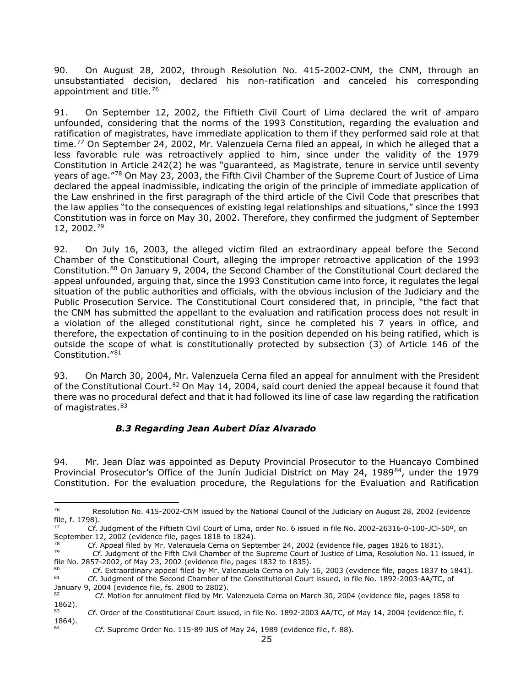90. On August 28, 2002, through Resolution No. 415-2002-CNM, the CNM, through an unsubstantiated decision, declared his non-ratification and canceled his corresponding appointment and title.<sup>[76](#page-24-1)</sup>

91. On September 12, 2002, the Fiftieth Civil Court of Lima declared the writ of amparo unfounded, considering that the norms of the 1993 Constitution, regarding the evaluation and ratification of magistrates, have immediate application to them if they performed said role at that time.<sup>[77](#page-24-2)</sup> On September 24, 2002, Mr. Valenzuela Cerna filed an appeal, in which he alleged that a less favorable rule was retroactively applied to him, since under the validity of the 1979 Constitution in Article 242(2) he was "guaranteed, as Magistrate, tenure in service until seventy years of age."[78](#page-24-3) On May 23, 2003, the Fifth Civil Chamber of the Supreme Court of Justice of Lima declared the appeal inadmissible, indicating the origin of the principle of immediate application of the Law enshrined in the first paragraph of the third article of the Civil Code that prescribes that the law applies "to the consequences of existing legal relationships and situations," since the 1993 Constitution was in force on May 30, 2002. Therefore, they confirmed the judgment of September 12, 2002.[79](#page-24-4)

92. On July 16, 2003, the alleged victim filed an extraordinary appeal before the Second Chamber of the Constitutional Court, alleging the improper retroactive application of the 1993 Constitution.[80](#page-24-5) On January 9, 2004, the Second Chamber of the Constitutional Court declared the appeal unfounded, arguing that, since the 1993 Constitution came into force, it regulates the legal situation of the public authorities and officials, with the obvious inclusion of the Judiciary and the Public Prosecution Service. The Constitutional Court considered that, in principle, "the fact that the CNM has submitted the appellant to the evaluation and ratification process does not result in a violation of the alleged constitutional right, since he completed his 7 years in office, and therefore, the expectation of continuing to in the position depended on his being ratified, which is outside the scope of what is constitutionally protected by subsection (3) of Article 146 of the Constitution."[81](#page-24-6)

93. On March 30, 2004, Mr. Valenzuela Cerna filed an appeal for annulment with the President of the Constitutional Court.<sup>[82](#page-24-7)</sup> On May 14, 2004, said court denied the appeal because it found that there was no procedural defect and that it had followed its line of case law regarding the ratification of magistrates.<sup>[83](#page-24-8)</sup>

#### *B.3 Regarding Jean Aubert Díaz Alvarado*

<span id="page-24-0"></span>94. Mr. Jean Díaz was appointed as Deputy Provincial Prosecutor to the Huancayo Combined Provincial Prosecutor's Office of the Junín Judicial District on May 24, 1989<sup>[84](#page-24-9)</sup>, under the 1979 Constitution. For the evaluation procedure, the Regulations for the Evaluation and Ratification

<span id="page-24-1"></span><sup>76</sup> Resolution No. 415-2002-CNM issued by the National Council of the Judiciary on August 28, 2002 (evidence file, f. 1798).

<span id="page-24-2"></span><sup>77</sup> *Cf*. Judgment of the Fiftieth Civil Court of Lima, order No. 6 issued in file No. 2002-26316-0-100-JCl-50º, on September 12, 2002 (evidence file, pages 1818 to 1824).

<span id="page-24-3"></span><sup>&</sup>lt;sup>78</sup> *Cf.* Appeal filed by Mr. Valenzuela Cerna on September 24, 2002 (evidence file, pages 1826 to 1831).

<span id="page-24-4"></span><sup>79</sup> *Cf*. Judgment of the Fifth Civil Chamber of the Supreme Court of Justice of Lima, Resolution No. 11 issued, in file No. 2857-2002, of May 23, 2002 (evidence file, pages 1832 to 1835).

<span id="page-24-6"></span><span id="page-24-5"></span><sup>80</sup> *Cf.* Extraordinary appeal filed by Mr. Valenzuela Cerna on July 16, 2003 (evidence file, pages 1837 to 1841). <sup>81</sup> *Cf*. Judgment of the Second Chamber of the Constitutional Court issued, in file No. 1892-2003-AA/TC, of

January 9, 2004 (evidence file, fs. 2800 to 2802).

<span id="page-24-7"></span><sup>82</sup> *Cf*. Motion for annulment filed by Mr. Valenzuela Cerna on March 30, 2004 (evidence file, pages 1858 to  $1862$ ).

<span id="page-24-9"></span><span id="page-24-8"></span><sup>83</sup> *Cf*. Order of the Constitutional Court issued, in file No. 1892-2003 AA/TC, of May 14, 2004 (evidence file, f. 1864). 84 *Cf*. Supreme Order No. 115-89 JUS of May 24, 1989 (evidence file, f. 88).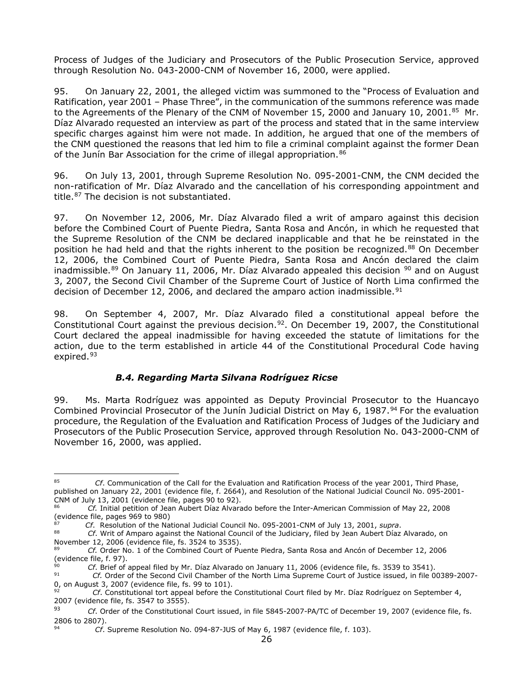Process of Judges of the Judiciary and Prosecutors of the Public Prosecution Service, approved through Resolution No. 043-2000-CNM of November 16, 2000, were applied.

95. On January 22, 2001, the alleged victim was summoned to the "Process of Evaluation and Ratification, year 2001 – Phase Three", in the communication of the summons reference was made to the Agreements of the Plenary of the CNM of November 15, 2000 and January 10, 2001.<sup>[85](#page-25-1)</sup> Mr. Díaz Alvarado requested an interview as part of the process and stated that in the same interview specific charges against him were not made. In addition, he argued that one of the members of the CNM questioned the reasons that led him to file a criminal complaint against the former Dean of the Junín Bar Association for the crime of illegal appropriation.<sup>[86](#page-25-2)</sup>

96. On July 13, 2001, through Supreme Resolution No. 095-2001-CNM, the CNM decided the non-ratification of Mr. Díaz Alvarado and the cancellation of his corresponding appointment and title.<sup>[87](#page-25-3)</sup> The decision is not substantiated.

97. On November 12, 2006, Mr. Díaz Alvarado filed a writ of amparo against this decision before the Combined Court of Puente Piedra, Santa Rosa and Ancón, in which he requested that the Supreme Resolution of the CNM be declared inapplicable and that he be reinstated in the position he had held and that the rights inherent to the position be recognized.<sup>[88](#page-25-4)</sup> On December 12, 2006, the Combined Court of Puente Piedra, Santa Rosa and Ancón declared the claim inadmissible.<sup>[89](#page-25-5)</sup> On January 11, 2006, Mr. Díaz Alvarado appealed this decision  $90$  and on August 3, 2007, the Second Civil Chamber of the Supreme Court of Justice of North Lima confirmed the decision of December 12, 2006, and declared the amparo action inadmissible.<sup>[91](#page-25-7)</sup>

98. On September 4, 2007, Mr. Díaz Alvarado filed a constitutional appeal before the Constitutional Court against the previous decision.<sup>[92](#page-25-8)</sup>. On December 19, 2007, the Constitutional Court declared the appeal inadmissible for having exceeded the statute of limitations for the action, due to the term established in article 44 of the Constitutional Procedural Code having expired.<sup>[93](#page-25-9)</sup>

#### *B.4. Regarding Marta Silvana Rodríguez Ricse*

<span id="page-25-0"></span>99. Ms. Marta Rodríguez was appointed as Deputy Provincial Prosecutor to the Huancayo Combined Provincial Prosecutor of the Junín Judicial District on May 6, 1987.<sup>[94](#page-25-10)</sup> For the evaluation procedure, the Regulation of the Evaluation and Ratification Process of Judges of the Judiciary and Prosecutors of the Public Prosecution Service, approved through Resolution No. 043-2000-CNM of November 16, 2000, was applied.

<span id="page-25-1"></span><sup>85</sup> *Cf*. Communication of the Call for the Evaluation and Ratification Process of the year 2001, Third Phase, published on January 22, 2001 (evidence file, f. 2664), and Resolution of the National Judicial Council No. 095-2001- CNM of July 13, 2001 (evidence file, pages 90 to 92).

<span id="page-25-2"></span><sup>86</sup> *Cf.* Initial petition of Jean Aubert Díaz Alvarado before the Inter-American Commission of May 22, 2008 (evidence file, pages 969 to 980)<br><sup>87</sup> Cf. Resolution of the National Judicial Council No. 095-2001-CNM of July 13, 2001, *supra*.

<span id="page-25-3"></span>

<span id="page-25-4"></span><sup>88</sup> *Cf.* Writ of Amparo against the National Council of the Judiciary, filed by Jean Aubert Díaz Alvarado, on November 12, 2006 (evidence file, fs. 3524 to 3535).

<span id="page-25-5"></span><sup>89</sup> *Cf.* Order No. 1 of the Combined Court of Puente Piedra, Santa Rosa and Ancón of December 12, 2006 (evidence file, f. 97).

<span id="page-25-6"></span><sup>&</sup>lt;sup>90</sup> *Cf.* Brief of appeal filed by Mr. Díaz Alvarado on January 11, 2006 (evidence file, fs. 3539 to 3541).

<span id="page-25-7"></span><sup>91</sup> *Cf.* Order of the Second Civil Chamber of the North Lima Supreme Court of Justice issued, in file 00389-2007- 0, on August 3, 2007 (evidence file, fs. 99 to 101).

<span id="page-25-8"></span><sup>92</sup> *Cf*. Constitutional tort appeal before the Constitutional Court filed by Mr. Díaz Rodríguez on September 4, 2007 (evidence file, fs. 3547 to 3555).<br>93 (Cf. Order of the Constitutions)

<span id="page-25-9"></span><sup>93</sup> *Cf*. Order of the Constitutional Court issued, in file 5845-2007-PA/TC of December 19, 2007 (evidence file, fs. 2806 to 2807).

<span id="page-25-10"></span>Cf. Supreme Resolution No. 094-87-JUS of May 6, 1987 (evidence file, f. 103).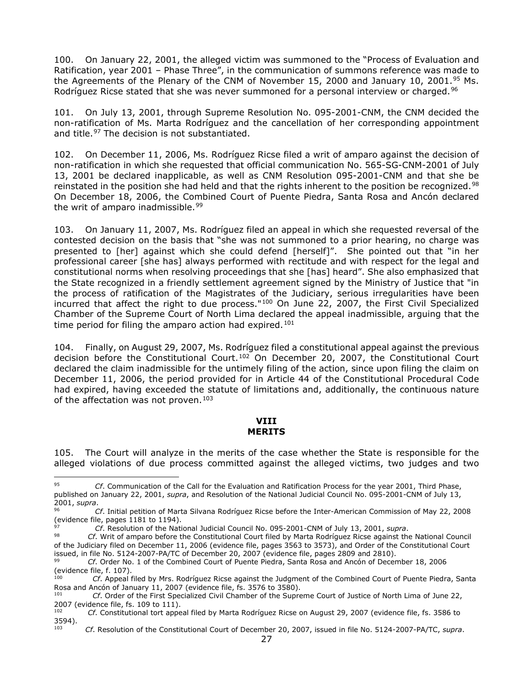100. On January 22, 2001, the alleged victim was summoned to the "Process of Evaluation and Ratification, year 2001 – Phase Three", in the communication of summons reference was made to the Agreements of the Plenary of the CNM of November 15, 2000 and January 10, 2001.[95](#page-26-1) Ms. Rodríguez Ricse stated that she was never summoned for a personal interview or charged.<sup>[96](#page-26-2)</sup>

101. On July 13, 2001, through Supreme Resolution No. 095-2001-CNM, the CNM decided the non-ratification of Ms. Marta Rodríguez and the cancellation of her corresponding appointment and title.<sup>[97](#page-26-3)</sup> The decision is not substantiated.

102. On December 11, 2006, Ms. Rodríguez Ricse filed a writ of amparo against the decision of non-ratification in which she requested that official communication No. 565-SG-CNM-2001 of July 13, 2001 be declared inapplicable, as well as CNM Resolution 095-2001-CNM and that she be reinstated in the position she had held and that the rights inherent to the position be recognized.<sup>[98](#page-26-4)</sup> On December 18, 2006, the Combined Court of Puente Piedra, Santa Rosa and Ancón declared the writ of amparo inadmissible.<sup>[99](#page-26-5)</sup>

103. On January 11, 2007, Ms. Rodríguez filed an appeal in which she requested reversal of the contested decision on the basis that "she was not summoned to a prior hearing, no charge was presented to [her] against which she could defend [herself]". She pointed out that "in her professional career [she has] always performed with rectitude and with respect for the legal and constitutional norms when resolving proceedings that she [has] heard". She also emphasized that the State recognized in a friendly settlement agreement signed by the Ministry of Justice that "in the process of ratification of the Magistrates of the Judiciary, serious irregularities have been incurred that affect the right to due process."<sup>[100](#page-26-6)</sup> On June 22, 2007, the First Civil Specialized Chamber of the Supreme Court of North Lima declared the appeal inadmissible, arguing that the time period for filing the amparo action had expired.<sup>[101](#page-26-7)</sup>

104. Finally, on August 29, 2007, Ms. Rodríguez filed a constitutional appeal against the previous decision before the Constitutional Court.<sup>[102](#page-26-8)</sup> On December 20, 2007, the Constitutional Court declared the claim inadmissible for the untimely filing of the action, since upon filing the claim on December 11, 2006, the period provided for in Article 44 of the Constitutional Procedural Code had expired, having exceeded the statute of limitations and, additionally, the continuous nature of the affectation was not proven.<sup>[103](#page-26-9)</sup>

#### **VIII MERITS**

<span id="page-26-0"></span>105. The Court will analyze in the merits of the case whether the State is responsible for the alleged violations of due process committed against the alleged victims, two judges and two

<span id="page-26-1"></span><sup>95</sup> *Cf*. Communication of the Call for the Evaluation and Ratification Process for the year 2001, Third Phase, published on January 22, 2001, *supra*, and Resolution of the National Judicial Council No. 095-2001-CNM of July 13, 2001, *supra*.

<span id="page-26-2"></span><sup>96</sup> *Cf*. Initial petition of Marta Silvana Rodríguez Ricse before the Inter-American Commission of May 22, 2008 (evidence file, pages 1181 to 1194).

<span id="page-26-3"></span><sup>97</sup> *Cf*. Resolution of the National Judicial Council No. 095-2001-CNM of July 13, 2001, *supra*.

<span id="page-26-4"></span><sup>98</sup> *Cf*. Writ of amparo before the Constitutional Court filed by Marta Rodríguez Ricse against the National Council of the Judiciary filed on December 11, 2006 (evidence file, pages 3563 to 3573), and Order of the Constitutional Court issued, in file No. 5124-2007-PA/TC of December 20, 2007 (evidence file, pages 2809 and 2810).

<span id="page-26-5"></span><sup>99</sup> *Cf*. Order No. 1 of the Combined Court of Puente Piedra, Santa Rosa and Ancón of December 18, 2006 (evidence file, f. 107).

<span id="page-26-6"></span>Cf. Appeal filed by Mrs. Rodríguez Ricse against the Judgment of the Combined Court of Puente Piedra, Santa Rosa and Ancón of January 11, 2007 (evidence file, fs. 3576 to 3580).<br><sup>101</sup> Cf. Order of the First Specialized Civil Chamber of the Supra

<span id="page-26-7"></span><sup>101</sup> *Cf*. Order of the First Specialized Civil Chamber of the Supreme Court of Justice of North Lima of June 22, 2007 (evidence file, fs. 109 to 111).<br> $2^{102}$  Cf. Constitutional test appe

<span id="page-26-9"></span><span id="page-26-8"></span><sup>102</sup> *Cf*. Constitutional tort appeal filed by Marta Rodríguez Ricse on August 29, 2007 (evidence file, fs. 3586 to 3594).

<sup>103</sup> *Cf*. Resolution of the Constitutional Court of December 20, 2007, issued in file No. 5124-2007-PA/TC, *supra*.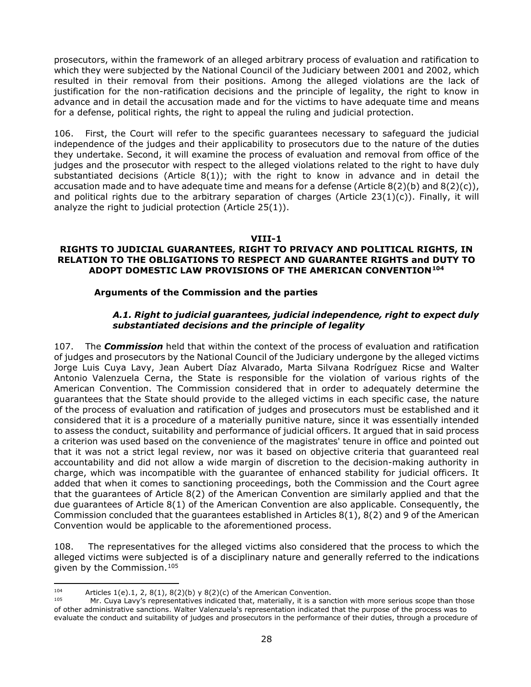prosecutors, within the framework of an alleged arbitrary process of evaluation and ratification to which they were subjected by the National Council of the Judiciary between 2001 and 2002, which resulted in their removal from their positions. Among the alleged violations are the lack of justification for the non-ratification decisions and the principle of legality, the right to know in advance and in detail the accusation made and for the victims to have adequate time and means for a defense, political rights, the right to appeal the ruling and judicial protection.

<span id="page-27-0"></span>106. First, the Court will refer to the specific guarantees necessary to safeguard the judicial independence of the judges and their applicability to prosecutors due to the nature of the duties they undertake. Second, it will examine the process of evaluation and removal from office of the judges and the prosecutor with respect to the alleged violations related to the right to have duly substantiated decisions (Article  $8(1)$ ); with the right to know in advance and in detail the accusation made and to have adequate time and means for a defense (Article  $8(2)(b)$  and  $8(2)(c)$ ), and political rights due to the arbitrary separation of charges (Article  $23(1)(c)$ ). Finally, it will analyze the right to judicial protection (Article 25(1)).

#### **VIII-1**

#### **RIGHTS TO JUDICIAL GUARANTEES, RIGHT TO PRIVACY AND POLITICAL RIGHTS, IN RELATION TO THE OBLIGATIONS TO RESPECT AND GUARANTEE RIGHTS and DUTY TO ADOPT DOMESTIC LAW PROVISIONS OF THE AMERICAN CONVENTION[104](#page-27-2)**

#### **Arguments of the Commission and the parties**

#### *A.1. Right to judicial guarantees, judicial independence, right to expect duly substantiated decisions and the principle of legality*

<span id="page-27-1"></span>107. The *Commission* held that within the context of the process of evaluation and ratification of judges and prosecutors by the National Council of the Judiciary undergone by the alleged victims Jorge Luis Cuya Lavy, Jean Aubert Díaz Alvarado, Marta Silvana Rodríguez Ricse and Walter Antonio Valenzuela Cerna, the State is responsible for the violation of various rights of the American Convention. The Commission considered that in order to adequately determine the guarantees that the State should provide to the alleged victims in each specific case, the nature of the process of evaluation and ratification of judges and prosecutors must be established and it considered that it is a procedure of a materially punitive nature, since it was essentially intended to assess the conduct, suitability and performance of judicial officers. It argued that in said process a criterion was used based on the convenience of the magistrates' tenure in office and pointed out that it was not a strict legal review, nor was it based on objective criteria that guaranteed real accountability and did not allow a wide margin of discretion to the decision-making authority in charge, which was incompatible with the guarantee of enhanced stability for judicial officers. It added that when it comes to sanctioning proceedings, both the Commission and the Court agree that the guarantees of Article 8(2) of the American Convention are similarly applied and that the due guarantees of Article 8(1) of the American Convention are also applicable. Consequently, the Commission concluded that the guarantees established in Articles 8(1), 8(2) and 9 of the American Convention would be applicable to the aforementioned process.

108. The representatives for the alleged victims also considered that the process to which the alleged victims were subjected is of a disciplinary nature and generally referred to the indications given by the Commission.[105](#page-27-3) 

<span id="page-27-2"></span><sup>104</sup> Articles 1(e).1, 2, 8(1), 8(2)(b) y 8(2)(c) of the American Convention.<br>105 Mr. Cuva Law's representatives indicated that materially it is a same

<span id="page-27-3"></span>Mr. Cuya Lavy's representatives indicated that, materially, it is a sanction with more serious scope than those of other administrative sanctions. Walter Valenzuela's representation indicated that the purpose of the process was to evaluate the conduct and suitability of judges and prosecutors in the performance of their duties, through a procedure of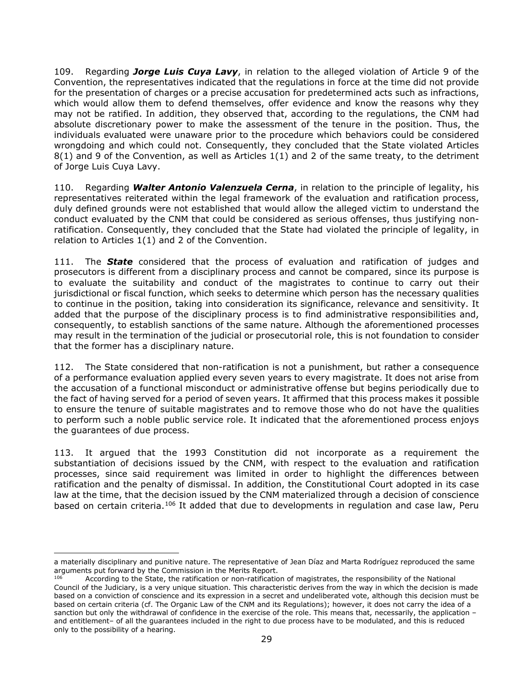109. Regarding *Jorge Luis Cuya Lavy*, in relation to the alleged violation of Article 9 of the Convention, the representatives indicated that the regulations in force at the time did not provide for the presentation of charges or a precise accusation for predetermined acts such as infractions, which would allow them to defend themselves, offer evidence and know the reasons why they may not be ratified. In addition, they observed that, according to the regulations, the CNM had absolute discretionary power to make the assessment of the tenure in the position. Thus, the individuals evaluated were unaware prior to the procedure which behaviors could be considered wrongdoing and which could not. Consequently, they concluded that the State violated Articles 8(1) and 9 of the Convention, as well as Articles 1(1) and 2 of the same treaty, to the detriment of Jorge Luis Cuya Lavy.

110. Regarding *Walter Antonio Valenzuela Cerna*, in relation to the principle of legality, his representatives reiterated within the legal framework of the evaluation and ratification process, duly defined grounds were not established that would allow the alleged victim to understand the conduct evaluated by the CNM that could be considered as serious offenses, thus justifying nonratification. Consequently, they concluded that the State had violated the principle of legality, in relation to Articles 1(1) and 2 of the Convention.

111. The *State* considered that the process of evaluation and ratification of judges and prosecutors is different from a disciplinary process and cannot be compared, since its purpose is to evaluate the suitability and conduct of the magistrates to continue to carry out their jurisdictional or fiscal function, which seeks to determine which person has the necessary qualities to continue in the position, taking into consideration its significance, relevance and sensitivity. It added that the purpose of the disciplinary process is to find administrative responsibilities and, consequently, to establish sanctions of the same nature. Although the aforementioned processes may result in the termination of the judicial or prosecutorial role, this is not foundation to consider that the former has a disciplinary nature.

112. The State considered that non-ratification is not a punishment, but rather a consequence of a performance evaluation applied every seven years to every magistrate. It does not arise from the accusation of a functional misconduct or administrative offense but begins periodically due to the fact of having served for a period of seven years. It affirmed that this process makes it possible to ensure the tenure of suitable magistrates and to remove those who do not have the qualities to perform such a noble public service role. It indicated that the aforementioned process enjoys the guarantees of due process.

113. It argued that the 1993 Constitution did not incorporate as a requirement the substantiation of decisions issued by the CNM, with respect to the evaluation and ratification processes, since said requirement was limited in order to highlight the differences between ratification and the penalty of dismissal. In addition, the Constitutional Court adopted in its case law at the time, that the decision issued by the CNM materialized through a decision of conscience based on certain criteria.<sup>[106](#page-28-0)</sup> It added that due to developments in regulation and case law, Peru

a materially disciplinary and punitive nature. The representative of Jean Díaz and Marta Rodríguez reproduced the same arguments put forward by the Commission in the Merits Report.

<span id="page-28-0"></span>According to the State, the ratification or non-ratification of magistrates, the responsibility of the National Council of the Judiciary, is a very unique situation. This characteristic derives from the way in which the decision is made based on a conviction of conscience and its expression in a secret and undeliberated vote, although this decision must be based on certain criteria (cf. The Organic Law of the CNM and its Regulations); however, it does not carry the idea of a sanction but only the withdrawal of confidence in the exercise of the role. This means that, necessarily, the application – and entitlement– of all the guarantees included in the right to due process have to be modulated, and this is reduced only to the possibility of a hearing.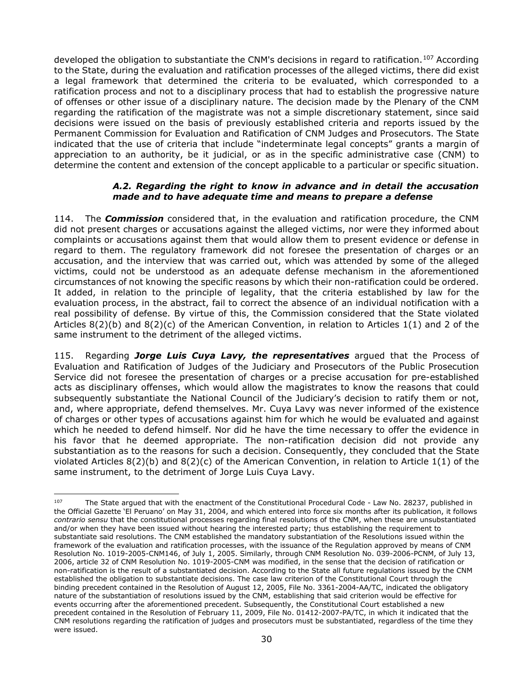developed the obligation to substantiate the CNM's decisions in regard to ratification.<sup>[107](#page-29-1)</sup> According to the State, during the evaluation and ratification processes of the alleged victims, there did exist a legal framework that determined the criteria to be evaluated, which corresponded to a ratification process and not to a disciplinary process that had to establish the progressive nature of offenses or other issue of a disciplinary nature. The decision made by the Plenary of the CNM regarding the ratification of the magistrate was not a simple discretionary statement, since said decisions were issued on the basis of previously established criteria and reports issued by the Permanent Commission for Evaluation and Ratification of CNM Judges and Prosecutors. The State indicated that the use of criteria that include "indeterminate legal concepts" grants a margin of appreciation to an authority, be it judicial, or as in the specific administrative case (CNM) to determine the content and extension of the concept applicable to a particular or specific situation.

#### *A.2. Regarding the right to know in advance and in detail the accusation made and to have adequate time and means to prepare a defense*

<span id="page-29-0"></span>114. The *Commission* considered that, in the evaluation and ratification procedure, the CNM did not present charges or accusations against the alleged victims, nor were they informed about complaints or accusations against them that would allow them to present evidence or defense in regard to them. The regulatory framework did not foresee the presentation of charges or an accusation, and the interview that was carried out, which was attended by some of the alleged victims, could not be understood as an adequate defense mechanism in the aforementioned circumstances of not knowing the specific reasons by which their non-ratification could be ordered. It added, in relation to the principle of legality, that the criteria established by law for the evaluation process, in the abstract, fail to correct the absence of an individual notification with a real possibility of defense. By virtue of this, the Commission considered that the State violated Articles 8(2)(b) and 8(2)(c) of the American Convention, in relation to Articles 1(1) and 2 of the same instrument to the detriment of the alleged victims.

115. Regarding *Jorge Luis Cuya Lavy, the representatives* argued that the Process of Evaluation and Ratification of Judges of the Judiciary and Prosecutors of the Public Prosecution Service did not foresee the presentation of charges or a precise accusation for pre-established acts as disciplinary offenses, which would allow the magistrates to know the reasons that could subsequently substantiate the National Council of the Judiciary's decision to ratify them or not, and, where appropriate, defend themselves. Mr. Cuya Lavy was never informed of the existence of charges or other types of accusations against him for which he would be evaluated and against which he needed to defend himself. Nor did he have the time necessary to offer the evidence in his favor that he deemed appropriate. The non-ratification decision did not provide any substantiation as to the reasons for such a decision. Consequently, they concluded that the State violated Articles 8(2)(b) and 8(2)(c) of the American Convention, in relation to Article 1(1) of the same instrument, to the detriment of Jorge Luis Cuya Lavy.

<span id="page-29-1"></span><sup>&</sup>lt;sup>107</sup> The State argued that with the enactment of the Constitutional Procedural Code - Law No. 28237, published in the Official Gazette 'El Peruano' on May 31, 2004, and which entered into force six months after its publication, it follows *contrario sensu* that the constitutional processes regarding final resolutions of the CNM, when these are unsubstantiated and/or when they have been issued without hearing the interested party; thus establishing the requirement to substantiate said resolutions. The CNM established the mandatory substantiation of the Resolutions issued within the framework of the evaluation and ratification processes, with the issuance of the Regulation approved by means of CNM Resolution No. 1019-2005-CNM146, of July 1, 2005. Similarly, through CNM Resolution No. 039-2006-PCNM, of July 13, 2006, article 32 of CNM Resolution No. 1019-2005-CNM was modified, in the sense that the decision of ratification or non-ratification is the result of a substantiated decision. According to the State all future regulations issued by the CNM established the obligation to substantiate decisions. The case law criterion of the Constitutional Court through the binding precedent contained in the Resolution of August 12, 2005, File No. 3361-2004-AA/TC, indicated the obligatory nature of the substantiation of resolutions issued by the CNM, establishing that said criterion would be effective for events occurring after the aforementioned precedent. Subsequently, the Constitutional Court established a new precedent contained in the Resolution of February 11, 2009, File No. 01412-2007-PA/TC, in which it indicated that the CNM resolutions regarding the ratification of judges and prosecutors must be substantiated, regardless of the time they were issued.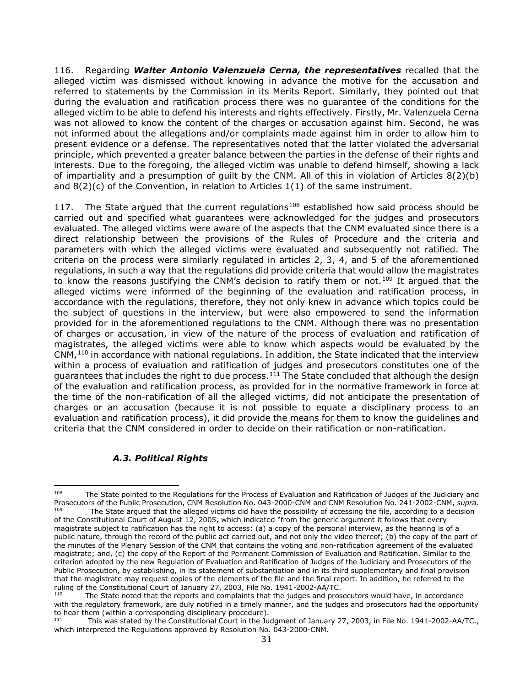116. Regarding *Walter Antonio Valenzuela Cerna, the representatives* recalled that the alleged victim was dismissed without knowing in advance the motive for the accusation and referred to statements by the Commission in its Merits Report. Similarly, they pointed out that during the evaluation and ratification process there was no guarantee of the conditions for the alleged victim to be able to defend his interests and rights effectively. Firstly, Mr. Valenzuela Cerna was not allowed to know the content of the charges or accusation against him. Second, he was not informed about the allegations and/or complaints made against him in order to allow him to present evidence or a defense. The representatives noted that the latter violated the adversarial principle, which prevented a greater balance between the parties in the defense of their rights and interests. Due to the foregoing, the alleged victim was unable to defend himself, showing a lack of impartiality and a presumption of guilt by the CNM. All of this in violation of Articles 8(2)(b) and 8(2)(c) of the Convention, in relation to Articles 1(1) of the same instrument.

117. The State argued that the current regulations<sup>[108](#page-30-1)</sup> established how said process should be carried out and specified what guarantees were acknowledged for the judges and prosecutors evaluated. The alleged victims were aware of the aspects that the CNM evaluated since there is a direct relationship between the provisions of the Rules of Procedure and the criteria and parameters with which the alleged victims were evaluated and subsequently not ratified. The criteria on the process were similarly regulated in articles 2, 3, 4, and 5 of the aforementioned regulations, in such a way that the regulations did provide criteria that would allow the magistrates to know the reasons justifying the CNM's decision to ratify them or not.<sup>[109](#page-30-2)</sup> It argued that the alleged victims were informed of the beginning of the evaluation and ratification process, in accordance with the regulations, therefore, they not only knew in advance which topics could be the subject of questions in the interview, but were also empowered to send the information provided for in the aforementioned regulations to the CNM. Although there was no presentation of charges or accusation, in view of the nature of the process of evaluation and ratification of magistrates, the alleged victims were able to know which aspects would be evaluated by the  $CNM<sub>110</sub>$  $CNM<sub>110</sub>$  $CNM<sub>110</sub>$  in accordance with national regulations. In addition, the State indicated that the interview within a process of evaluation and ratification of judges and prosecutors constitutes one of the guarantees that includes the right to due process.<sup>[111](#page-30-4)</sup> The State concluded that although the design of the evaluation and ratification process, as provided for in the normative framework in force at the time of the non-ratification of all the alleged victims, did not anticipate the presentation of charges or an accusation (because it is not possible to equate a disciplinary process to an evaluation and ratification process), it did provide the means for them to know the guidelines and criteria that the CNM considered in order to decide on their ratification or non-ratification.

# *A.3. Political Rights*

<span id="page-30-2"></span><span id="page-30-1"></span><span id="page-30-0"></span><sup>&</sup>lt;sup>108</sup> The State pointed to the Regulations for the Process of Evaluation and Ratification of Judges of the Judiciary and Prosecutors of the Public Prosecution, CNM Resolution No. 043-2000-CNM and CNM Resolution No. 241-2002-CNM, *supra*. The State argued that the alleged victims did have the possibility of accessing the file, according to a decision of the Constitutional Court of August 12, 2005, which indicated "from the generic argument it follows that every magistrate subject to ratification has the right to access: (a) a copy of the personal interview, as the hearing is of a public nature, through the record of the public act carried out, and not only the video thereof; (b) the copy of the part of the minutes of the Plenary Session of the CNM that contains the voting and non-ratification agreement of the evaluated magistrate; and, (c) the copy of the Report of the Permanent Commission of Evaluation and Ratification. Similar to the criterion adopted by the new Regulation of Evaluation and Ratification of Judges of the Judiciary and Prosecutors of the Public Prosecution, by establishing, in its statement of substantiation and in its third supplementary and final provision that the magistrate may request copies of the elements of the file and the final report. In addition, he referred to the ruling of the Constitutional Court of January 27, 2003, File No. 1941-2002-AA/TC.

<span id="page-30-3"></span>The State noted that the reports and complaints that the judges and prosecutors would have, in accordance with the regulatory framework, are duly notified in a timely manner, and the judges and prosecutors had the opportunity to hear them (within a corresponding disciplinary procedure).<br><sup>111</sup> This was stated by the Constitutional Court in the Ju

<span id="page-30-4"></span>This was stated by the Constitutional Court in the Judgment of January 27, 2003, in File No. 1941-2002-AA/TC., which interpreted the Regulations approved by Resolution No. 043-2000-CNM.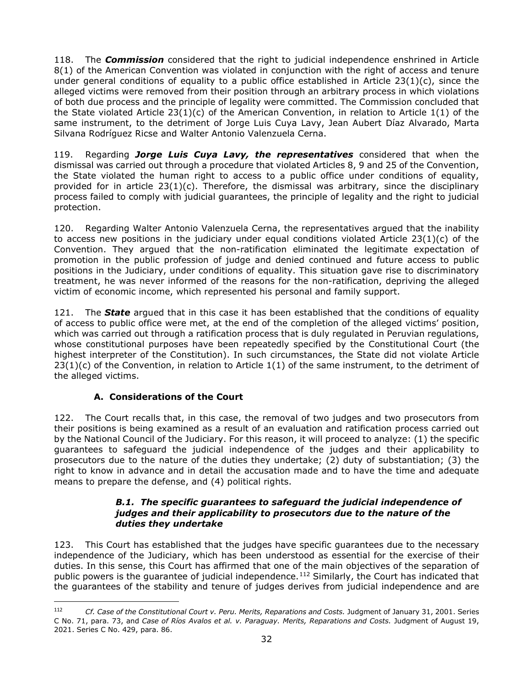118. The *Commission* considered that the right to judicial independence enshrined in Article 8(1) of the American Convention was violated in conjunction with the right of access and tenure under general conditions of equality to a public office established in Article 23(1)(c), since the alleged victims were removed from their position through an arbitrary process in which violations of both due process and the principle of legality were committed. The Commission concluded that the State violated Article 23(1)(c) of the American Convention, in relation to Article 1(1) of the same instrument, to the detriment of Jorge Luis Cuya Lavy, Jean Aubert Díaz Alvarado, Marta Silvana Rodríguez Ricse and Walter Antonio Valenzuela Cerna.

119. Regarding *Jorge Luis Cuya Lavy, the representatives* considered that when the dismissal was carried out through a procedure that violated Articles 8, 9 and 25 of the Convention, the State violated the human right to access to a public office under conditions of equality, provided for in article 23(1)(c). Therefore, the dismissal was arbitrary, since the disciplinary process failed to comply with judicial guarantees, the principle of legality and the right to judicial protection.

120. Regarding Walter Antonio Valenzuela Cerna, the representatives argued that the inability to access new positions in the judiciary under equal conditions violated Article 23(1)(c) of the Convention. They argued that the non-ratification eliminated the legitimate expectation of promotion in the public profession of judge and denied continued and future access to public positions in the Judiciary, under conditions of equality. This situation gave rise to discriminatory treatment, he was never informed of the reasons for the non-ratification, depriving the alleged victim of economic income, which represented his personal and family support.

121. The *State* argued that in this case it has been established that the conditions of equality of access to public office were met, at the end of the completion of the alleged victims' position, which was carried out through a ratification process that is duly regulated in Peruvian regulations, whose constitutional purposes have been repeatedly specified by the Constitutional Court (the highest interpreter of the Constitution). In such circumstances, the State did not violate Article  $23(1)(c)$  of the Convention, in relation to Article  $1(1)$  of the same instrument, to the detriment of the alleged victims.

# **A. Considerations of the Court**

<span id="page-31-0"></span>122. The Court recalls that, in this case, the removal of two judges and two prosecutors from their positions is being examined as a result of an evaluation and ratification process carried out by the National Council of the Judiciary. For this reason, it will proceed to analyze: (1) the specific guarantees to safeguard the judicial independence of the judges and their applicability to prosecutors due to the nature of the duties they undertake; (2) duty of substantiation; (3) the right to know in advance and in detail the accusation made and to have the time and adequate means to prepare the defense, and (4) political rights.

#### *B.1. The specific guarantees to safeguard the judicial independence of judges and their applicability to prosecutors due to the nature of the duties they undertake*

<span id="page-31-1"></span>123. This Court has established that the judges have specific guarantees due to the necessary independence of the Judiciary, which has been understood as essential for the exercise of their duties. In this sense, this Court has affirmed that one of the main objectives of the separation of public powers is the guarantee of judicial independence.<sup>[112](#page-31-2)</sup> Similarly, the Court has indicated that the guarantees of the stability and tenure of judges derives from judicial independence and are

<span id="page-31-2"></span><sup>112</sup> *Cf. Case of the Constitutional Court v. Peru. Merits, Reparations and Costs.* Judgment of January 31, 2001. Series C No. 71, para. 73, and *Case of Ríos Avalos et al. v. Paraguay. Merits, Reparations and Costs.* Judgment of August 19, 2021. Series C No. 429, para. 86.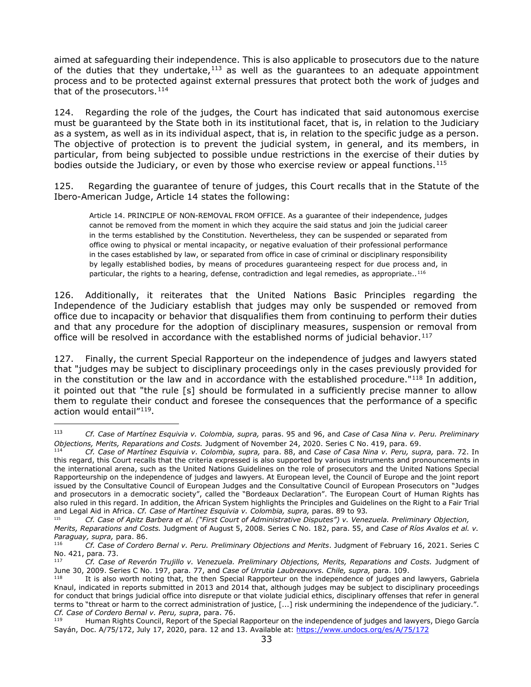aimed at safeguarding their independence. This is also applicable to prosecutors due to the nature of the duties that they undertake, $113$  as well as the quarantees to an adequate appointment process and to be protected against external pressures that protect both the work of judges and that of the prosecutors.<sup>[114](#page-32-1)</sup>

124. Regarding the role of the judges, the Court has indicated that said autonomous exercise must be guaranteed by the State both in its institutional facet, that is, in relation to the Judiciary as a system, as well as in its individual aspect, that is, in relation to the specific judge as a person. The objective of protection is to prevent the judicial system, in general, and its members, in particular, from being subjected to possible undue restrictions in the exercise of their duties by bodies outside the Judiciary, or even by those who exercise review or appeal functions.<sup>[115](#page-32-2)</sup>

125. Regarding the guarantee of tenure of judges, this Court recalls that in the Statute of the Ibero-American Judge, Article 14 states the following:

Article 14. PRINCIPLE OF NON-REMOVAL FROM OFFICE. As a guarantee of their independence, judges cannot be removed from the moment in which they acquire the said status and join the judicial career in the terms established by the Constitution. Nevertheless, they can be suspended or separated from office owing to physical or mental incapacity, or negative evaluation of their professional performance in the cases established by law, or separated from office in case of criminal or disciplinary responsibility by legally established bodies, by means of procedures guaranteeing respect for due process and, in particular, the rights to a hearing, defense, contradiction and legal remedies, as appropriate..<sup>[116](#page-32-3)</sup>

126. Additionally, it reiterates that the United Nations Basic Principles regarding the Independence of the Judiciary establish that judges may only be suspended or removed from office due to incapacity or behavior that disqualifies them from continuing to perform their duties and that any procedure for the adoption of disciplinary measures, suspension or removal from office will be resolved in accordance with the established norms of judicial behavior.<sup>[117](#page-32-4)</sup>

127. Finally, the current Special Rapporteur on the independence of judges and lawyers stated that "judges may be subject to disciplinary proceedings only in the cases previously provided for in the constitution or the law and in accordance with the established procedure." $1^{18}$  In addition, it pointed out that "the rule [s] should be formulated in a sufficiently precise manner to allow them to regulate their conduct and foresee the consequences that the performance of a specific action would entail"[119](#page-32-6).

<span id="page-32-0"></span><sup>113</sup> *Cf. Case of Martínez Esquivia v. Colombia, supra,* paras. 95 and 96, and *Case of Casa Nina v. Peru. Preliminary Objections, Merits, Reparations and Costs.* Judgment of November 24, 2020. Series C No. 419, para. 69.

<span id="page-32-1"></span><sup>114</sup> *Cf. Case of Martínez Esquivia v. Colombia, supra,* para. 88, and *Case of Casa Nina v. Peru, supra,* para. 72. In this regard, this Court recalls that the criteria expressed is also supported by various instruments and pronouncements in the international arena, such as the United Nations Guidelines on the role of prosecutors and the United Nations Special Rapporteurship on the independence of judges and lawyers. At European level, the Council of Europe and the joint report issued by the Consultative Council of European Judges and the Consultative Council of European Prosecutors on "Judges and prosecutors in a democratic society", called the "Bordeaux Declaration". The European Court of Human Rights has also ruled in this regard. In addition, the African System highlights the Principles and Guidelines on the Right to a Fair Trial and Legal Aid in Africa. *Cf. Case of Martínez Esquivia v. Colombia, supra,* paras. 89 to 93*.*

<sup>115</sup> *Cf. Case of Apitz Barbera et al. ("First Court of Administrative Disputes") v. Venezuela. Preliminary Objection,* 

<span id="page-32-2"></span>*Merits, Reparations and Costs.* Judgment of August 5, 2008. Series C No. 182, para. 55, and *Case of Ríos Avalos et al. v. Paraguay, supra,* para. 86.

<span id="page-32-3"></span><sup>116</sup> *Cf. Case of Cordero Bernal v. Peru. Preliminary Objections and Merits*. Judgment of February 16, 2021. Series C No. 421, para. 73.

<span id="page-32-4"></span><sup>117</sup> *Cf. Case of Reverón Trujillo v. Venezuela. Preliminary Objections, Merits, Reparations and Costs.* Judgment of June 30, 2009. Series C No. 197, para. 77, and *Case of Urrutia Laubreauxvs. Chile, supra,* para. 109.

<span id="page-32-5"></span>It is also worth noting that, the then Special Rapporteur on the independence of judges and lawyers, Gabriela Knaul, indicated in reports submitted in 2013 and 2014 that, although judges may be subject to disciplinary proceedings for conduct that brings judicial office into disrepute or that violate judicial ethics, disciplinary offenses that refer in general terms to "threat or harm to the correct administration of justice, [...] risk undermining the independence of the judiciary.". *Cf. Case of Cordero Bernal v. Peru, supra*, para. 76.

<span id="page-32-6"></span><sup>119</sup> Human Rights Council, Report of the Special Rapporteur on the independence of judges and lawyers, Diego García Sayán, Doc. A/75/172, July 17, 2020, para. 12 and 13. Available at:<https://www.undocs.org/es/A/75/172>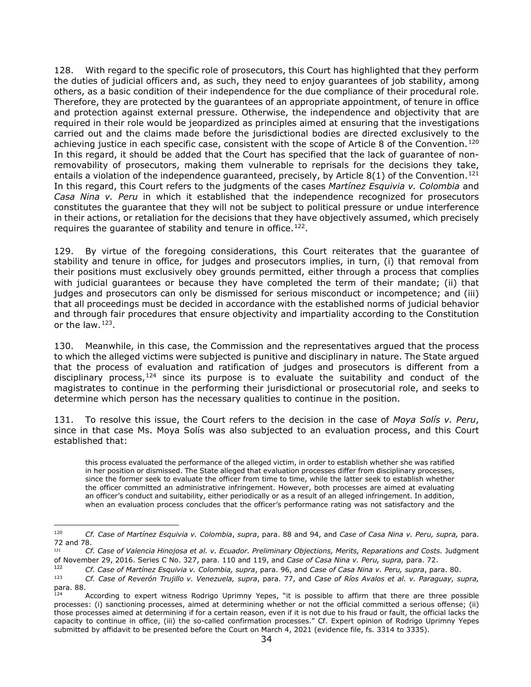128. With regard to the specific role of prosecutors, this Court has highlighted that they perform the duties of judicial officers and, as such, they need to enjoy guarantees of job stability, among others, as a basic condition of their independence for the due compliance of their procedural role. Therefore, they are protected by the guarantees of an appropriate appointment, of tenure in office and protection against external pressure. Otherwise, the independence and objectivity that are required in their role would be jeopardized as principles aimed at ensuring that the investigations carried out and the claims made before the jurisdictional bodies are directed exclusively to the achieving justice in each specific case, consistent with the scope of Article 8 of the Convention.<sup>[120](#page-33-0)</sup> In this regard, it should be added that the Court has specified that the lack of guarantee of nonremovability of prosecutors, making them vulnerable to reprisals for the decisions they take, entails a violation of the independence quaranteed, precisely, by Article 8(1) of the Convention.<sup>[121](#page-33-1)</sup> In this regard, this Court refers to the judgments of the cases *Martínez Esquivia v. Colombia* and *Casa Nina v. Peru* in which it established that the independence recognized for prosecutors constitutes the guarantee that they will not be subject to political pressure or undue interference in their actions, or retaliation for the decisions that they have objectively assumed, which precisely requires the guarantee of stability and tenure in office.<sup>122</sup>.

129. By virtue of the foregoing considerations, this Court reiterates that the guarantee of stability and tenure in office, for judges and prosecutors implies, in turn, (i) that removal from their positions must exclusively obey grounds permitted, either through a process that complies with judicial guarantees or because they have completed the term of their mandate; (ii) that judges and prosecutors can only be dismissed for serious misconduct or incompetence; and (iii) that all proceedings must be decided in accordance with the established norms of judicial behavior and through fair procedures that ensure objectivity and impartiality according to the Constitution or the law. $123$ .

130. Meanwhile, in this case, the Commission and the representatives argued that the process to which the alleged victims were subjected is punitive and disciplinary in nature. The State argued that the process of evaluation and ratification of judges and prosecutors is different from a disciplinary process,  $124$  since its purpose is to evaluate the suitability and conduct of the magistrates to continue in the performing their jurisdictional or prosecutorial role, and seeks to determine which person has the necessary qualities to continue in the position.

131. To resolve this issue, the Court refers to the decision in the case of *Moya Solís v. Peru*, since in that case Ms. Moya Solís was also subjected to an evaluation process, and this Court established that:

this process evaluated the performance of the alleged victim, in order to establish whether she was ratified in her position or dismissed. The State alleged that evaluation processes differ from disciplinary processes, since the former seek to evaluate the officer from time to time, while the latter seek to establish whether the officer committed an administrative infringement. However, both processes are aimed at evaluating an officer's conduct and suitability, either periodically or as a result of an alleged infringement. In addition, when an evaluation process concludes that the officer's performance rating was not satisfactory and the

<span id="page-33-0"></span><sup>120</sup> *Cf. Case of Martínez Esquivia v. Colombia*, *supra*, para. 88 and 94, and *Case of Casa Nina v. Peru, supra,* para. 72 and 78.

<span id="page-33-1"></span><sup>121</sup> *Cf. Case of Valencia Hinojosa et al. v. Ecuador. Preliminary Objections, Merits, Reparations and Costs.* Judgment of November 29, 2016. Series C No. 327, para. 110 and 119, and *Case of Casa Nina v. Peru, supra,* para. 72.

<span id="page-33-2"></span><sup>122</sup> *Cf. Case of Martínez Esquivia v. Colombia, supra*, para. 96, and *Case of Casa Nina v. Peru, supra*, para. 80.

<span id="page-33-3"></span><sup>123</sup> *Cf. Case of Reverón Trujillo v. Venezuela, supra*, para. 77, and *Case of Ríos Avalos et al. v. Paraguay, supra,*

<span id="page-33-4"></span>According to expert witness Rodrigo Uprimny Yepes, "it is possible to affirm that there are three possible processes: (i) sanctioning processes, aimed at determining whether or not the official committed a serious offense; (ii) those processes aimed at determining if for a certain reason, even if it is not due to his fraud or fault, the official lacks the capacity to continue in office, (iii) the so-called confirmation processes." Cf. Expert opinion of Rodrigo Uprimny Yepes submitted by affidavit to be presented before the Court on March 4, 2021 (evidence file, fs. 3314 to 3335).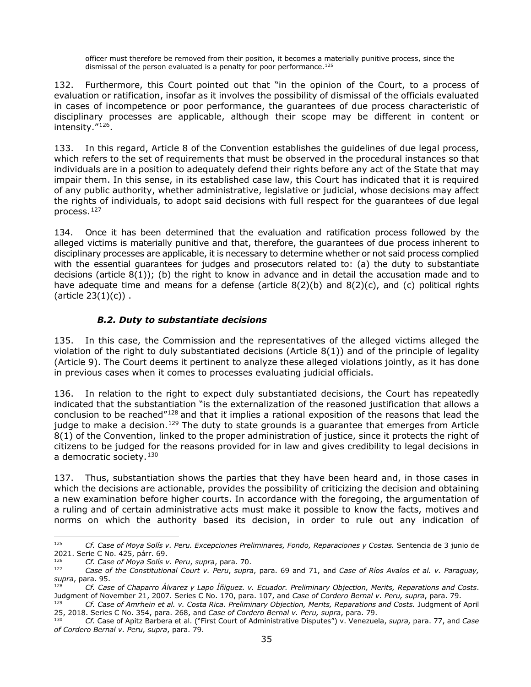officer must therefore be removed from their position, it becomes a materially punitive process, since the dismissal of the person evaluated is a penalty for poor performance.<sup>[125](#page-34-1)</sup>

132. Furthermore, this Court pointed out that "in the opinion of the Court, to a process of evaluation or ratification, insofar as it involves the possibility of dismissal of the officials evaluated in cases of incompetence or poor performance, the guarantees of due process characteristic of disciplinary processes are applicable, although their scope may be different in content or intensity."[126](#page-34-2).

133. In this regard, Article 8 of the Convention establishes the guidelines of due legal process, which refers to the set of requirements that must be observed in the procedural instances so that individuals are in a position to adequately defend their rights before any act of the State that may impair them. In this sense, in its established case law, this Court has indicated that it is required of any public authority, whether administrative, legislative or judicial, whose decisions may affect the rights of individuals, to adopt said decisions with full respect for the guarantees of due legal process.[127](#page-34-3)

134. Once it has been determined that the evaluation and ratification process followed by the alleged victims is materially punitive and that, therefore, the guarantees of due process inherent to disciplinary processes are applicable, it is necessary to determine whether or not said process complied with the essential guarantees for judges and prosecutors related to: (a) the duty to substantiate decisions (article  $8(1)$ ); (b) the right to know in advance and in detail the accusation made and to have adequate time and means for a defense (article  $8(2)(b)$  and  $8(2)(c)$ , and (c) political rights (article  $23(1)(c)$ ).

# *B.2. Duty to substantiate decisions*

<span id="page-34-0"></span>135. In this case, the Commission and the representatives of the alleged victims alleged the violation of the right to duly substantiated decisions (Article 8(1)) and of the principle of legality (Article 9). The Court deems it pertinent to analyze these alleged violations jointly, as it has done in previous cases when it comes to processes evaluating judicial officials.

136. In relation to the right to expect duly substantiated decisions, the Court has repeatedly indicated that the substantiation "is the externalization of the reasoned justification that allows a conclusion to be reached"[128](#page-34-4) and that it implies a rational exposition of the reasons that lead the judge to make a decision.<sup>[129](#page-34-5)</sup> The duty to state grounds is a guarantee that emerges from Article 8(1) of the Convention, linked to the proper administration of justice, since it protects the right of citizens to be judged for the reasons provided for in law and gives credibility to legal decisions in a democratic society.<sup>[130](#page-34-6)</sup>

137. Thus, substantiation shows the parties that they have been heard and, in those cases in which the decisions are actionable, provides the possibility of criticizing the decision and obtaining a new examination before higher courts. In accordance with the foregoing, the argumentation of a ruling and of certain administrative acts must make it possible to know the facts, motives and norms on which the authority based its decision, in order to rule out any indication of

<span id="page-34-1"></span><sup>125</sup> *Cf. Case of Moya Solís v. Peru. Excepciones Preliminares, Fondo, Reparaciones y Costas.* Sentencia de 3 junio de 2021. Serie C No. 425, párr. 69.

<span id="page-34-2"></span><sup>126</sup> *Cf. Case of Moya Solís v. Peru*, *supra*, para. 70.

<span id="page-34-3"></span><sup>127</sup> *Case of the Constitutional Court v. Peru*, *supra*, para. 69 and 71, and *Case of Ríos Avalos et al. v. Paraguay, supra*, para. 95.

<span id="page-34-4"></span><sup>128</sup> *Cf. Case of Chaparro Álvarez y Lapo Íñiguez. v. Ecuador. Preliminary Objection, Merits, Reparations and Costs*. Judgment of November 21, 2007. Series C No. 170, para. 107, and *Case of Cordero Bernal v. Peru, supra*, para. 79.

<span id="page-34-5"></span><sup>129</sup> *Cf. Case of Amrhein et al. v. Costa Rica. Preliminary Objection, Merits, Reparations and Costs.* Judgment of April 25, 2018. Series C No. 354, para. 268, and *Case of Cordero Bernal v. Peru, supra*, para. 79.

<span id="page-34-6"></span><sup>130</sup> *Cf.* Case of Apitz Barbera et al. ("First Court of Administrative Disputes") v. Venezuela, *supra,* para. 77, and *Case of Cordero Bernal v. Peru, supra*, para. 79.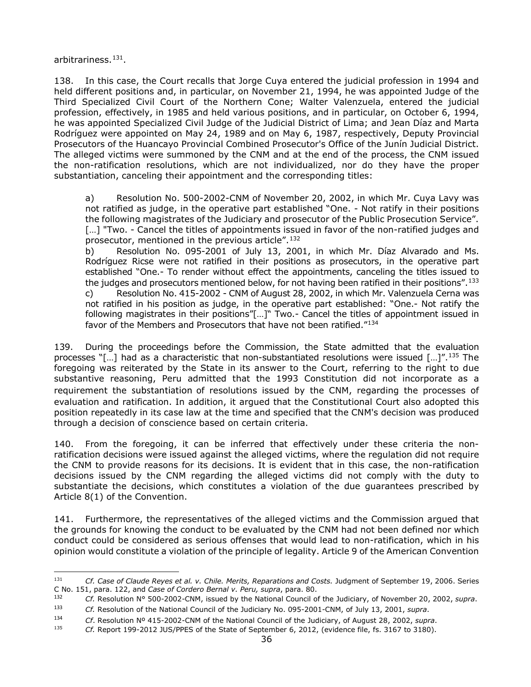arbitrariness.[131.](#page-35-0)

138. In this case, the Court recalls that Jorge Cuya entered the judicial profession in 1994 and held different positions and, in particular, on November 21, 1994, he was appointed Judge of the Third Specialized Civil Court of the Northern Cone; Walter Valenzuela, entered the judicial profession, effectively, in 1985 and held various positions, and in particular, on October 6, 1994, he was appointed Specialized Civil Judge of the Judicial District of Lima; and Jean Díaz and Marta Rodríguez were appointed on May 24, 1989 and on May 6, 1987, respectively, Deputy Provincial Prosecutors of the Huancayo Provincial Combined Prosecutor's Office of the Junín Judicial District. The alleged victims were summoned by the CNM and at the end of the process, the CNM issued the non-ratification resolutions, which are not individualized, nor do they have the proper substantiation, canceling their appointment and the corresponding titles:

a) Resolution No. 500-2002-CNM of November 20, 2002, in which Mr. Cuya Lavy was not ratified as judge, in the operative part established "One. - Not ratify in their positions the following magistrates of the Judiciary and prosecutor of the Public Prosecution Service". [...] "Two. - Cancel the titles of appointments issued in favor of the non-ratified judges and prosecutor, mentioned in the previous article".[132](#page-35-1)

b) Resolution No. 095-2001 of July 13, 2001, in which Mr. Díaz Alvarado and Ms. Rodríguez Ricse were not ratified in their positions as prosecutors, in the operative part established "One.- To render without effect the appointments, canceling the titles issued to the judges and prosecutors mentioned below, for not having been ratified in their positions".  $133$ c) Resolution No. 415-2002 - CNM of August 28, 2002, in which Mr. Valenzuela Cerna was not ratified in his position as judge, in the operative part established: "One.- Not ratify the following magistrates in their positions"[...]" Two.- Cancel the titles of appointment issued in favor of the Members and Prosecutors that have not been ratified."[134](#page-35-3)

139. During the proceedings before the Commission, the State admitted that the evaluation processes "[...] had as a characteristic that non-substantiated resolutions were issued  $[...]^{n}$ .<sup>[135](#page-35-4)</sup> The foregoing was reiterated by the State in its answer to the Court, referring to the right to due substantive reasoning, Peru admitted that the 1993 Constitution did not incorporate as a requirement the substantiation of resolutions issued by the CNM, regarding the processes of evaluation and ratification. In addition, it argued that the Constitutional Court also adopted this position repeatedly in its case law at the time and specified that the CNM's decision was produced through a decision of conscience based on certain criteria.

140. From the foregoing, it can be inferred that effectively under these criteria the nonratification decisions were issued against the alleged victims, where the regulation did not require the CNM to provide reasons for its decisions. It is evident that in this case, the non-ratification decisions issued by the CNM regarding the alleged victims did not comply with the duty to substantiate the decisions, which constitutes a violation of the due guarantees prescribed by Article 8(1) of the Convention.

141. Furthermore, the representatives of the alleged victims and the Commission argued that the grounds for knowing the conduct to be evaluated by the CNM had not been defined nor which conduct could be considered as serious offenses that would lead to non-ratification, which in his opinion would constitute a violation of the principle of legality. Article 9 of the American Convention

<span id="page-35-0"></span><sup>131</sup> *Cf. Case of Claude Reyes et al. v. Chile. Merits, Reparations and Costs.* Judgment of September 19, 2006. Series C No. 151, para. 122, and *Case of Cordero Bernal v. Peru, supra*, para. 80.

<span id="page-35-1"></span><sup>132</sup> *Cf.* Resolution N° 500-2002-CNM, issued by the National Council of the Judiciary, of November 20, 2002, *supra*.<br>133 Cf. Resolution of the National Council of the Judicians Ne, 2005, 2001, CNM, of July 12, 2001, curso

<span id="page-35-2"></span><sup>133</sup> *Cf.* Resolution of the National Council of the Judiciary No. 095-2001-CNM, of July 13, 2001, *supra*.

<span id="page-35-3"></span><sup>134</sup> *Cf*. Resolution Nº 415-2002-CNM of the National Council of the Judiciary, of August 28, 2002, *supra*.

<span id="page-35-4"></span><sup>135</sup> *Cf.* Report 199-2012 JUS/PPES of the State of September 6, 2012, (evidence file, fs. 3167 to 3180).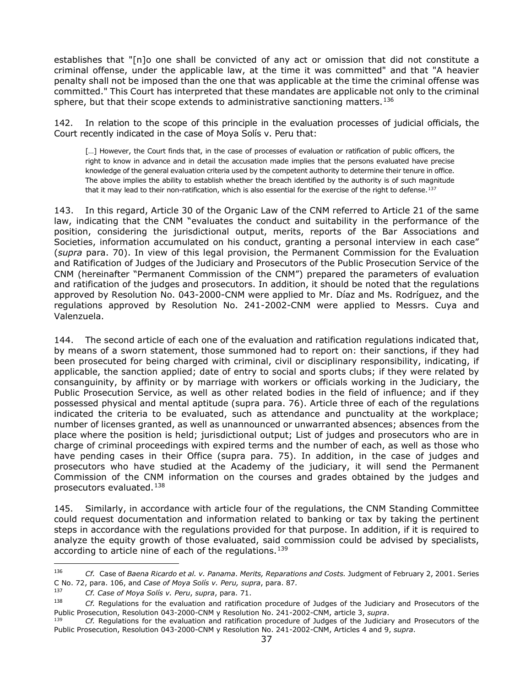establishes that "[n]o one shall be convicted of any act or omission that did not constitute a criminal offense, under the applicable law, at the time it was committed" and that "A heavier penalty shall not be imposed than the one that was applicable at the time the criminal offense was committed." This Court has interpreted that these mandates are applicable not only to the criminal sphere, but that their scope extends to administrative sanctioning matters.<sup>[136](#page-36-0)</sup>

142. In relation to the scope of this principle in the evaluation processes of judicial officials, the Court recently indicated in the case of Moya Solís v. Peru that:

[...] However, the Court finds that, in the case of processes of evaluation or ratification of public officers, the right to know in advance and in detail the accusation made implies that the persons evaluated have precise knowledge of the general evaluation criteria used by the competent authority to determine their tenure in office. The above implies the ability to establish whether the breach identified by the authority is of such magnitude that it may lead to their non-ratification, which is also essential for the exercise of the right to defense.<sup>[137](#page-36-1)</sup>

143. In this regard, Article 30 of the Organic Law of the CNM referred to Article 21 of the same law, indicating that the CNM "evaluates the conduct and suitability in the performance of the position, considering the jurisdictional output, merits, reports of the Bar Associations and Societies, information accumulated on his conduct, granting a personal interview in each case" (*supra* para. 70). In view of this legal provision, the Permanent Commission for the Evaluation and Ratification of Judges of the Judiciary and Prosecutors of the Public Prosecution Service of the CNM (hereinafter "Permanent Commission of the CNM") prepared the parameters of evaluation and ratification of the judges and prosecutors. In addition, it should be noted that the regulations approved by Resolution No. 043-2000-CNM were applied to Mr. Díaz and Ms. Rodríguez, and the regulations approved by Resolution No. 241-2002-CNM were applied to Messrs. Cuya and Valenzuela.

144. The second article of each one of the evaluation and ratification regulations indicated that, by means of a sworn statement, those summoned had to report on: their sanctions, if they had been prosecuted for being charged with criminal, civil or disciplinary responsibility, indicating, if applicable, the sanction applied; date of entry to social and sports clubs; if they were related by consanguinity, by affinity or by marriage with workers or officials working in the Judiciary, the Public Prosecution Service, as well as other related bodies in the field of influence; and if they possessed physical and mental aptitude (supra para. 76). Article three of each of the regulations indicated the criteria to be evaluated, such as attendance and punctuality at the workplace; number of licenses granted, as well as unannounced or unwarranted absences; absences from the place where the position is held; jurisdictional output; List of judges and prosecutors who are in charge of criminal proceedings with expired terms and the number of each, as well as those who have pending cases in their Office (supra para. 75). In addition, in the case of judges and prosecutors who have studied at the Academy of the judiciary, it will send the Permanent Commission of the CNM information on the courses and grades obtained by the judges and prosecutors evaluated.<sup>[138](#page-36-2)</sup>

145. Similarly, in accordance with article four of the regulations, the CNM Standing Committee could request documentation and information related to banking or tax by taking the pertinent steps in accordance with the regulations provided for that purpose. In addition, if it is required to analyze the equity growth of those evaluated, said commission could be advised by specialists, according to article nine of each of the regulations.<sup>[139](#page-36-3)</sup>

<span id="page-36-0"></span><sup>136</sup> *Cf.* Case of *Baena Ricardo et al. v. Panama*. *Merits, Reparations and Costs.* Judgment of February 2, 2001. Series C No. 72, para. 106, and *Case of Moya Solís v. Peru, supra*, para. 87*.* 

<span id="page-36-1"></span><sup>137</sup> *Cf. Case of Moya Solís v. Peru*, *supra*, para. 71.

<span id="page-36-2"></span><sup>138</sup> *Cf.* Regulations for the evaluation and ratification procedure of Judges of the Judiciary and Prosecutors of the Public Prosecution, Resolution 043-2000-CNM y Resolution No. 241-2002-CNM, article 3, *supra*.<br><sup>139</sup> *Cf.* Regulations for the evaluation and ratification procedure of Judges of the Judiciary and Prosecutors of the

<span id="page-36-3"></span>Public Prosecution, Resolution 043-2000-CNM y Resolution No. 241-2002-CNM, Articles 4 and 9, *supra*.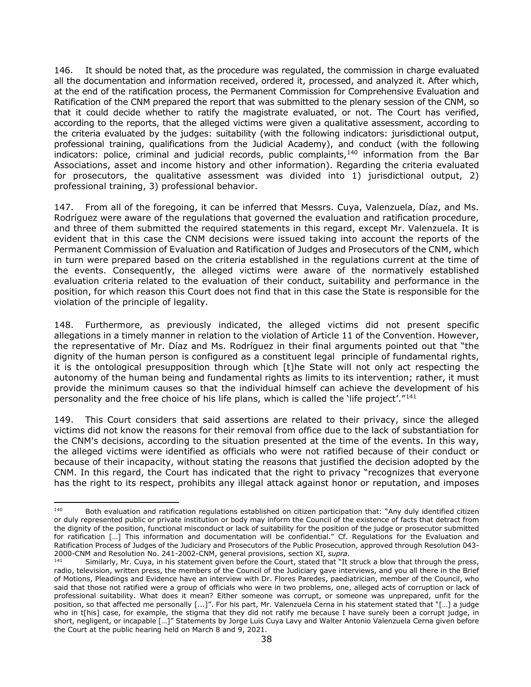146. It should be noted that, as the procedure was regulated, the commission in charge evaluated all the documentation and information received, ordered it, processed, and analyzed it. After which, at the end of the ratification process, the Permanent Commission for Comprehensive Evaluation and Ratification of the CNM prepared the report that was submitted to the plenary session of the CNM, so that it could decide whether to ratify the magistrate evaluated, or not. The Court has verified, according to the reports, that the alleged victims were given a qualitative assessment, according to the criteria evaluated by the judges: suitability (with the following indicators: jurisdictional output, professional training, qualifications from the Judicial Academy), and conduct (with the following indicators: police, criminal and judicial records, public complaints,<sup>[140](#page-37-0)</sup> information from the Bar Associations, asset and income history and other information). Regarding the criteria evaluated for prosecutors, the qualitative assessment was divided into 1) jurisdictional output, 2) professional training, 3) professional behavior.

147. From all of the foregoing, it can be inferred that Messrs. Cuya, Valenzuela, Díaz, and Ms. Rodríguez were aware of the regulations that governed the evaluation and ratification procedure, and three of them submitted the required statements in this regard, except Mr. Valenzuela. It is evident that in this case the CNM decisions were issued taking into account the reports of the Permanent Commission of Evaluation and Ratification of Judges and Prosecutors of the CNM, which in turn were prepared based on the criteria established in the regulations current at the time of the events. Consequently, the alleged victims were aware of the normatively established evaluation criteria related to the evaluation of their conduct, suitability and performance in the position, for which reason this Court does not find that in this case the State is responsible for the violation of the principle of legality.

148. Furthermore, as previously indicated, the alleged victims did not present specific allegations in a timely manner in relation to the violation of Article 11 of the Convention. However, the representative of Mr. Díaz and Ms. Rodríguez in their final arguments pointed out that "the dignity of the human person is configured as a constituent legal principle of fundamental rights, it is the ontological presupposition through which [t]he State will not only act respecting the autonomy of the human being and fundamental rights as limits to its intervention; rather, it must provide the minimum causes so that the individual himself can achieve the development of his personality and the free choice of his life plans, which is called the 'life project'."[141](#page-37-1)

149. This Court considers that said assertions are related to their privacy, since the alleged victims did not know the reasons for their removal from office due to the lack of substantiation for the CNM's decisions, according to the situation presented at the time of the events. In this way, the alleged victims were identified as officials who were not ratified because of their conduct or because of their incapacity, without stating the reasons that justified the decision adopted by the CNM. In this regard, the Court has indicated that the right to privacy "recognizes that everyone has the right to its respect, prohibits any illegal attack against honor or reputation, and imposes

<span id="page-37-0"></span> $140$  Both evaluation and ratification regulations established on citizen participation that: "Any duly identified citizen or duly represented public or private institution or body may inform the Council of the existence of facts that detract from the dignity of the position, functional misconduct or lack of suitability for the position of the judge or prosecutor submitted for ratification […] This information and documentation will be confidential." Cf. Regulations for the Evaluation and Ratification Process of Judges of the Judiciary and Prosecutors of the Public Prosecution, approved through Resolution 043- 2000-CNM and Resolution No. 241-2002-CNM, general provisions, section XI, *supra*.<br><sup>141</sup> Similarly, Mr. Cuya, in his statement given before the Court, stated that "It struck a blow that through the press,

<span id="page-37-1"></span>radio, television, written press, the members of the Council of the Judiciary gave interviews, and you all there in the Brief of Motions, Pleadings and Evidence have an interview with Dr. Flores Paredes, paediatrician, member of the Council, who said that those not ratified were a group of officials who were in two problems, one, alleged acts of corruption or lack of professional suitability. What does it mean? Either someone was corrupt, or someone was unprepared, unfit for the position, so that affected me personally [...]". For his part, Mr. Valenzuela Cerna in his statement stated that "[…] a judge who in t[his] case, for example, the stigma that they did not ratify me because I have surely been a corrupt judge, in short, negligent, or incapable […]" Statements by Jorge Luis Cuya Lavy and Walter Antonio Valenzuela Cerna given before the Court at the public hearing held on March 8 and 9, 2021.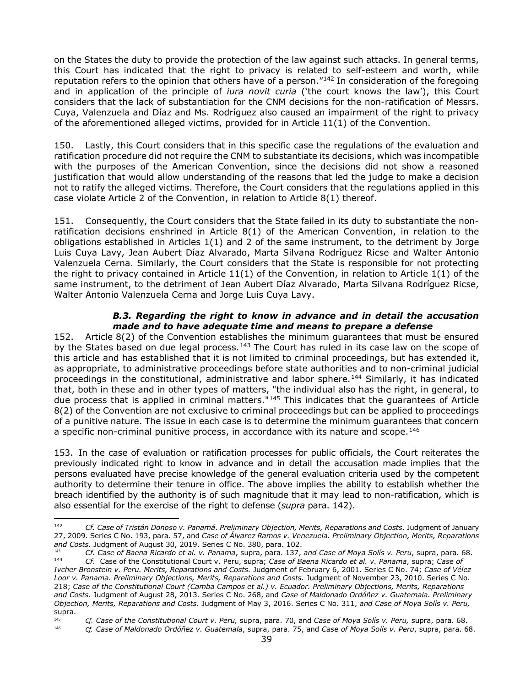on the States the duty to provide the protection of the law against such attacks. In general terms, this Court has indicated that the right to privacy is related to self-esteem and worth, while reputation refers to the opinion that others have of a person."<sup>[142](#page-38-1)</sup> In consideration of the foregoing and in application of the principle of *iura novit curia* ('the court knows the law'), this Court considers that the lack of substantiation for the CNM decisions for the non-ratification of Messrs. Cuya, Valenzuela and Díaz and Ms. Rodríguez also caused an impairment of the right to privacy of the aforementioned alleged victims, provided for in Article  $11(1)$  of the Convention.

150. Lastly, this Court considers that in this specific case the regulations of the evaluation and ratification procedure did not require the CNM to substantiate its decisions, which was incompatible with the purposes of the American Convention, since the decisions did not show a reasoned justification that would allow understanding of the reasons that led the judge to make a decision not to ratify the alleged victims. Therefore, the Court considers that the regulations applied in this case violate Article 2 of the Convention, in relation to Article 8(1) thereof.

151. Consequently, the Court considers that the State failed in its duty to substantiate the nonratification decisions enshrined in Article 8(1) of the American Convention, in relation to the obligations established in Articles 1(1) and 2 of the same instrument, to the detriment by Jorge Luis Cuya Lavy, Jean Aubert Díaz Alvarado, Marta Silvana Rodríguez Ricse and Walter Antonio Valenzuela Cerna. Similarly, the Court considers that the State is responsible for not protecting the right to privacy contained in Article  $11(1)$  of the Convention, in relation to Article  $1(1)$  of the same instrument, to the detriment of Jean Aubert Díaz Alvarado, Marta Silvana Rodríguez Ricse, Walter Antonio Valenzuela Cerna and Jorge Luis Cuya Lavy.

#### *B.3. Regarding the right to know in advance and in detail the accusation made and to have adequate time and means to prepare a defense*

<span id="page-38-0"></span>152. Article 8(2) of the Convention establishes the minimum guarantees that must be ensured by the States based on due legal process.<sup>[143](#page-38-2)</sup> The Court has ruled in its case law on the scope of this article and has established that it is not limited to criminal proceedings, but has extended it, as appropriate, to administrative proceedings before state authorities and to non-criminal judicial proceedings in the constitutional, administrative and labor sphere.<sup>[144](#page-38-3)</sup> Similarly, it has indicated that, both in these and in other types of matters, "the individual also has the right, in general, to due process that is applied in criminal matters."[145](#page-38-4) This indicates that the guarantees of Article 8(2) of the Convention are not exclusive to criminal proceedings but can be applied to proceedings of a punitive nature. The issue in each case is to determine the minimum guarantees that concern a specific non-criminal punitive process, in accordance with its nature and scope.<sup>[146](#page-38-5)</sup>

153. In the case of evaluation or ratification processes for public officials, the Court reiterates the previously indicated right to know in advance and in detail the accusation made implies that the persons evaluated have precise knowledge of the general evaluation criteria used by the competent authority to determine their tenure in office. The above implies the ability to establish whether the breach identified by the authority is of such magnitude that it may lead to non-ratification, which is also essential for the exercise of the right to defense (*supra* para. 142).

<span id="page-38-1"></span><sup>142</sup> *Cf. Case of Tristán Donoso v. Panamá*. *Preliminary Objection, Merits, Reparations and Costs*. Judgment of January 27, 2009. Series C No. 193, para. 57, and *Case of Álvarez Ramos v. Venezuela. Preliminary Objection, Merits, Reparations and Costs*. Judgment of August 30, 2019. Series C No. 380, para. 102.

<span id="page-38-3"></span><span id="page-38-2"></span><sup>143</sup> *Cf. Case of Baena Ricardo et al. v. Panama*, supra, para. 137, *and Case of Moya Solís v. Peru*, supra, para. 68. <sup>144</sup> *Cf*. Case of the Constitutional Court v. Peru, supra; *Case of Baena Ricardo et al. v. Panama*, supra; *Case of Ivcher Bronstein v. Peru. Merits, Reparations and Costs.* Judgment of February 6, 2001. Series C No. 74; *Case of Vélez Loor v. Panama. Preliminary Objections, Merits, Reparations and Costs.* Judgment of November 23, 2010. Series C No. 218; *Case of the Constitutional Court (Camba Campos et al.) v. Ecuador. Preliminary Objections, Merits, Reparations and Costs.* Judgment of August 28, 2013. Series C No. 268, and *Case of Maldonado Ordóñez v. Guatemala. Preliminary Objection, Merits, Reparations and Costs.* Judgment of May 3, 2016. Series C No. 311, *and Case of Moya Solís v. Peru,* supra.<br>145

<span id="page-38-4"></span><sup>145</sup> *Cf*. *Case of the Constitutional Court v. Peru,* supra, para. 70, and *Case of Moya Solís v. Peru,* supra, para. 68.

<span id="page-38-5"></span><sup>146</sup> *Cf. Case of Maldonado Ordóñez v. Guatemala*, supra, para. 75, and *Case of Moya Solís v. Peru*, supra, para. 68.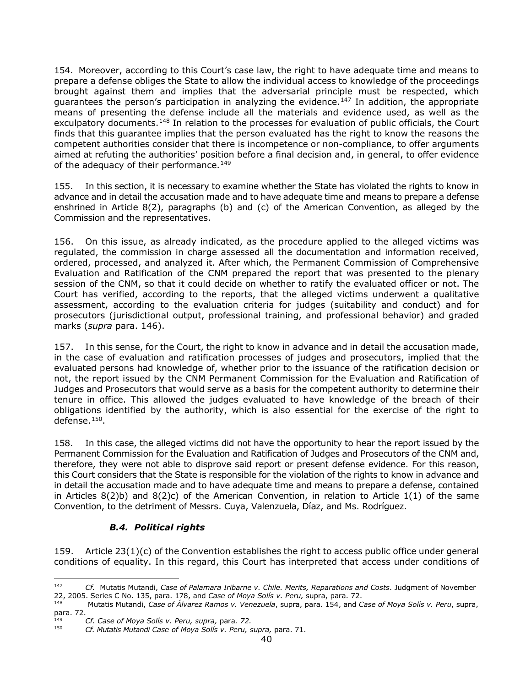154. Moreover, according to this Court's case law, the right to have adequate time and means to prepare a defense obliges the State to allow the individual access to knowledge of the proceedings brought against them and implies that the adversarial principle must be respected, which guarantees the person's participation in analyzing the evidence.<sup>[147](#page-39-1)</sup> In addition, the appropriate means of presenting the defense include all the materials and evidence used, as well as the exculpatory documents.<sup>[148](#page-39-2)</sup> In relation to the processes for evaluation of public officials, the Court finds that this guarantee implies that the person evaluated has the right to know the reasons the competent authorities consider that there is incompetence or non-compliance, to offer arguments aimed at refuting the authorities' position before a final decision and, in general, to offer evidence of the adequacy of their performance.<sup>[149](#page-39-3)</sup>

155. In this section, it is necessary to examine whether the State has violated the rights to know in advance and in detail the accusation made and to have adequate time and means to prepare a defense enshrined in Article 8(2), paragraphs (b) and (c) of the American Convention, as alleged by the Commission and the representatives.

156. On this issue, as already indicated, as the procedure applied to the alleged victims was regulated, the commission in charge assessed all the documentation and information received, ordered, processed, and analyzed it. After which, the Permanent Commission of Comprehensive Evaluation and Ratification of the CNM prepared the report that was presented to the plenary session of the CNM, so that it could decide on whether to ratify the evaluated officer or not. The Court has verified, according to the reports, that the alleged victims underwent a qualitative assessment, according to the evaluation criteria for judges (suitability and conduct) and for prosecutors (jurisdictional output, professional training, and professional behavior) and graded marks (*supra* para. 146).

157. In this sense, for the Court, the right to know in advance and in detail the accusation made, in the case of evaluation and ratification processes of judges and prosecutors, implied that the evaluated persons had knowledge of, whether prior to the issuance of the ratification decision or not, the report issued by the CNM Permanent Commission for the Evaluation and Ratification of Judges and Prosecutors that would serve as a basis for the competent authority to determine their tenure in office. This allowed the judges evaluated to have knowledge of the breach of their obligations identified by the authority, which is also essential for the exercise of the right to defense.[150.](#page-39-4)

158. In this case, the alleged victims did not have the opportunity to hear the report issued by the Permanent Commission for the Evaluation and Ratification of Judges and Prosecutors of the CNM and, therefore, they were not able to disprove said report or present defense evidence. For this reason, this Court considers that the State is responsible for the violation of the rights to know in advance and in detail the accusation made and to have adequate time and means to prepare a defense, contained in Articles 8(2)b) and 8(2)c) of the American Convention, in relation to Article 1(1) of the same Convention, to the detriment of Messrs. Cuya, Valenzuela, Díaz, and Ms. Rodríguez.

# <span id="page-39-0"></span>*B.4. Political rights*

159. Article 23(1)(c) of the Convention establishes the right to access public office under general conditions of equality. In this regard, this Court has interpreted that access under conditions of

<span id="page-39-1"></span><sup>147</sup> *Cf.* Mutatis Mutandi, *Case of Palamara Iribarne v. Chile. Merits, Reparations and Costs*. Judgment of November 22, 2005. Series C No. 135, para. 178, and *Case of Moya Solís v. Peru,* supra, para. 72.

<span id="page-39-2"></span><sup>148</sup> Mutatis Mutandi, *Case of Álvarez Ramos v. Venezuela*, supra, para. 154, and *Case of Moya Solís v. Peru*, supra, para. 72.

<span id="page-39-4"></span><span id="page-39-3"></span><sup>149</sup> *Cf. Case of Moya Solís v. Peru, supra,* para*. 72.*

<sup>150</sup> *Cf. Mutatis Mutandi Case of Moya Solís v. Peru, supra,* para. 71.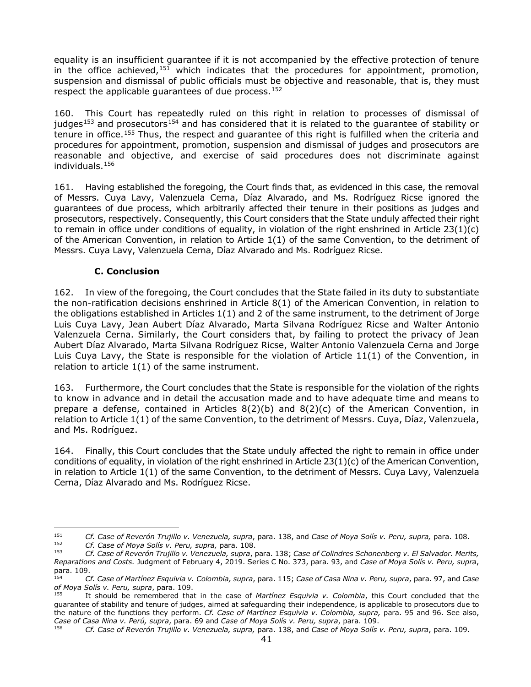equality is an insufficient guarantee if it is not accompanied by the effective protection of tenure in the office achieved,  $151$  which indicates that the procedures for appointment, promotion, suspension and dismissal of public officials must be objective and reasonable, that is, they must respect the applicable guarantees of due process.<sup>[152](#page-40-2)</sup>

160. This Court has repeatedly ruled on this right in relation to processes of dismissal of judges<sup>[153](#page-40-3)</sup> and prosecutors<sup>[154](#page-40-4)</sup> and has considered that it is related to the quarantee of stability or tenure in office.[155](#page-40-5) Thus, the respect and guarantee of this right is fulfilled when the criteria and procedures for appointment, promotion, suspension and dismissal of judges and prosecutors are reasonable and objective, and exercise of said procedures does not discriminate against individuals.[156](#page-40-6)

161. Having established the foregoing, the Court finds that, as evidenced in this case, the removal of Messrs. Cuya Lavy, Valenzuela Cerna, Díaz Alvarado, and Ms. Rodríguez Ricse ignored the guarantees of due process, which arbitrarily affected their tenure in their positions as judges and prosecutors, respectively. Consequently, this Court considers that the State unduly affected their right to remain in office under conditions of equality, in violation of the right enshrined in Article  $23(1)(c)$ of the American Convention, in relation to Article 1(1) of the same Convention, to the detriment of Messrs. Cuya Lavy, Valenzuela Cerna, Díaz Alvarado and Ms. Rodríguez Ricse.

# **C. Conclusion**

<span id="page-40-0"></span>162. In view of the foregoing, the Court concludes that the State failed in its duty to substantiate the non-ratification decisions enshrined in Article 8(1) of the American Convention, in relation to the obligations established in Articles 1(1) and 2 of the same instrument, to the detriment of Jorge Luis Cuya Lavy, Jean Aubert Díaz Alvarado, Marta Silvana Rodríguez Ricse and Walter Antonio Valenzuela Cerna. Similarly, the Court considers that, by failing to protect the privacy of Jean Aubert Díaz Alvarado, Marta Silvana Rodríguez Ricse, Walter Antonio Valenzuela Cerna and Jorge Luis Cuya Lavy, the State is responsible for the violation of Article 11(1) of the Convention, in relation to article 1(1) of the same instrument.

163. Furthermore, the Court concludes that the State is responsible for the violation of the rights to know in advance and in detail the accusation made and to have adequate time and means to prepare a defense, contained in Articles  $8(2)(b)$  and  $8(2)(c)$  of the American Convention, in relation to Article 1(1) of the same Convention, to the detriment of Messrs. Cuya, Díaz, Valenzuela, and Ms. Rodríguez.

164. Finally, this Court concludes that the State unduly affected the right to remain in office under conditions of equality, in violation of the right enshrined in Article 23(1)(c) of the American Convention, in relation to Article 1(1) of the same Convention, to the detriment of Messrs. Cuya Lavy, Valenzuela Cerna, Díaz Alvarado and Ms. Rodríguez Ricse.

<span id="page-40-1"></span><sup>151</sup> *Cf. Case of Reverón Trujillo v. Venezuela, supra*, para. 138, and *Case of Moya Solís v. Peru, supra,* para. 108. 152 *Cf. Case of Moya Solís v. Peru, supra,* para. 108.

<span id="page-40-3"></span><span id="page-40-2"></span><sup>153</sup> *Cf. Case of Reverón Trujillo v. Venezuela, supra*, para. 138; *Case of Colindres Schonenberg v. El Salvador. Merits, Reparations and Costs.* Judgment of February 4, 2019. Series C No. 373, para. 93, and *Case of Moya Solís v. Peru, supra*, para. 109.

<span id="page-40-4"></span><sup>154</sup> *Cf. Case of Martínez Esquivia v. Colombia, supra*, para. 115; *Case of Casa Nina v. Peru, supra*, para. 97, and *Case of Moya Solís v. Peru, supra*, para. 109.

<span id="page-40-5"></span><sup>155</sup> It should be remembered that in the case of *Martínez Esquivia v. Colombia*, this Court concluded that the guarantee of stability and tenure of judges, aimed at safeguarding their independence, is applicable to prosecutors due to the nature of the functions they perform. *Cf. Case of Martínez Esquivia v. Colombia, supra,* para. 95 and 96. See also, *Case of Casa Nina v. Perú, supra*, para. 69 and *Case of Moya Solís v. Peru, supra*, para. 109.

<span id="page-40-6"></span><sup>156</sup> *Cf. Case of Reverón Trujillo v. Venezuela, supra,* para. 138, and *Case of Moya Solís v. Peru, supra*, para. 109.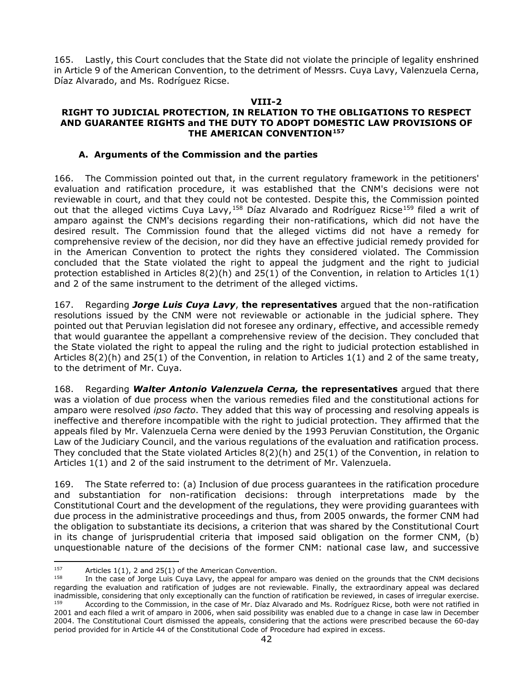<span id="page-41-0"></span>165. Lastly, this Court concludes that the State did not violate the principle of legality enshrined in Article 9 of the American Convention, to the detriment of Messrs. Cuya Lavy, Valenzuela Cerna, Díaz Alvarado, and Ms. Rodríguez Ricse.

#### **VIII-2**

#### **RIGHT TO JUDICIAL PROTECTION, IN RELATION TO THE OBLIGATIONS TO RESPECT AND GUARANTEE RIGHTS and THE DUTY TO ADOPT DOMESTIC LAW PROVISIONS OF THE AMERICAN CONVENTION[157](#page-41-1)**

#### **A. Arguments of the Commission and the parties**

166. The Commission pointed out that, in the current regulatory framework in the petitioners' evaluation and ratification procedure, it was established that the CNM's decisions were not reviewable in court, and that they could not be contested. Despite this, the Commission pointed out that the alleged victims Cuya Lavy,<sup>[158](#page-41-2)</sup> Díaz Alvarado and Rodríguez Ricse<sup>[159](#page-41-3)</sup> filed a writ of amparo against the CNM's decisions regarding their non-ratifications, which did not have the desired result. The Commission found that the alleged victims did not have a remedy for comprehensive review of the decision, nor did they have an effective judicial remedy provided for in the American Convention to protect the rights they considered violated. The Commission concluded that the State violated the right to appeal the judgment and the right to judicial protection established in Articles  $8(2)(h)$  and  $25(1)$  of the Convention, in relation to Articles  $1(1)$ and 2 of the same instrument to the detriment of the alleged victims.

167. Regarding *Jorge Luis Cuya Lavy*, **the representatives** argued that the non-ratification resolutions issued by the CNM were not reviewable or actionable in the judicial sphere. They pointed out that Peruvian legislation did not foresee any ordinary, effective, and accessible remedy that would guarantee the appellant a comprehensive review of the decision. They concluded that the State violated the right to appeal the ruling and the right to judicial protection established in Articles 8(2)(h) and 25(1) of the Convention, in relation to Articles 1(1) and 2 of the same treaty, to the detriment of Mr. Cuya.

168. Regarding *Walter Antonio Valenzuela Cerna,* **the representatives** argued that there was a violation of due process when the various remedies filed and the constitutional actions for amparo were resolved *ipso facto*. They added that this way of processing and resolving appeals is ineffective and therefore incompatible with the right to judicial protection. They affirmed that the appeals filed by Mr. Valenzuela Cerna were denied by the 1993 Peruvian Constitution, the Organic Law of the Judiciary Council, and the various regulations of the evaluation and ratification process. They concluded that the State violated Articles 8(2)(h) and 25(1) of the Convention, in relation to Articles 1(1) and 2 of the said instrument to the detriment of Mr. Valenzuela.

169. The State referred to: (a) Inclusion of due process guarantees in the ratification procedure and substantiation for non-ratification decisions: through interpretations made by the Constitutional Court and the development of the regulations, they were providing guarantees with due process in the administrative proceedings and thus, from 2005 onwards, the former CNM had the obligation to substantiate its decisions, a criterion that was shared by the Constitutional Court in its change of jurisprudential criteria that imposed said obligation on the former CNM, (b) unquestionable nature of the decisions of the former CNM: national case law, and successive

<span id="page-41-1"></span><sup>&</sup>lt;sup>157</sup> Articles 1(1), 2 and 25(1) of the American Convention.

<span id="page-41-3"></span><span id="page-41-2"></span>In the case of Jorge Luis Cuya Lavy, the appeal for amparo was denied on the grounds that the CNM decisions regarding the evaluation and ratification of judges are not reviewable. Finally, the extraordinary appeal was declared inadmissible, considering that only exceptionally can the function of ratification be reviewed, in cases of irregular exercise. According to the Commission, in the case of Mr. Díaz Alvarado and Ms. Rodríguez Ricse, both were not ratified in 2001 and each filed a writ of amparo in 2006, when said possibility was enabled due to a change in case law in December 2004. The Constitutional Court dismissed the appeals, considering that the actions were prescribed because the 60-day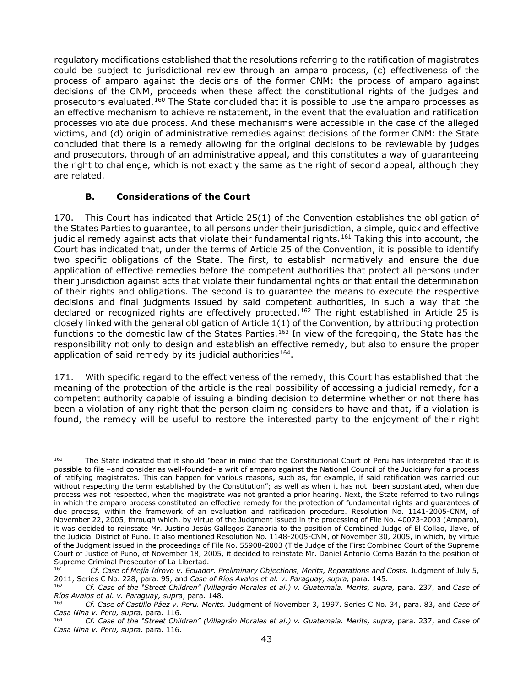regulatory modifications established that the resolutions referring to the ratification of magistrates could be subject to jurisdictional review through an amparo process, (c) effectiveness of the process of amparo against the decisions of the former CNM: the process of amparo against decisions of the CNM, proceeds when these affect the constitutional rights of the judges and prosecutors evaluated.<sup>[160](#page-42-1)</sup> The State concluded that it is possible to use the amparo processes as an effective mechanism to achieve reinstatement, in the event that the evaluation and ratification processes violate due process. And these mechanisms were accessible in the case of the alleged victims, and (d) origin of administrative remedies against decisions of the former CNM: the State concluded that there is a remedy allowing for the original decisions to be reviewable by judges and prosecutors, through of an administrative appeal, and this constitutes a way of guaranteeing the right to challenge, which is not exactly the same as the right of second appeal, although they are related.

# **B. Considerations of the Court**

<span id="page-42-0"></span>170. This Court has indicated that Article 25(1) of the Convention establishes the obligation of the States Parties to guarantee, to all persons under their jurisdiction, a simple, quick and effective judicial remedy against acts that violate their fundamental rights.<sup>[161](#page-42-2)</sup> Taking this into account, the Court has indicated that, under the terms of Article 25 of the Convention, it is possible to identify two specific obligations of the State. The first, to establish normatively and ensure the due application of effective remedies before the competent authorities that protect all persons under their jurisdiction against acts that violate their fundamental rights or that entail the determination of their rights and obligations. The second is to guarantee the means to execute the respective decisions and final judgments issued by said competent authorities, in such a way that the declared or recognized rights are effectively protected.<sup>[162](#page-42-3)</sup> The right established in Article 25 is closely linked with the general obligation of Article 1(1) of the Convention, by attributing protection functions to the domestic law of the States Parties.<sup>[163](#page-42-4)</sup> In view of the foregoing, the State has the responsibility not only to design and establish an effective remedy, but also to ensure the proper application of said remedy by its judicial authorities<sup>164</sup>.

171. With specific regard to the effectiveness of the remedy, this Court has established that the meaning of the protection of the article is the real possibility of accessing a judicial remedy, for a competent authority capable of issuing a binding decision to determine whether or not there has been a violation of any right that the person claiming considers to have and that, if a violation is found, the remedy will be useful to restore the interested party to the enjoyment of their right

<span id="page-42-1"></span><sup>&</sup>lt;sup>160</sup> The State indicated that it should "bear in mind that the Constitutional Court of Peru has interpreted that it is possible to file –and consider as well-founded- a writ of amparo against the National Council of the Judiciary for a process of ratifying magistrates. This can happen for various reasons, such as, for example, if said ratification was carried out without respecting the term established by the Constitution"; as well as when it has not been substantiated, when due process was not respected, when the magistrate was not granted a prior hearing. Next, the State referred to two rulings in which the amparo process constituted an effective remedy for the protection of fundamental rights and guarantees of due process, within the framework of an evaluation and ratification procedure. Resolution No. 1141-2005-CNM, of November 22, 2005, through which, by virtue of the Judgment issued in the processing of File No. 40073-2003 (Amparo), it was decided to reinstate Mr. Justino Jesús Gallegos Zanabria to the position of Combined Judge of El Collao, Ilave, of the Judicial District of Puno. It also mentioned Resolution No. 1148-2005-CNM, of November 30, 2005, in which, by virtue of the Judgment issued in the proceedings of File No. 55908-2003 (Title Judge of the First Combined Court of the Supreme Court of Justice of Puno, of November 18, 2005, it decided to reinstate Mr. Daniel Antonio Cerna Bazán to the position of Supreme Criminal Prosecutor of La Libertad.<br>
Cf. Case of Maiía Idrove y, Esuado

<span id="page-42-2"></span><sup>161</sup> *Cf. Case of Mejía Idrovo v. Ecuador. Preliminary Objections, Merits, Reparations and Costs.* Judgment of July 5, 2011, Series C No. 228, para. 95, and *Case of Ríos Avalos et al. v. Paraguay, supra,* para. 145.

<span id="page-42-3"></span><sup>162</sup> *Cf. Case of the "Street Children" (Villagrán Morales et al.) v. Guatemala. Merits, supra,* para. 237, and *Case of Ríos Avalos et al. v. Paraguay, supra*, para. 148.

<span id="page-42-4"></span><sup>163</sup> *Cf. Case of Castillo Páez v. Peru. Merits.* Judgment of November 3, 1997. Series C No. 34, para. 83, and *Case of Casa Nina v. Peru, supra,* para. 116.

<span id="page-42-5"></span><sup>164</sup> *Cf. Case of the "Street Children" (Villagrán Morales et al.) v. Guatemala. Merits, supra,* para. 237, and *Case of Casa Nina v. Peru, supra,* para. 116.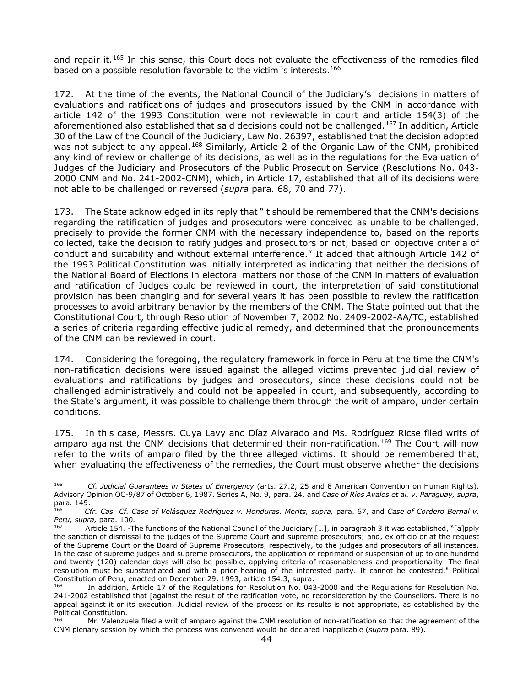and repair it.<sup>[165](#page-43-0)</sup> In this sense, this Court does not evaluate the effectiveness of the remedies filed based on a possible resolution favorable to the victim 's interests.<sup>[166](#page-43-1)</sup>

172. At the time of the events, the National Council of the Judiciary's decisions in matters of evaluations and ratifications of judges and prosecutors issued by the CNM in accordance with article 142 of the 1993 Constitution were not reviewable in court and article 154(3) of the aforementioned also established that said decisions could not be challenged.<sup>[167](#page-43-2)</sup> In addition, Article 30 of the Law of the Council of the Judiciary, Law No. 26397, established that the decision adopted was not subject to any appeal.<sup>[168](#page-43-3)</sup> Similarly, Article 2 of the Organic Law of the CNM, prohibited any kind of review or challenge of its decisions, as well as in the regulations for the Evaluation of Judges of the Judiciary and Prosecutors of the Public Prosecution Service (Resolutions No. 043- 2000 CNM and No. 241-2002-CNM), which, in Article 17, established that all of its decisions were not able to be challenged or reversed (*supra* para. 68, 70 and 77).

173. The State acknowledged in its reply that "it should be remembered that the CNM's decisions regarding the ratification of judges and prosecutors were conceived as unable to be challenged, precisely to provide the former CNM with the necessary independence to, based on the reports collected, take the decision to ratify judges and prosecutors or not, based on objective criteria of conduct and suitability and without external interference." It added that although Article 142 of the 1993 Political Constitution was initially interpreted as indicating that neither the decisions of the National Board of Elections in electoral matters nor those of the CNM in matters of evaluation and ratification of Judges could be reviewed in court, the interpretation of said constitutional provision has been changing and for several years it has been possible to review the ratification processes to avoid arbitrary behavior by the members of the CNM. The State pointed out that the Constitutional Court, through Resolution of November 7, 2002 No. 2409-2002-AA/TC, established a series of criteria regarding effective judicial remedy, and determined that the pronouncements of the CNM can be reviewed in court.

174. Considering the foregoing, the regulatory framework in force in Peru at the time the CNM's non-ratification decisions were issued against the alleged victims prevented judicial review of evaluations and ratifications by judges and prosecutors, since these decisions could not be challenged administratively and could not be appealed in court, and subsequently, according to the State's argument, it was possible to challenge them through the writ of amparo, under certain conditions.

175. In this case, Messrs. Cuya Lavy and Díaz Alvarado and Ms. Rodríguez Ricse filed writs of amparo against the CNM decisions that determined their non-ratification.<sup>[169](#page-43-4)</sup> The Court will now refer to the writs of amparo filed by the three alleged victims. It should be remembered that, when evaluating the effectiveness of the remedies, the Court must observe whether the decisions

<span id="page-43-0"></span><sup>165</sup> *Cf. Judicial Guarantees in States of Emergency* (arts. 27.2, 25 and 8 American Convention on Human Rights). Advisory Opinion OC-9/87 of October 6, 1987. Series A, No. 9, para. 24, and *Case of Ríos Avalos et al. v. Paraguay, supra*, para. 149.

<span id="page-43-1"></span><sup>166</sup> *Cfr. Cas Cf. Case of Velásquez Rodríguez v. Honduras. Merits, supra,* para. 67, and *Case of Cordero Bernal v. Peru, supra,* para. 100*.*

<span id="page-43-2"></span>Article 154. -The functions of the National Council of the Judiciary [...], in paragraph 3 it was established, "[a]pply the sanction of dismissal to the judges of the Supreme Court and supreme prosecutors; and, ex officio or at the request of the Supreme Court or the Board of Supreme Prosecutors, respectively, to the judges and prosecutors of all instances. In the case of supreme judges and supreme prosecutors, the application of reprimand or suspension of up to one hundred and twenty (120) calendar days will also be possible, applying criteria of reasonableness and proportionality. The final resolution must be substantiated and with a prior hearing of the interested party. It cannot be contested." Political Constitution of Peru, enacted on December 29, 1993, article 154.3, supra.

<span id="page-43-3"></span>In addition, Article 17 of the Regulations for Resolution No. 043-2000 and the Regulations for Resolution No. 241-2002 established that [against the result of the ratification vote, no reconsideration by the Counsellors. There is no appeal against it or its execution. Judicial review of the process or its results is not appropriate, as established by the Political Constitution.

<span id="page-43-4"></span>Mr. Valenzuela filed a writ of amparo against the CNM resolution of non-ratification so that the agreement of the CNM plenary session by which the process was convened would be declared inapplicable (*supra* para. 89).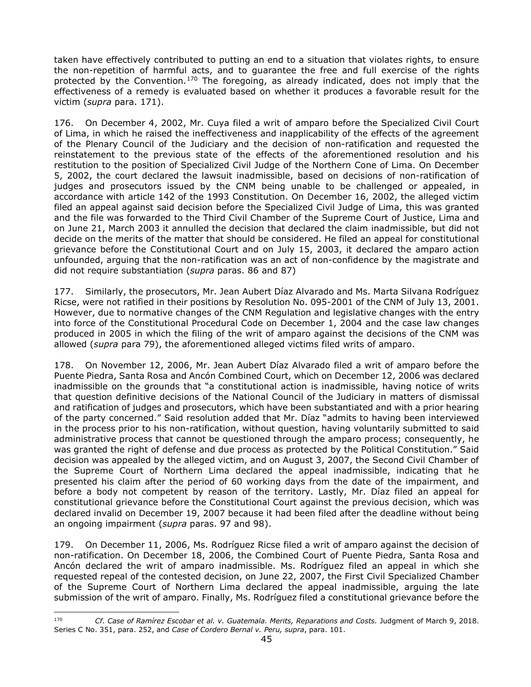taken have effectively contributed to putting an end to a situation that violates rights, to ensure the non-repetition of harmful acts, and to guarantee the free and full exercise of the rights protected by the Convention.<sup>[170](#page-44-0)</sup> The foregoing, as already indicated, does not imply that the effectiveness of a remedy is evaluated based on whether it produces a favorable result for the victim (*supra* para. 171).

176. On December 4, 2002, Mr. Cuya filed a writ of amparo before the Specialized Civil Court of Lima, in which he raised the ineffectiveness and inapplicability of the effects of the agreement of the Plenary Council of the Judiciary and the decision of non-ratification and requested the reinstatement to the previous state of the effects of the aforementioned resolution and his restitution to the position of Specialized Civil Judge of the Northern Cone of Lima. On December 5, 2002, the court declared the lawsuit inadmissible, based on decisions of non-ratification of judges and prosecutors issued by the CNM being unable to be challenged or appealed, in accordance with article 142 of the 1993 Constitution. On December 16, 2002, the alleged victim filed an appeal against said decision before the Specialized Civil Judge of Lima, this was granted and the file was forwarded to the Third Civil Chamber of the Supreme Court of Justice, Lima and on June 21, March 2003 it annulled the decision that declared the claim inadmissible, but did not decide on the merits of the matter that should be considered. He filed an appeal for constitutional grievance before the Constitutional Court and on July 15, 2003, it declared the amparo action unfounded, arguing that the non-ratification was an act of non-confidence by the magistrate and did not require substantiation (*supra* paras. 86 and 87)

177. Similarly, the prosecutors, Mr. Jean Aubert Díaz Alvarado and Ms. Marta Silvana Rodríguez Ricse, were not ratified in their positions by Resolution No. 095-2001 of the CNM of July 13, 2001. However, due to normative changes of the CNM Regulation and legislative changes with the entry into force of the Constitutional Procedural Code on December 1, 2004 and the case law changes produced in 2005 in which the filing of the writ of amparo against the decisions of the CNM was allowed (*supra* para 79), the aforementioned alleged victims filed writs of amparo.

178. On November 12, 2006, Mr. Jean Aubert Díaz Alvarado filed a writ of amparo before the Puente Piedra, Santa Rosa and Ancón Combined Court, which on December 12, 2006 was declared inadmissible on the grounds that "a constitutional action is inadmissible, having notice of writs that question definitive decisions of the National Council of the Judiciary in matters of dismissal and ratification of judges and prosecutors, which have been substantiated and with a prior hearing of the party concerned." Said resolution added that Mr. Díaz "admits to having been interviewed in the process prior to his non-ratification, without question, having voluntarily submitted to said administrative process that cannot be questioned through the amparo process; consequently, he was granted the right of defense and due process as protected by the Political Constitution." Said decision was appealed by the alleged victim, and on August 3, 2007, the Second Civil Chamber of the Supreme Court of Northern Lima declared the appeal inadmissible, indicating that he presented his claim after the period of 60 working days from the date of the impairment, and before a body not competent by reason of the territory. Lastly, Mr. Díaz filed an appeal for constitutional grievance before the Constitutional Court against the previous decision, which was declared invalid on December 19, 2007 because it had been filed after the deadline without being an ongoing impairment (*supra* paras. 97 and 98).

179. On December 11, 2006, Ms. Rodríguez Ricse filed a writ of amparo against the decision of non-ratification. On December 18, 2006, the Combined Court of Puente Piedra, Santa Rosa and Ancón declared the writ of amparo inadmissible. Ms. Rodríguez filed an appeal in which she requested repeal of the contested decision, on June 22, 2007, the First Civil Specialized Chamber of the Supreme Court of Northern Lima declared the appeal inadmissible, arguing the late submission of the writ of amparo. Finally, Ms. Rodríguez filed a constitutional grievance before the

<span id="page-44-0"></span><sup>170</sup> *Cf. Case of Ramírez Escobar et al. v. Guatemala. Merits, Reparations and Costs.* Judgment of March 9, 2018. Series C No. 351, para. 252, and *Case of Cordero Bernal v. Peru, supra*, para. 101.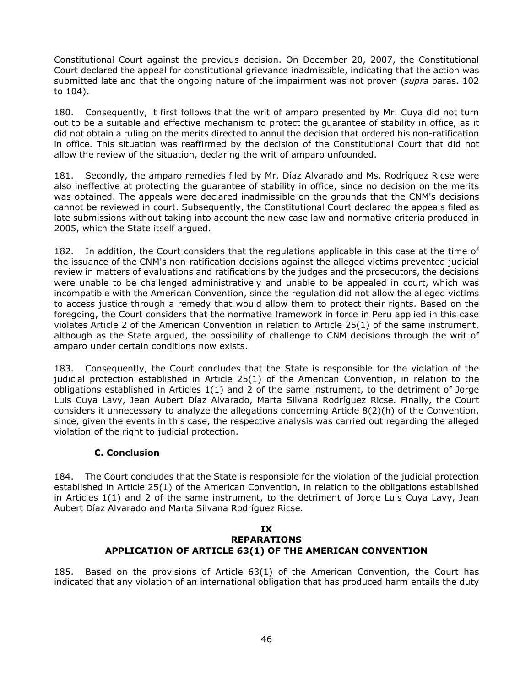Constitutional Court against the previous decision. On December 20, 2007, the Constitutional Court declared the appeal for constitutional grievance inadmissible, indicating that the action was submitted late and that the ongoing nature of the impairment was not proven (*supra* paras. 102 to 104).

180. Consequently, it first follows that the writ of amparo presented by Mr. Cuya did not turn out to be a suitable and effective mechanism to protect the guarantee of stability in office, as it did not obtain a ruling on the merits directed to annul the decision that ordered his non-ratification in office. This situation was reaffirmed by the decision of the Constitutional Court that did not allow the review of the situation, declaring the writ of amparo unfounded.

181. Secondly, the amparo remedies filed by Mr. Díaz Alvarado and Ms. Rodríguez Ricse were also ineffective at protecting the guarantee of stability in office, since no decision on the merits was obtained. The appeals were declared inadmissible on the grounds that the CNM's decisions cannot be reviewed in court. Subsequently, the Constitutional Court declared the appeals filed as late submissions without taking into account the new case law and normative criteria produced in 2005, which the State itself argued.

182. In addition, the Court considers that the regulations applicable in this case at the time of the issuance of the CNM's non-ratification decisions against the alleged victims prevented judicial review in matters of evaluations and ratifications by the judges and the prosecutors, the decisions were unable to be challenged administratively and unable to be appealed in court, which was incompatible with the American Convention, since the regulation did not allow the alleged victims to access justice through a remedy that would allow them to protect their rights. Based on the foregoing, the Court considers that the normative framework in force in Peru applied in this case violates Article 2 of the American Convention in relation to Article 25(1) of the same instrument, although as the State argued, the possibility of challenge to CNM decisions through the writ of amparo under certain conditions now exists.

183. Consequently, the Court concludes that the State is responsible for the violation of the judicial protection established in Article 25(1) of the American Convention, in relation to the obligations established in Articles 1(1) and 2 of the same instrument, to the detriment of Jorge Luis Cuya Lavy, Jean Aubert Díaz Alvarado, Marta Silvana Rodríguez Ricse. Finally, the Court considers it unnecessary to analyze the allegations concerning Article 8(2)(h) of the Convention, since, given the events in this case, the respective analysis was carried out regarding the alleged violation of the right to judicial protection.

# **C. Conclusion**

<span id="page-45-0"></span>184. The Court concludes that the State is responsible for the violation of the judicial protection established in Article 25(1) of the American Convention, in relation to the obligations established in Articles 1(1) and 2 of the same instrument, to the detriment of Jorge Luis Cuya Lavy, Jean Aubert Díaz Alvarado and Marta Silvana Rodríguez Ricse.

#### **IX REPARATIONS APPLICATION OF ARTICLE 63(1) OF THE AMERICAN CONVENTION**

185. Based on the provisions of Article 63(1) of the American Convention, the Court has indicated that any violation of an international obligation that has produced harm entails the duty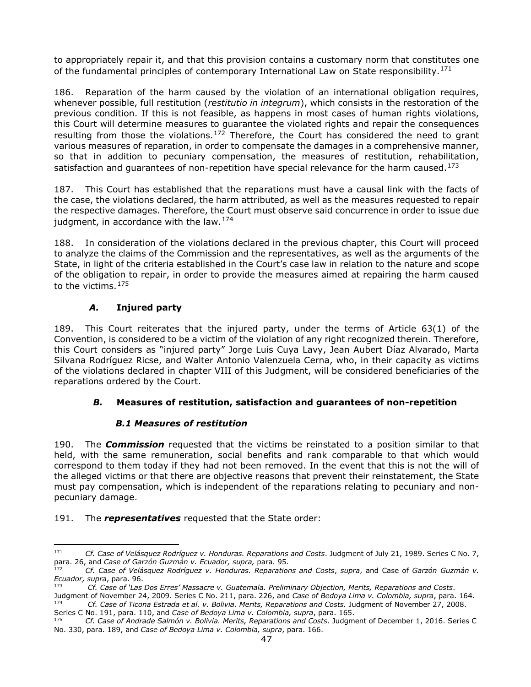to appropriately repair it, and that this provision contains a customary norm that constitutes one of the fundamental principles of contemporary International Law on State responsibility.<sup>[171](#page-46-2)</sup>

186. Reparation of the harm caused by the violation of an international obligation requires, whenever possible, full restitution (*restitutio in integrum*), which consists in the restoration of the previous condition. If this is not feasible, as happens in most cases of human rights violations, this Court will determine measures to guarantee the violated rights and repair the consequences resulting from those the violations.<sup>[172](#page-46-3)</sup> Therefore, the Court has considered the need to grant various measures of reparation, in order to compensate the damages in a comprehensive manner, so that in addition to pecuniary compensation, the measures of restitution, rehabilitation, satisfaction and quarantees of non-repetition have special relevance for the harm caused.<sup>[173](#page-46-4)</sup>

187. This Court has established that the reparations must have a causal link with the facts of the case, the violations declared, the harm attributed, as well as the measures requested to repair the respective damages. Therefore, the Court must observe said concurrence in order to issue due judgment, in accordance with the law.  $174$ 

188. In consideration of the violations declared in the previous chapter, this Court will proceed to analyze the claims of the Commission and the representatives, as well as the arguments of the State, in light of the criteria established in the Court's case law in relation to the nature and scope of the obligation to repair, in order to provide the measures aimed at repairing the harm caused to the victims.<sup>[175](#page-46-6)</sup>

# *A.* **Injured party**

189. This Court reiterates that the injured party, under the terms of Article 63(1) of the Convention, is considered to be a victim of the violation of any right recognized therein. Therefore, this Court considers as "injured party" Jorge Luis Cuya Lavy, Jean Aubert Díaz Alvarado, Marta Silvana Rodríguez Ricse, and Walter Antonio Valenzuela Cerna, who, in their capacity as victims of the violations declared in chapter VIII of this Judgment, will be considered beneficiaries of the reparations ordered by the Court.

# <span id="page-46-0"></span>*B.* **Measures of restitution, satisfaction and guarantees of non-repetition**

# *B.1 Measures of restitution*

<span id="page-46-1"></span>190. The *Commission* requested that the victims be reinstated to a position similar to that held, with the same remuneration, social benefits and rank comparable to that which would correspond to them today if they had not been removed. In the event that this is not the will of the alleged victims or that there are objective reasons that prevent their reinstatement, the State must pay compensation, which is independent of the reparations relating to pecuniary and nonpecuniary damage.

#### 191. The *representatives* requested that the State order:

<span id="page-46-2"></span><sup>171</sup> *Cf. Case of Velásquez Rodríguez v. Honduras. Reparations and Costs*. Judgment of July 21, 1989. Series C No. 7, para. 26, and *Case of Garzón Guzmán v. Ecuador, supra,* para. 95.

<span id="page-46-3"></span><sup>172</sup> *Cf. Case of Velásquez Rodríguez v. Honduras. Reparations and Costs*, *supra*, and Case of *Garzón Guzmán v. Ecuador, supra*, para. 96.

<span id="page-46-4"></span><sup>173</sup> *Cf. Case of 'Las Dos Erres' Massacre v. Guatemala. Preliminary Objection, Merits, Reparations and Costs*.

<span id="page-46-5"></span>Judgment of November 24, 2009. Series C No. 211, para. 226, and Case of Bedoya Lima v. Colombia, supra, para. 164.<br><sup>174</sup> Cf. Case of Ticona Estrada et al. v. Bolivia. Merits, Reparations and Costs. Judgment of November 27,

<span id="page-46-6"></span>Series C No. 191, para. 110, and *Case of Bedoya Lima v. Colombia, supra*, para. 165. <sup>175</sup> *Cf. Case of Andrade Salmón v. Bolivia. Merits, Reparations and Costs*. Judgment of December 1, 2016. Series C No. 330, para. 189, and *Case of Bedoya Lima v. Colombia, supra*, para. 166.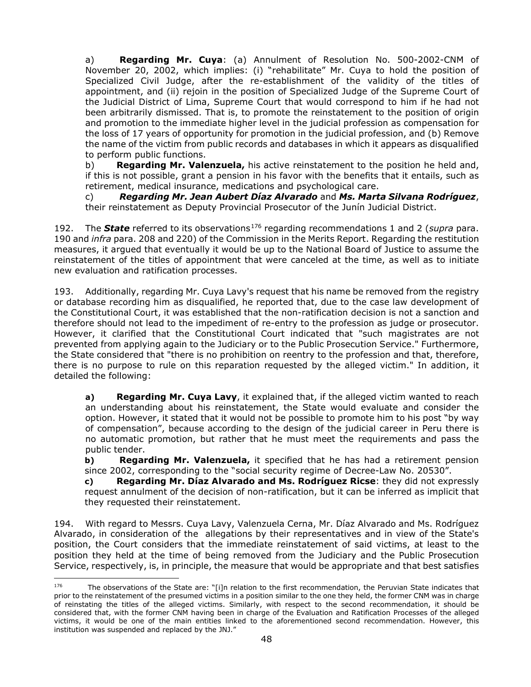a) **Regarding Mr. Cuya**: (a) Annulment of Resolution No. 500-2002-CNM of November 20, 2002, which implies: (i) "rehabilitate" Mr. Cuya to hold the position of Specialized Civil Judge, after the re-establishment of the validity of the titles of appointment, and (ii) rejoin in the position of Specialized Judge of the Supreme Court of the Judicial District of Lima, Supreme Court that would correspond to him if he had not been arbitrarily dismissed. That is, to promote the reinstatement to the position of origin and promotion to the immediate higher level in the judicial profession as compensation for the loss of 17 years of opportunity for promotion in the judicial profession, and (b) Remove the name of the victim from public records and databases in which it appears as disqualified to perform public functions.

b) **Regarding Mr. Valenzuela,** his active reinstatement to the position he held and, if this is not possible, grant a pension in his favor with the benefits that it entails, such as retirement, medical insurance, medications and psychological care.

c) *Regarding Mr. Jean Aubert Díaz Alvarado* and *Ms. Marta Silvana Rodríguez*, their reinstatement as Deputy Provincial Prosecutor of the Junín Judicial District.

192. The **State** referred to its observations<sup>[176](#page-47-0)</sup> regarding recommendations 1 and 2 (*supra* para. 190 and *infra* para. 208 and 220) of the Commission in the Merits Report. Regarding the restitution measures, it argued that eventually it would be up to the National Board of Justice to assume the reinstatement of the titles of appointment that were canceled at the time, as well as to initiate new evaluation and ratification processes.

193. Additionally, regarding Mr. Cuya Lavy's request that his name be removed from the registry or database recording him as disqualified, he reported that, due to the case law development of the Constitutional Court, it was established that the non-ratification decision is not a sanction and therefore should not lead to the impediment of re-entry to the profession as judge or prosecutor. However, it clarified that the Constitutional Court indicated that "such magistrates are not prevented from applying again to the Judiciary or to the Public Prosecution Service." Furthermore, the State considered that "there is no prohibition on reentry to the profession and that, therefore, there is no purpose to rule on this reparation requested by the alleged victim." In addition, it detailed the following:

**a) Regarding Mr. Cuya Lavy**, it explained that, if the alleged victim wanted to reach an understanding about his reinstatement, the State would evaluate and consider the option. However, it stated that it would not be possible to promote him to his post "by way of compensation", because according to the design of the judicial career in Peru there is no automatic promotion, but rather that he must meet the requirements and pass the public tender.

**b) Regarding Mr. Valenzuela,** it specified that he has had a retirement pension since 2002, corresponding to the "social security regime of Decree-Law No. 20530".

**c) Regarding Mr. Díaz Alvarado and Ms. Rodríguez Ricse**: they did not expressly request annulment of the decision of non-ratification, but it can be inferred as implicit that they requested their reinstatement.

194. With regard to Messrs. Cuya Lavy, Valenzuela Cerna, Mr. Díaz Alvarado and Ms. Rodríguez Alvarado, in consideration of the allegations by their representatives and in view of the State's position, the Court considers that the immediate reinstatement of said victims, at least to the position they held at the time of being removed from the Judiciary and the Public Prosecution Service, respectively, is, in principle, the measure that would be appropriate and that best satisfies

<span id="page-47-0"></span><sup>&</sup>lt;sup>176</sup> The observations of the State are: "[i]n relation to the first recommendation, the Peruvian State indicates that prior to the reinstatement of the presumed victims in a position similar to the one they held, the former CNM was in charge of reinstating the titles of the alleged victims. Similarly, with respect to the second recommendation, it should be considered that, with the former CNM having been in charge of the Evaluation and Ratification Processes of the alleged victims, it would be one of the main entities linked to the aforementioned second recommendation. However, this institution was suspended and replaced by the JNJ."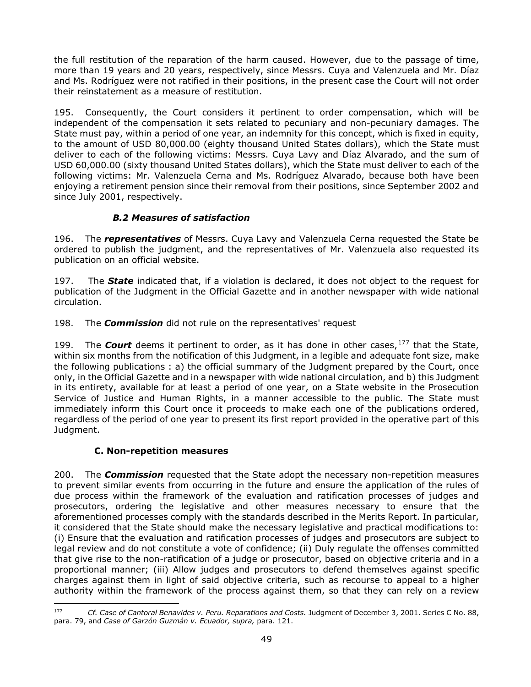the full restitution of the reparation of the harm caused. However, due to the passage of time, more than 19 years and 20 years, respectively, since Messrs. Cuya and Valenzuela and Mr. Díaz and Ms. Rodríguez were not ratified in their positions, in the present case the Court will not order their reinstatement as a measure of restitution.

195. Consequently, the Court considers it pertinent to order compensation, which will be independent of the compensation it sets related to pecuniary and non-pecuniary damages. The State must pay, within a period of one year, an indemnity for this concept, which is fixed in equity, to the amount of USD 80,000.00 (eighty thousand United States dollars), which the State must deliver to each of the following victims: Messrs. Cuya Lavy and Díaz Alvarado, and the sum of USD 60,000.00 (sixty thousand United States dollars), which the State must deliver to each of the following victims: Mr. Valenzuela Cerna and Ms. Rodríguez Alvarado, because both have been enjoying a retirement pension since their removal from their positions, since September 2002 and since July 2001, respectively.

# *B.2 Measures of satisfaction*

<span id="page-48-0"></span>196. The *representatives* of Messrs. Cuya Lavy and Valenzuela Cerna requested the State be ordered to publish the judgment, and the representatives of Mr. Valenzuela also requested its publication on an official website.

197. The *State* indicated that, if a violation is declared, it does not object to the request for publication of the Judgment in the Official Gazette and in another newspaper with wide national circulation.

198. The *Commission* did not rule on the representatives' request

199. The *Court* deems it pertinent to order, as it has done in other cases,[177](#page-48-2) that the State, within six months from the notification of this Judgment, in a legible and adequate font size, make the following publications : a) the official summary of the Judgment prepared by the Court, once only, in the Official Gazette and in a newspaper with wide national circulation, and b) this Judgment in its entirety, available for at least a period of one year, on a State website in the Prosecution Service of Justice and Human Rights, in a manner accessible to the public. The State must immediately inform this Court once it proceeds to make each one of the publications ordered, regardless of the period of one year to present its first report provided in the operative part of this Judgment.

# **C. Non-repetition measures**

<span id="page-48-1"></span>200. The *Commission* requested that the State adopt the necessary non-repetition measures to prevent similar events from occurring in the future and ensure the application of the rules of due process within the framework of the evaluation and ratification processes of judges and prosecutors, ordering the legislative and other measures necessary to ensure that the aforementioned processes comply with the standards described in the Merits Report. In particular, it considered that the State should make the necessary legislative and practical modifications to: (i) Ensure that the evaluation and ratification processes of judges and prosecutors are subject to legal review and do not constitute a vote of confidence; (ii) Duly regulate the offenses committed that give rise to the non-ratification of a judge or prosecutor, based on objective criteria and in a proportional manner; (iii) Allow judges and prosecutors to defend themselves against specific charges against them in light of said objective criteria, such as recourse to appeal to a higher authority within the framework of the process against them, so that they can rely on a review

<span id="page-48-2"></span><sup>177</sup> *Cf. Case of Cantoral Benavides v. Peru. Reparations and Costs.* Judgment of December 3, 2001. Series C No. 88, para. 79, and *Case of Garzón Guzmán v. Ecuador, supra,* para. 121.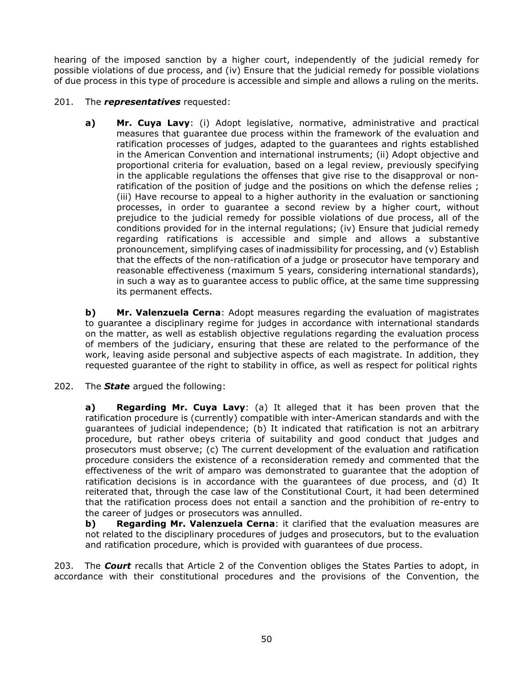hearing of the imposed sanction by a higher court, independently of the judicial remedy for possible violations of due process, and (iv) Ensure that the judicial remedy for possible violations of due process in this type of procedure is accessible and simple and allows a ruling on the merits.

# 201. The *representatives* requested:

**a) Mr. Cuya Lavy**: (i) Adopt legislative, normative, administrative and practical measures that guarantee due process within the framework of the evaluation and ratification processes of judges, adapted to the guarantees and rights established in the American Convention and international instruments; (ii) Adopt objective and proportional criteria for evaluation, based on a legal review, previously specifying in the applicable regulations the offenses that give rise to the disapproval or nonratification of the position of judge and the positions on which the defense relies; (iii) Have recourse to appeal to a higher authority in the evaluation or sanctioning processes, in order to guarantee a second review by a higher court, without prejudice to the judicial remedy for possible violations of due process, all of the conditions provided for in the internal regulations; (iv) Ensure that judicial remedy regarding ratifications is accessible and simple and allows a substantive pronouncement, simplifying cases of inadmissibility for processing, and (v) Establish that the effects of the non-ratification of a judge or prosecutor have temporary and reasonable effectiveness (maximum 5 years, considering international standards), in such a way as to guarantee access to public office, at the same time suppressing its permanent effects.

**b) Mr. Valenzuela Cerna**: Adopt measures regarding the evaluation of magistrates to guarantee a disciplinary regime for judges in accordance with international standards on the matter, as well as establish objective regulations regarding the evaluation process of members of the judiciary, ensuring that these are related to the performance of the work, leaving aside personal and subjective aspects of each magistrate. In addition, they requested guarantee of the right to stability in office, as well as respect for political rights

202. The *State* argued the following:

**a) Regarding Mr. Cuya Lavy**: (a) It alleged that it has been proven that the ratification procedure is (currently) compatible with inter-American standards and with the guarantees of judicial independence; (b) It indicated that ratification is not an arbitrary procedure, but rather obeys criteria of suitability and good conduct that judges and prosecutors must observe; (c) The current development of the evaluation and ratification procedure considers the existence of a reconsideration remedy and commented that the effectiveness of the writ of amparo was demonstrated to guarantee that the adoption of ratification decisions is in accordance with the guarantees of due process, and (d) It reiterated that, through the case law of the Constitutional Court, it had been determined that the ratification process does not entail a sanction and the prohibition of re-entry to the career of judges or prosecutors was annulled.

**b) Regarding Mr. Valenzuela Cerna:** it clarified that the evaluation measures are not related to the disciplinary procedures of judges and prosecutors, but to the evaluation and ratification procedure, which is provided with guarantees of due process.

203. The *Court* recalls that Article 2 of the Convention obliges the States Parties to adopt, in accordance with their constitutional procedures and the provisions of the Convention, the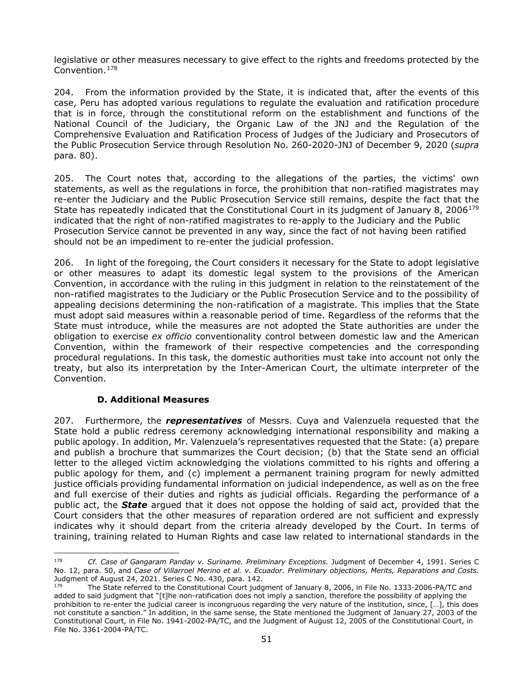legislative or other measures necessary to give effect to the rights and freedoms protected by the Convention.[178](#page-50-1)

204. From the information provided by the State, it is indicated that, after the events of this case, Peru has adopted various regulations to regulate the evaluation and ratification procedure that is in force, through the constitutional reform on the establishment and functions of the National Council of the Judiciary, the Organic Law of the JNJ and the Regulation of the Comprehensive Evaluation and Ratification Process of Judges of the Judiciary and Prosecutors of the Public Prosecution Service through Resolution No. 260-2020-JNJ of December 9, 2020 (*supra* para. 80).

205. The Court notes that, according to the allegations of the parties, the victims' own statements, as well as the regulations in force, the prohibition that non-ratified magistrates may re-enter the Judiciary and the Public Prosecution Service still remains, despite the fact that the State has repeatedly indicated that the Constitutional Court in its judgment of January 8, 2006<sup>[179](#page-50-2)</sup> indicated that the right of non-ratified magistrates to re-apply to the Judiciary and the Public Prosecution Service cannot be prevented in any way, since the fact of not having been ratified should not be an impediment to re-enter the judicial profession.

206. In light of the foregoing, the Court considers it necessary for the State to adopt legislative or other measures to adapt its domestic legal system to the provisions of the American Convention, in accordance with the ruling in this judgment in relation to the reinstatement of the non-ratified magistrates to the Judiciary or the Public Prosecution Service and to the possibility of appealing decisions determining the non-ratification of a magistrate. This implies that the State must adopt said measures within a reasonable period of time. Regardless of the reforms that the State must introduce, while the measures are not adopted the State authorities are under the obligation to exercise *ex officio* conventionality control between domestic law and the American Convention, within the framework of their respective competencies and the corresponding procedural regulations. In this task, the domestic authorities must take into account not only the treaty, but also its interpretation by the Inter-American Court, the ultimate interpreter of the Convention.

#### **D. Additional Measures**

<span id="page-50-0"></span>207. Furthermore, the *representatives* of Messrs. Cuya and Valenzuela requested that the State hold a public redress ceremony acknowledging international responsibility and making a public apology. In addition, Mr. Valenzuela's representatives requested that the State: (a) prepare and publish a brochure that summarizes the Court decision; (b) that the State send an official letter to the alleged victim acknowledging the violations committed to his rights and offering a public apology for them, and (c) implement a permanent training program for newly admitted justice officials providing fundamental information on judicial independence, as well as on the free and full exercise of their duties and rights as judicial officials. Regarding the performance of a public act, the *State* argued that it does not oppose the holding of said act, provided that the Court considers that the other measures of reparation ordered are not sufficient and expressly indicates why it should depart from the criteria already developed by the Court. In terms of training, training related to Human Rights and case law related to international standards in the

<span id="page-50-1"></span><sup>178</sup> *Cf. Case of Gangaram Panday v. Suriname. Preliminary Exceptions.* Judgment of December 4, 1991. Series C No. 12, para. 50, and *Case of Villarroel Merino et al. v. Ecuador. Preliminary objections, Merits, Reparations and Costs.*  Judgment of August 24, 2021. Series C No. 430, para. 142.

<span id="page-50-2"></span>The State referred to the Constitutional Court judgment of January 8, 2006, in File No. 1333-2006-PA/TC and added to said judgment that "[t]he non-ratification does not imply a sanction, therefore the possibility of applying the prohibition to re-enter the judicial career is incongruous regarding the very nature of the institution, since, […], this does not constitute a sanction." In addition, in the same sense, the State mentioned the Judgment of January 27, 2003 of the Constitutional Court, in File No. 1941-2002-PA/TC, and the Judgment of August 12, 2005 of the Constitutional Court, in File No. 3361-2004-PA/TC.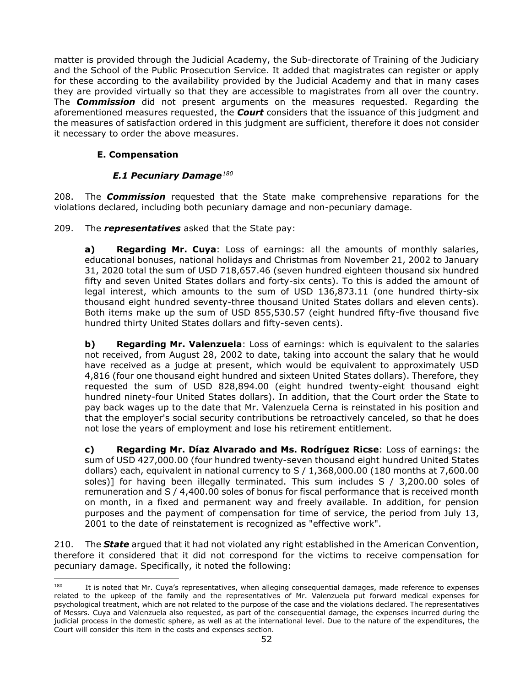matter is provided through the Judicial Academy, the Sub-directorate of Training of the Judiciary and the School of the Public Prosecution Service. It added that magistrates can register or apply for these according to the availability provided by the Judicial Academy and that in many cases they are provided virtually so that they are accessible to magistrates from all over the country. The *Commission* did not present arguments on the measures requested. Regarding the aforementioned measures requested, the *Court* considers that the issuance of this judgment and the measures of satisfaction ordered in this judgment are sufficient, therefore it does not consider it necessary to order the above measures.

# **E. Compensation**

# *E.1 Pecuniary Damage[180](#page-51-2)*

<span id="page-51-1"></span><span id="page-51-0"></span>208. The *Commission* requested that the State make comprehensive reparations for the violations declared, including both pecuniary damage and non-pecuniary damage.

209. The *representatives* asked that the State pay:

**a) Regarding Mr. Cuya**: Loss of earnings: all the amounts of monthly salaries, educational bonuses, national holidays and Christmas from November 21, 2002 to January 31, 2020 total the sum of USD 718,657.46 (seven hundred eighteen thousand six hundred fifty and seven United States dollars and forty-six cents). To this is added the amount of legal interest, which amounts to the sum of USD 136,873.11 (one hundred thirty-six thousand eight hundred seventy-three thousand United States dollars and eleven cents). Both items make up the sum of USD 855,530.57 (eight hundred fifty-five thousand five hundred thirty United States dollars and fifty-seven cents).

**b) Regarding Mr. Valenzuela**: Loss of earnings: which is equivalent to the salaries not received, from August 28, 2002 to date, taking into account the salary that he would have received as a judge at present, which would be equivalent to approximately USD 4,816 (four one thousand eight hundred and sixteen United States dollars). Therefore, they requested the sum of USD 828,894.00 (eight hundred twenty-eight thousand eight hundred ninety-four United States dollars). In addition, that the Court order the State to pay back wages up to the date that Mr. Valenzuela Cerna is reinstated in his position and that the employer's social security contributions be retroactively canceled, so that he does not lose the years of employment and lose his retirement entitlement.

**c) Regarding Mr. Díaz Alvarado and Ms. Rodríguez Ricse**: Loss of earnings: the sum of USD 427,000.00 (four hundred twenty-seven thousand eight hundred United States dollars) each, equivalent in national currency to S / 1,368,000.00 (180 months at 7,600.00 soles)] for having been illegally terminated. This sum includes S / 3,200.00 soles of remuneration and S / 4,400.00 soles of bonus for fiscal performance that is received month on month, in a fixed and permanent way and freely available. In addition, for pension purposes and the payment of compensation for time of service, the period from July 13, 2001 to the date of reinstatement is recognized as "effective work".

210. The *State* argued that it had not violated any right established in the American Convention, therefore it considered that it did not correspond for the victims to receive compensation for pecuniary damage. Specifically, it noted the following:

<span id="page-51-2"></span><sup>&</sup>lt;sup>180</sup> It is noted that Mr. Cuya's representatives, when alleging consequential damages, made reference to expenses related to the upkeep of the family and the representatives of Mr. Valenzuela put forward medical expenses for psychological treatment, which are not related to the purpose of the case and the violations declared. The representatives of Messrs. Cuya and Valenzuela also requested, as part of the consequential damage, the expenses incurred during the judicial process in the domestic sphere, as well as at the international level. Due to the nature of the expenditures, the Court will consider this item in the costs and expenses section.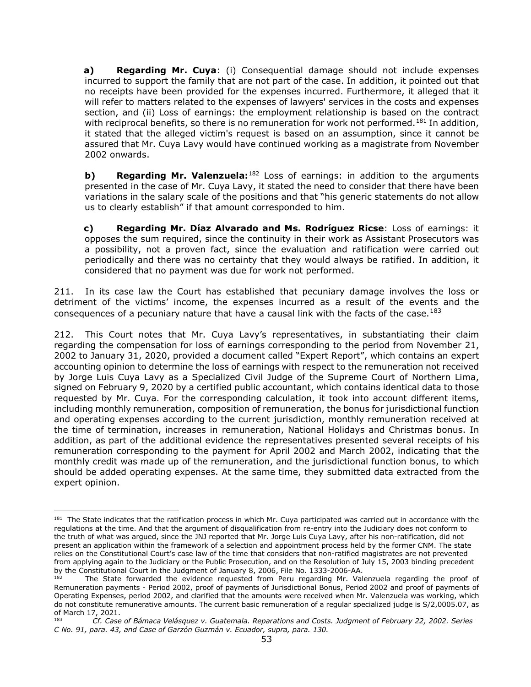**a) Regarding Mr. Cuya**: (i) Consequential damage should not include expenses incurred to support the family that are not part of the case. In addition, it pointed out that no receipts have been provided for the expenses incurred. Furthermore, it alleged that it will refer to matters related to the expenses of lawyers' services in the costs and expenses section, and (ii) Loss of earnings: the employment relationship is based on the contract with reciprocal benefits, so there is no remuneration for work not performed.<sup>[181](#page-52-0)</sup> In addition, it stated that the alleged victim's request is based on an assumption, since it cannot be assured that Mr. Cuya Lavy would have continued working as a magistrate from November 2002 onwards.

**b) Regarding Mr. Valenzuela:**<sup>[182](#page-52-1)</sup> Loss of earnings: in addition to the arguments presented in the case of Mr. Cuya Lavy, it stated the need to consider that there have been variations in the salary scale of the positions and that "his generic statements do not allow us to clearly establish" if that amount corresponded to him.

**c) Regarding Mr. Díaz Alvarado and Ms. Rodríguez Ricse**: Loss of earnings: it opposes the sum required, since the continuity in their work as Assistant Prosecutors was a possibility, not a proven fact, since the evaluation and ratification were carried out periodically and there was no certainty that they would always be ratified. In addition, it considered that no payment was due for work not performed.

211. In its case law the Court has established that pecuniary damage involves the loss or detriment of the victims' income, the expenses incurred as a result of the events and the consequences of a pecuniary nature that have a causal link with the facts of the case.<sup>[183](#page-52-2)</sup>

212. This Court notes that Mr. Cuya Lavy's representatives, in substantiating their claim regarding the compensation for loss of earnings corresponding to the period from November 21, 2002 to January 31, 2020, provided a document called "Expert Report", which contains an expert accounting opinion to determine the loss of earnings with respect to the remuneration not received by Jorge Luis Cuya Lavy as a Specialized Civil Judge of the Supreme Court of Northern Lima, signed on February 9, 2020 by a certified public accountant, which contains identical data to those requested by Mr. Cuya. For the corresponding calculation, it took into account different items, including monthly remuneration, composition of remuneration, the bonus for jurisdictional function and operating expenses according to the current jurisdiction, monthly remuneration received at the time of termination, increases in remuneration, National Holidays and Christmas bonus. In addition, as part of the additional evidence the representatives presented several receipts of his remuneration corresponding to the payment for April 2002 and March 2002, indicating that the monthly credit was made up of the remuneration, and the jurisdictional function bonus, to which should be added operating expenses. At the same time, they submitted data extracted from the expert opinion.

<span id="page-52-0"></span><sup>&</sup>lt;sup>181</sup> The State indicates that the ratification process in which Mr. Cuya participated was carried out in accordance with the regulations at the time. And that the argument of disqualification from re-entry into the Judiciary does not conform to the truth of what was argued, since the JNJ reported that Mr. Jorge Luis Cuya Lavy, after his non-ratification, did not present an application within the framework of a selection and appointment process held by the former CNM. The state relies on the Constitutional Court's case law of the time that considers that non-ratified magistrates are not prevented from applying again to the Judiciary or the Public Prosecution, and on the Resolution of July 15, 2003 binding precedent by the Constitutional Court in the Judgment of January 8, 2006, File No. 1333-2006-AA.

<span id="page-52-1"></span>The State forwarded the evidence requested from Peru regarding Mr. Valenzuela regarding the proof of Remuneration payments - Period 2002, proof of payments of Jurisdictional Bonus, Period 2002 and proof of payments of Operating Expenses, period 2002, and clarified that the amounts were received when Mr. Valenzuela was working, which do not constitute remunerative amounts. The current basic remuneration of a regular specialized judge is S/2,0005.07, as of March 17, 2021.

<span id="page-52-2"></span><sup>183</sup> *Cf. Case of Bámaca Velásquez v. Guatemala. Reparations and Costs. Judgment of February 22, 2002. Series C No. 91, para. 43, and Case of Garzón Guzmán v. Ecuador, supra, para. 130.*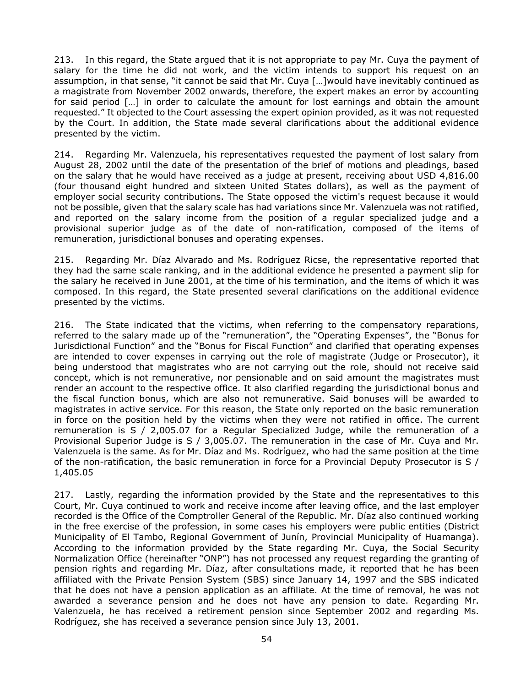213. In this regard, the State argued that it is not appropriate to pay Mr. Cuya the payment of salary for the time he did not work, and the victim intends to support his request on an assumption, in that sense, "it cannot be said that Mr. Cuya […]would have inevitably continued as a magistrate from November 2002 onwards, therefore, the expert makes an error by accounting for said period […] in order to calculate the amount for lost earnings and obtain the amount requested." It objected to the Court assessing the expert opinion provided, as it was not requested by the Court. In addition, the State made several clarifications about the additional evidence presented by the victim.

214. Regarding Mr. Valenzuela, his representatives requested the payment of lost salary from August 28, 2002 until the date of the presentation of the brief of motions and pleadings, based on the salary that he would have received as a judge at present, receiving about USD 4,816.00 (four thousand eight hundred and sixteen United States dollars), as well as the payment of employer social security contributions. The State opposed the victim's request because it would not be possible, given that the salary scale has had variations since Mr. Valenzuela was not ratified, and reported on the salary income from the position of a regular specialized judge and a provisional superior judge as of the date of non-ratification, composed of the items of remuneration, jurisdictional bonuses and operating expenses.

215. Regarding Mr. Díaz Alvarado and Ms. Rodríguez Ricse, the representative reported that they had the same scale ranking, and in the additional evidence he presented a payment slip for the salary he received in June 2001, at the time of his termination, and the items of which it was composed. In this regard, the State presented several clarifications on the additional evidence presented by the victims.

216. The State indicated that the victims, when referring to the compensatory reparations, referred to the salary made up of the "remuneration", the "Operating Expenses", the "Bonus for Jurisdictional Function" and the "Bonus for Fiscal Function" and clarified that operating expenses are intended to cover expenses in carrying out the role of magistrate (Judge or Prosecutor), it being understood that magistrates who are not carrying out the role, should not receive said concept, which is not remunerative, nor pensionable and on said amount the magistrates must render an account to the respective office. It also clarified regarding the jurisdictional bonus and the fiscal function bonus, which are also not remunerative. Said bonuses will be awarded to magistrates in active service. For this reason, the State only reported on the basic remuneration in force on the position held by the victims when they were not ratified in office. The current remuneration is S / 2,005.07 for a Regular Specialized Judge, while the remuneration of a Provisional Superior Judge is S / 3,005.07. The remuneration in the case of Mr. Cuya and Mr. Valenzuela is the same. As for Mr. Díaz and Ms. Rodríguez, who had the same position at the time of the non-ratification, the basic remuneration in force for a Provincial Deputy Prosecutor is S / 1,405.05

217. Lastly, regarding the information provided by the State and the representatives to this Court, Mr. Cuya continued to work and receive income after leaving office, and the last employer recorded is the Office of the Comptroller General of the Republic. Mr. Díaz also continued working in the free exercise of the profession, in some cases his employers were public entities (District Municipality of El Tambo, Regional Government of Junín, Provincial Municipality of Huamanga). According to the information provided by the State regarding Mr. Cuya, the Social Security Normalization Office (hereinafter "ONP") has not processed any request regarding the granting of pension rights and regarding Mr. Díaz, after consultations made, it reported that he has been affiliated with the Private Pension System (SBS) since January 14, 1997 and the SBS indicated that he does not have a pension application as an affiliate. At the time of removal, he was not awarded a severance pension and he does not have any pension to date. Regarding Mr. Valenzuela, he has received a retirement pension since September 2002 and regarding Ms. Rodríguez, she has received a severance pension since July 13, 2001.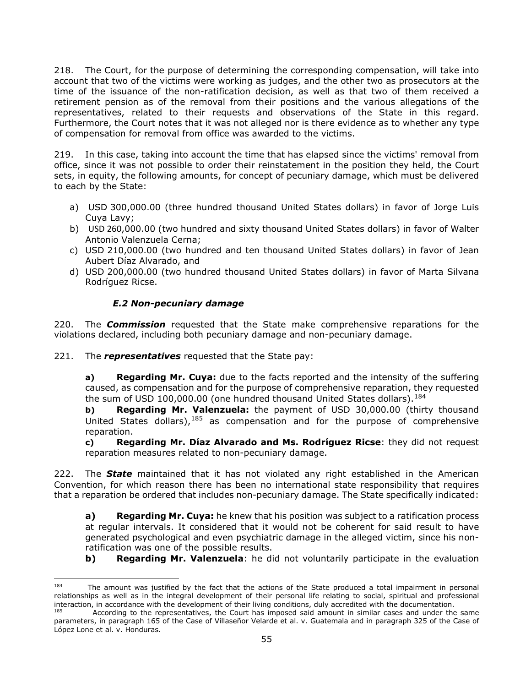218. The Court, for the purpose of determining the corresponding compensation, will take into account that two of the victims were working as judges, and the other two as prosecutors at the time of the issuance of the non-ratification decision, as well as that two of them received a retirement pension as of the removal from their positions and the various allegations of the representatives, related to their requests and observations of the State in this regard. Furthermore, the Court notes that it was not alleged nor is there evidence as to whether any type of compensation for removal from office was awarded to the victims.

219. In this case, taking into account the time that has elapsed since the victims' removal from office, since it was not possible to order their reinstatement in the position they held, the Court sets, in equity, the following amounts, for concept of pecuniary damage, which must be delivered to each by the State:

- a) USD 300,000.00 (three hundred thousand United States dollars) in favor of Jorge Luis Cuya Lavy;
- b) USD 260,000.00 (two hundred and sixty thousand United States dollars) in favor of Walter Antonio Valenzuela Cerna;
- c) USD 210,000.00 (two hundred and ten thousand United States dollars) in favor of Jean Aubert Díaz Alvarado, and
- d) USD 200,000.00 (two hundred thousand United States dollars) in favor of Marta Silvana Rodríguez Ricse.

# *E.2 Non-pecuniary damage*

<span id="page-54-0"></span>220. The *Commission* requested that the State make comprehensive reparations for the violations declared, including both pecuniary damage and non-pecuniary damage.

221. The *representatives* requested that the State pay:

**a) Regarding Mr. Cuya:** due to the facts reported and the intensity of the suffering caused, as compensation and for the purpose of comprehensive reparation, they requested the sum of USD 100,000.00 (one hundred thousand United States dollars).<sup>[184](#page-54-1)</sup>

**b) Regarding Mr. Valenzuela:** the payment of USD 30,000.00 (thirty thousand United States dollars),  $185$  as compensation and for the purpose of comprehensive reparation.

**c) Regarding Mr. Díaz Alvarado and Ms. Rodríguez Ricse**: they did not request reparation measures related to non-pecuniary damage.

222. The *State* maintained that it has not violated any right established in the American Convention, for which reason there has been no international state responsibility that requires that a reparation be ordered that includes non-pecuniary damage. The State specifically indicated:

**a) Regarding Mr. Cuya:** he knew that his position was subject to a ratification process at regular intervals. It considered that it would not be coherent for said result to have generated psychological and even psychiatric damage in the alleged victim, since his nonratification was one of the possible results.

**b) Regarding Mr. Valenzuela**: he did not voluntarily participate in the evaluation

<span id="page-54-1"></span>The amount was justified by the fact that the actions of the State produced a total impairment in personal relationships as well as in the integral development of their personal life relating to social, spiritual and professional interaction, in accordance with the development of their living conditions, duly accredited with the documentation.

<span id="page-54-2"></span>According to the representatives, the Court has imposed said amount in similar cases and under the same parameters, in paragraph 165 of the Case of Villaseñor Velarde et al. v. Guatemala and in paragraph 325 of the Case of López Lone et al. v. Honduras.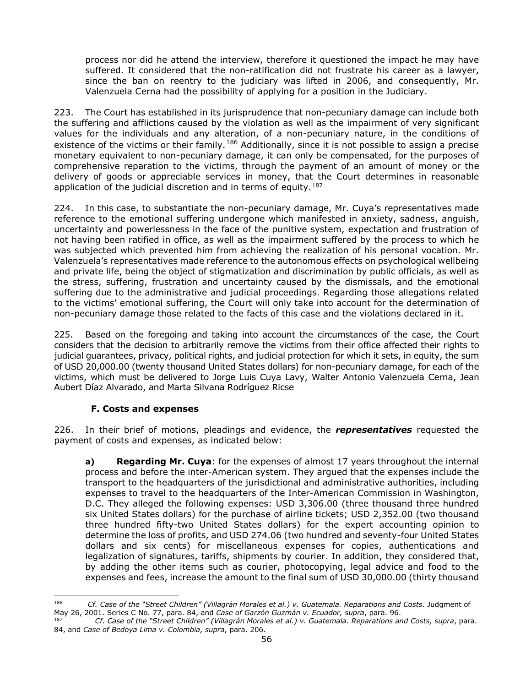process nor did he attend the interview, therefore it questioned the impact he may have suffered. It considered that the non-ratification did not frustrate his career as a lawyer, since the ban on reentry to the judiciary was lifted in 2006, and consequently, Mr. Valenzuela Cerna had the possibility of applying for a position in the Judiciary.

223. The Court has established in its jurisprudence that non-pecuniary damage can include both the suffering and afflictions caused by the violation as well as the impairment of very significant values for the individuals and any alteration, of a non-pecuniary nature, in the conditions of existence of the victims or their family.<sup>[186](#page-55-1)</sup> Additionally, since it is not possible to assign a precise monetary equivalent to non-pecuniary damage, it can only be compensated, for the purposes of comprehensive reparation to the victims, through the payment of an amount of money or the delivery of goods or appreciable services in money, that the Court determines in reasonable application of the judicial discretion and in terms of equity.<sup>[187](#page-55-2)</sup>

224. In this case, to substantiate the non-pecuniary damage, Mr. Cuya's representatives made reference to the emotional suffering undergone which manifested in anxiety, sadness, anguish, uncertainty and powerlessness in the face of the punitive system, expectation and frustration of not having been ratified in office, as well as the impairment suffered by the process to which he was subjected which prevented him from achieving the realization of his personal vocation. Mr. Valenzuela's representatives made reference to the autonomous effects on psychological wellbeing and private life, being the object of stigmatization and discrimination by public officials, as well as the stress, suffering, frustration and uncertainty caused by the dismissals, and the emotional suffering due to the administrative and judicial proceedings. Regarding those allegations related to the victims' emotional suffering, the Court will only take into account for the determination of non-pecuniary damage those related to the facts of this case and the violations declared in it.

225. Based on the foregoing and taking into account the circumstances of the case, the Court considers that the decision to arbitrarily remove the victims from their office affected their rights to judicial guarantees, privacy, political rights, and judicial protection for which it sets, in equity, the sum of USD 20,000.00 (twenty thousand United States dollars) for non-pecuniary damage, for each of the victims, which must be delivered to Jorge Luis Cuya Lavy, Walter Antonio Valenzuela Cerna, Jean Aubert Díaz Alvarado, and Marta Silvana Rodríguez Ricse

# **F. Costs and expenses**

<span id="page-55-0"></span>226. In their brief of motions, pleadings and evidence, the *representatives* requested the payment of costs and expenses, as indicated below:

**a) Regarding Mr. Cuya**: for the expenses of almost 17 years throughout the internal process and before the inter-American system. They argued that the expenses include the transport to the headquarters of the jurisdictional and administrative authorities, including expenses to travel to the headquarters of the Inter-American Commission in Washington, D.C. They alleged the following expenses: USD 3,306.00 (three thousand three hundred six United States dollars) for the purchase of airline tickets; USD 2,352.00 (two thousand three hundred fifty-two United States dollars) for the expert accounting opinion to determine the loss of profits, and USD 274.06 (two hundred and seventy-four United States dollars and six cents) for miscellaneous expenses for copies, authentications and legalization of signatures, tariffs, shipments by courier. In addition, they considered that, by adding the other items such as courier, photocopying, legal advice and food to the expenses and fees, increase the amount to the final sum of USD 30,000.00 (thirty thousand

<span id="page-55-1"></span><sup>186</sup> *Cf. Case of the "Street Children" (Villagrán Morales et al.) v. Guatemala. Reparations and Costs*. Judgment of May 26, 2001. Series C No. 77, para. 84, and *Case of Garzón Guzmán v. Ecuador, supra*, para. 96.

<span id="page-55-2"></span><sup>187</sup> *Cf. Case of the "Street Children" (Villagrán Morales et al.) v. Guatemala. Reparations and Costs, supra*, para. 84, and *Case of Bedoya Lima v. Colombia, supra*, para. 206.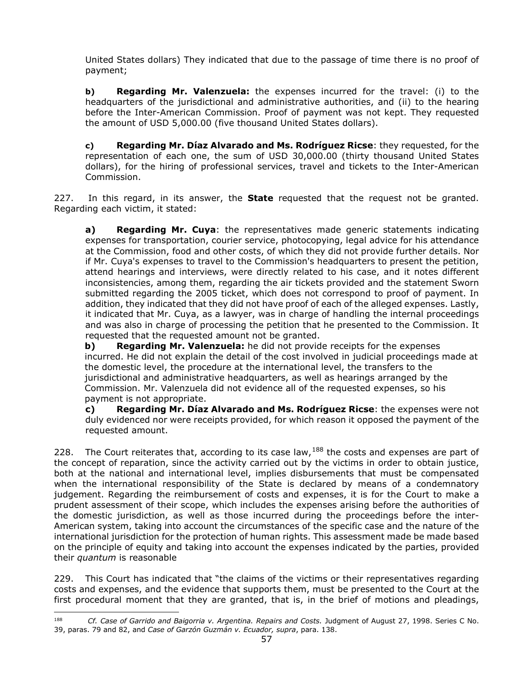United States dollars) They indicated that due to the passage of time there is no proof of payment;

**b) Regarding Mr. Valenzuela:** the expenses incurred for the travel: (i) to the headquarters of the jurisdictional and administrative authorities, and (ii) to the hearing before the Inter-American Commission. Proof of payment was not kept. They requested the amount of USD 5,000.00 (five thousand United States dollars).

**c) Regarding Mr. Díaz Alvarado and Ms. Rodríguez Ricse**: they requested, for the representation of each one, the sum of USD 30,000.00 (thirty thousand United States dollars), for the hiring of professional services, travel and tickets to the Inter-American Commission.

227. In this regard, in its answer, the **State** requested that the request not be granted. Regarding each victim, it stated:

**a) Regarding Mr. Cuya**: the representatives made generic statements indicating expenses for transportation, courier service, photocopying, legal advice for his attendance at the Commission, food and other costs, of which they did not provide further details. Nor if Mr. Cuya's expenses to travel to the Commission's headquarters to present the petition, attend hearings and interviews, were directly related to his case, and it notes different inconsistencies, among them, regarding the air tickets provided and the statement Sworn submitted regarding the 2005 ticket, which does not correspond to proof of payment. In addition, they indicated that they did not have proof of each of the alleged expenses. Lastly, it indicated that Mr. Cuya, as a lawyer, was in charge of handling the internal proceedings and was also in charge of processing the petition that he presented to the Commission. It requested that the requested amount not be granted.

**b) Regarding Mr. Valenzuela:** he did not provide receipts for the expenses incurred. He did not explain the detail of the cost involved in judicial proceedings made at the domestic level, the procedure at the international level, the transfers to the jurisdictional and administrative headquarters, as well as hearings arranged by the Commission. Mr. Valenzuela did not evidence all of the requested expenses, so his payment is not appropriate.

**c) Regarding Mr. Díaz Alvarado and Ms. Rodríguez Ricse**: the expenses were not duly evidenced nor were receipts provided, for which reason it opposed the payment of the requested amount.

228. The Court reiterates that, according to its case law,  $188$  the costs and expenses are part of the concept of reparation, since the activity carried out by the victims in order to obtain justice, both at the national and international level, implies disbursements that must be compensated when the international responsibility of the State is declared by means of a condemnatory judgement. Regarding the reimbursement of costs and expenses, it is for the Court to make a prudent assessment of their scope, which includes the expenses arising before the authorities of the domestic jurisdiction, as well as those incurred during the proceedings before the inter-American system, taking into account the circumstances of the specific case and the nature of the international jurisdiction for the protection of human rights. This assessment made be made based on the principle of equity and taking into account the expenses indicated by the parties, provided their *quantum* is reasonable

229. This Court has indicated that "the claims of the victims or their representatives regarding costs and expenses, and the evidence that supports them, must be presented to the Court at the first procedural moment that they are granted, that is, in the brief of motions and pleadings,

<span id="page-56-0"></span><sup>&</sup>lt;sup>188</sup> *Cf. Case of Garrido and Baigorria v. Argentina. Repairs and Costs. Judgment of August 27, 1998. Series C No.* 39, paras. 79 and 82, and *Case of Garzón Guzmán v. Ecuador, supra*, para. 138.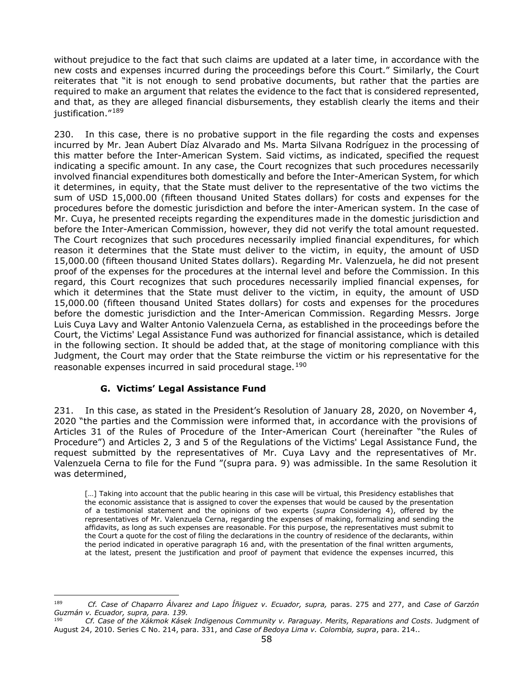without prejudice to the fact that such claims are updated at a later time, in accordance with the new costs and expenses incurred during the proceedings before this Court." Similarly, the Court reiterates that "it is not enough to send probative documents, but rather that the parties are required to make an argument that relates the evidence to the fact that is considered represented, and that, as they are alleged financial disbursements, they establish clearly the items and their justification."<sup>[189](#page-57-1)</sup>

230. In this case, there is no probative support in the file regarding the costs and expenses incurred by Mr. Jean Aubert Díaz Alvarado and Ms. Marta Silvana Rodríguez in the processing of this matter before the Inter-American System. Said victims, as indicated, specified the request indicating a specific amount. In any case, the Court recognizes that such procedures necessarily involved financial expenditures both domestically and before the Inter-American System, for which it determines, in equity, that the State must deliver to the representative of the two victims the sum of USD 15,000.00 (fifteen thousand United States dollars) for costs and expenses for the procedures before the domestic jurisdiction and before the inter-American system. In the case of Mr. Cuya, he presented receipts regarding the expenditures made in the domestic jurisdiction and before the Inter-American Commission, however, they did not verify the total amount requested. The Court recognizes that such procedures necessarily implied financial expenditures, for which reason it determines that the State must deliver to the victim, in equity, the amount of USD 15,000.00 (fifteen thousand United States dollars). Regarding Mr. Valenzuela, he did not present proof of the expenses for the procedures at the internal level and before the Commission. In this regard, this Court recognizes that such procedures necessarily implied financial expenses, for which it determines that the State must deliver to the victim, in equity, the amount of USD 15,000.00 (fifteen thousand United States dollars) for costs and expenses for the procedures before the domestic jurisdiction and the Inter-American Commission. Regarding Messrs. Jorge Luis Cuya Lavy and Walter Antonio Valenzuela Cerna, as established in the proceedings before the Court, the Victims' Legal Assistance Fund was authorized for financial assistance, which is detailed in the following section. It should be added that, at the stage of monitoring compliance with this Judgment, the Court may order that the State reimburse the victim or his representative for the reasonable expenses incurred in said procedural stage.<sup>[190](#page-57-2)</sup>

# **G. Victims' Legal Assistance Fund**

<span id="page-57-0"></span>231. In this case, as stated in the President's Resolution of January 28, 2020, on November 4, 2020 "the parties and the Commission were informed that, in accordance with the provisions of Articles 31 of the Rules of Procedure of the Inter-American Court (hereinafter "the Rules of Procedure") and Articles 2, 3 and 5 of the Regulations of the Victims' Legal Assistance Fund, the request submitted by the representatives of Mr. Cuya Lavy and the representatives of Mr. Valenzuela Cerna to file for the Fund "(supra para. 9) was admissible. In the same Resolution it was determined,

[...] Taking into account that the public hearing in this case will be virtual, this Presidency establishes that the economic assistance that is assigned to cover the expenses that would be caused by the presentation of a testimonial statement and the opinions of two experts (*supra* Considering 4), offered by the representatives of Mr. Valenzuela Cerna, regarding the expenses of making, formalizing and sending the affidavits, as long as such expenses are reasonable. For this purpose, the representatives must submit to the Court a quote for the cost of filing the declarations in the country of residence of the declarants, within the period indicated in operative paragraph 16 and, with the presentation of the final written arguments, at the latest, present the justification and proof of payment that evidence the expenses incurred, this

<span id="page-57-1"></span><sup>&</sup>lt;sup>189</sup> *Cf. Case of Chaparro Álvarez and Lapo Íñiquez v. Ecuador, supra, paras. 275 and 277, and <i>Case of Garzón Guzmán v. Ecuador, supra, para. 139.*

<span id="page-57-2"></span><sup>190</sup> *Cf. Case of the Xákmok Kásek Indigenous Community v. Paraguay. Merits, Reparations and Costs*. Judgment of August 24, 2010. Series C No. 214, para. 331, and *Case of Bedoya Lima v. Colombia, supra*, para. 214..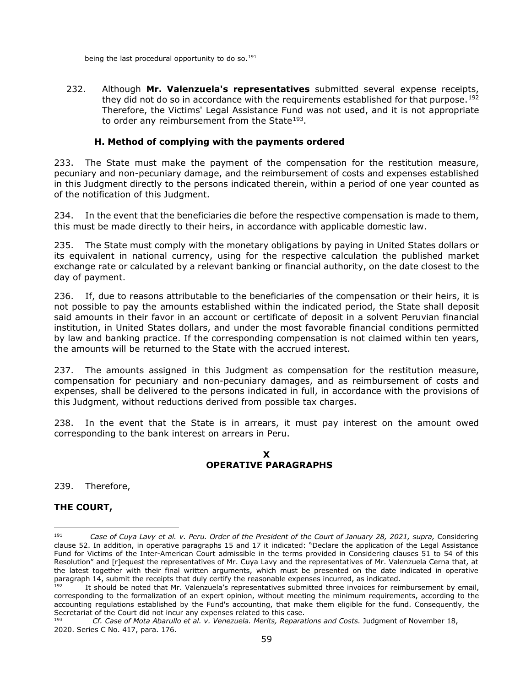being the last procedural opportunity to do so.<sup>[191](#page-58-2)</sup>

232. Although **Mr. Valenzuela's representatives** submitted several expense receipts, they did not do so in accordance with the requirements established for that purpose.<sup>[192](#page-58-3)</sup> Therefore, the Victims' Legal Assistance Fund was not used, and it is not appropriate to order any reimbursement from the State<sup>193</sup>.

#### **H. Method of complying with the payments ordered**

<span id="page-58-0"></span>233. The State must make the payment of the compensation for the restitution measure, pecuniary and non-pecuniary damage, and the reimbursement of costs and expenses established in this Judgment directly to the persons indicated therein, within a period of one year counted as of the notification of this Judgment.

234. In the event that the beneficiaries die before the respective compensation is made to them, this must be made directly to their heirs, in accordance with applicable domestic law.

235. The State must comply with the monetary obligations by paying in United States dollars or its equivalent in national currency, using for the respective calculation the published market exchange rate or calculated by a relevant banking or financial authority, on the date closest to the day of payment.

236. If, due to reasons attributable to the beneficiaries of the compensation or their heirs, it is not possible to pay the amounts established within the indicated period, the State shall deposit said amounts in their favor in an account or certificate of deposit in a solvent Peruvian financial institution, in United States dollars, and under the most favorable financial conditions permitted by law and banking practice. If the corresponding compensation is not claimed within ten years, the amounts will be returned to the State with the accrued interest.

237. The amounts assigned in this Judgment as compensation for the restitution measure, compensation for pecuniary and non-pecuniary damages, and as reimbursement of costs and expenses, shall be delivered to the persons indicated in full, in accordance with the provisions of this Judgment, without reductions derived from possible tax charges.

<span id="page-58-1"></span>238. In the event that the State is in arrears, it must pay interest on the amount owed corresponding to the bank interest on arrears in Peru.

#### **X OPERATIVE PARAGRAPHS**

239. Therefore,

#### **THE COURT,**

<span id="page-58-2"></span><sup>191</sup> *Case of Cuya Lavy et al. v. Peru. Order of the President of the Court of January 28, 2021, supra,* Considering clause 52. In addition, in operative paragraphs 15 and 17 it indicated: "Declare the application of the Legal Assistance Fund for Victims of the Inter-American Court admissible in the terms provided in Considering clauses 51 to 54 of this Resolution" and [r]equest the representatives of Mr. Cuya Lavy and the representatives of Mr. Valenzuela Cerna that, at the latest together with their final written arguments, which must be presented on the date indicated in operative paragraph 14, submit the receipts that duly certify the reasonable expenses incurred, as indicated.

<span id="page-58-3"></span>It should be noted that Mr. Valenzuela's representatives submitted three invoices for reimbursement by email, corresponding to the formalization of an expert opinion, without meeting the minimum requirements, according to the accounting regulations established by the Fund's accounting, that make them eligible for the fund. Consequently, the Secretariat of the Court did not incur any expenses related to this case.<br>1936 – Cf. Case of Mata Abarulle et al. y. Venezuela, Marite, Bonarat

<span id="page-58-4"></span><sup>193</sup> *Cf. Case of Mota Abarullo et al. v. Venezuela. Merits, Reparations and Costs.* Judgment of November 18, 2020. Series C No. 417, para. 176.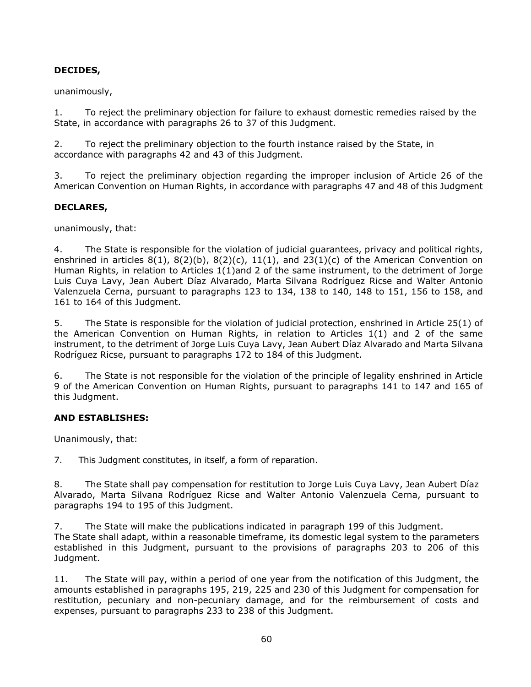# **DECIDES,**

# unanimously,

1. To reject the preliminary objection for failure to exhaust domestic remedies raised by the State, in accordance with paragraphs 26 to 37 of this Judgment.

2. To reject the preliminary objection to the fourth instance raised by the State, in accordance with paragraphs 42 and 43 of this Judgment.

3. To reject the preliminary objection regarding the improper inclusion of Article 26 of the American Convention on Human Rights, in accordance with paragraphs 47 and 48 of this Judgment

# **DECLARES,**

unanimously, that:

4. The State is responsible for the violation of judicial guarantees, privacy and political rights, enshrined in articles  $8(1)$ ,  $8(2)(b)$ ,  $8(2)(c)$ ,  $11(1)$ , and  $23(1)(c)$  of the American Convention on Human Rights, in relation to Articles 1(1)and 2 of the same instrument, to the detriment of Jorge Luis Cuya Lavy, Jean Aubert Díaz Alvarado, Marta Silvana Rodríguez Ricse and Walter Antonio Valenzuela Cerna, pursuant to paragraphs 123 to 134, 138 to 140, 148 to 151, 156 to 158, and 161 to 164 of this Judgment.

5. The State is responsible for the violation of judicial protection, enshrined in Article 25(1) of the American Convention on Human Rights, in relation to Articles 1(1) and 2 of the same instrument, to the detriment of Jorge Luis Cuya Lavy, Jean Aubert Díaz Alvarado and Marta Silvana Rodríguez Ricse, pursuant to paragraphs 172 to 184 of this Judgment.

6. The State is not responsible for the violation of the principle of legality enshrined in Article 9 of the American Convention on Human Rights, pursuant to paragraphs 141 to 147 and 165 of this Judgment.

#### **AND ESTABLISHES:**

Unanimously, that:

7. This Judgment constitutes, in itself, a form of reparation.

8. The State shall pay compensation for restitution to Jorge Luis Cuya Lavy, Jean Aubert Díaz Alvarado, Marta Silvana Rodríguez Ricse and Walter Antonio Valenzuela Cerna, pursuant to paragraphs 194 to 195 of this Judgment.

7. The State will make the publications indicated in paragraph 199 of this Judgment. The State shall adapt, within a reasonable timeframe, its domestic legal system to the parameters established in this Judgment, pursuant to the provisions of paragraphs 203 to 206 of this Judgment.

11. The State will pay, within a period of one year from the notification of this Judgment, the amounts established in paragraphs 195, 219, 225 and 230 of this Judgment for compensation for restitution, pecuniary and non-pecuniary damage, and for the reimbursement of costs and expenses, pursuant to paragraphs 233 to 238 of this Judgment.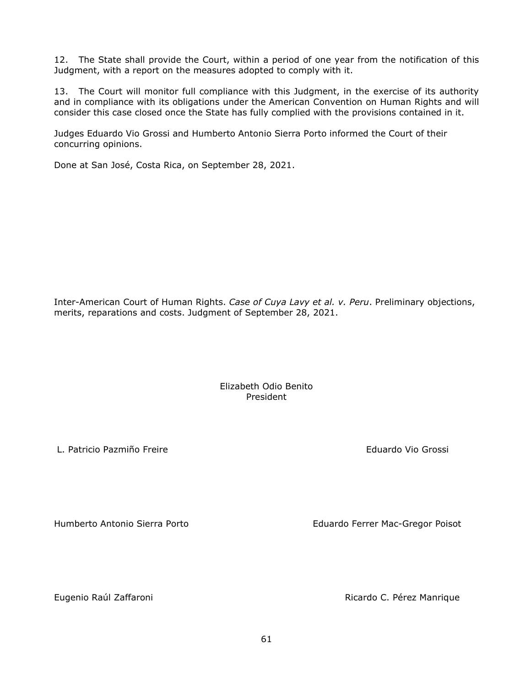12. The State shall provide the Court, within a period of one year from the notification of this Judgment, with a report on the measures adopted to comply with it.

13. The Court will monitor full compliance with this Judgment, in the exercise of its authority and in compliance with its obligations under the American Convention on Human Rights and will consider this case closed once the State has fully complied with the provisions contained in it.

Judges Eduardo Vio Grossi and Humberto Antonio Sierra Porto informed the Court of their concurring opinions.

Done at San José, Costa Rica, on September 28, 2021.

Inter-American Court of Human Rights. *Case of Cuya Lavy et al. v. Peru*. Preliminary objections, merits, reparations and costs. Judgment of September 28, 2021.

> Elizabeth Odio Benito President

L. Patricio Pazmiño Freire **Eduardo Vio Grossi** Eduardo Vio Grossi

Humberto Antonio Sierra Porto **Eduardo Ferrer Mac-Gregor Poisot** 

Eugenio Raúl Zaffaroni Ricardo C. Pérez Manrique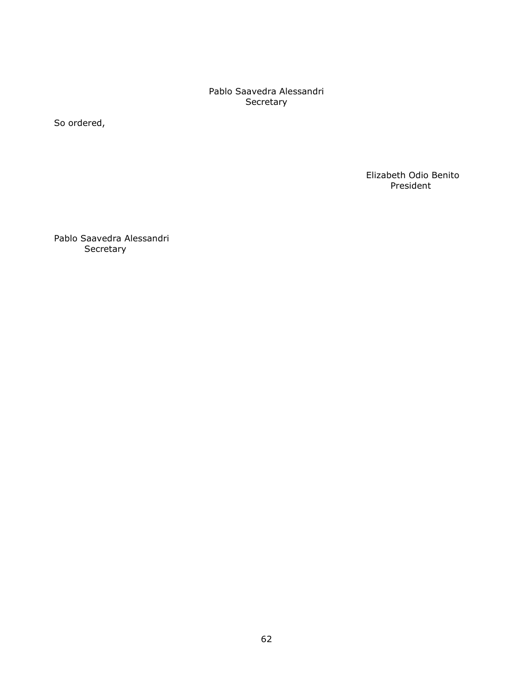Pablo Saavedra Alessandri Secretary

So ordered,

 Elizabeth Odio Benito President

Pablo Saavedra Alessandri Secretary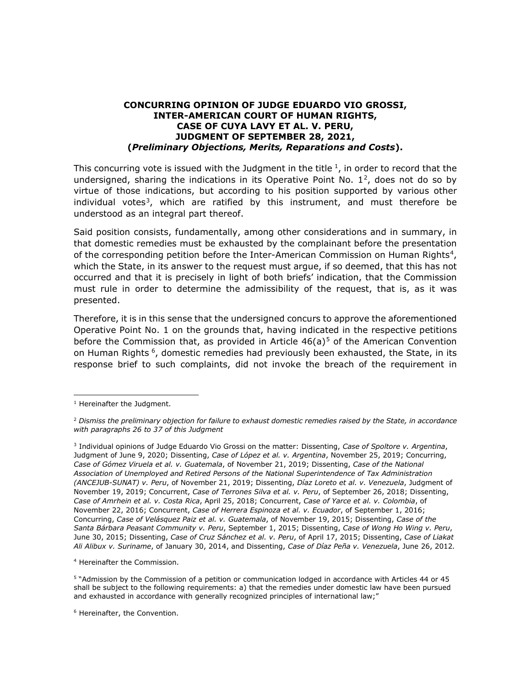#### **CONCURRING OPINION OF JUDGE EDUARDO VIO GROSSI, INTER-AMERICAN COURT OF HUMAN RIGHTS, CASE OF CUYA LAVY ET AL. V. PERU, JUDGMENT OF SEPTEMBER 28, 2021, (***Preliminary Objections, Merits, Reparations and Costs***).**

This concurring vote is issued with the Judgment in the title  $1$ , in order to record that the undersigned, sharing the indications in its Operative Point No.  $1^2$ , does not do so by virtue of those indications, but according to his position supported by various other individual votes<sup>3</sup>, which are ratified by this instrument, and must therefore be understood as an integral part thereof.

Said position consists, fundamentally, among other considerations and in summary, in that domestic remedies must be exhausted by the complainant before the presentation of the corresponding petition before the Inter-American Commission on Human Rights<sup>[4](#page-62-3)</sup>, which the State, in its answer to the request must argue, if so deemed, that this has not occurred and that it is precisely in light of both briefs' indication, that the Commission must rule in order to determine the admissibility of the request, that is, as it was presented.

Therefore, it is in this sense that the undersigned concurs to approve the aforementioned Operative Point No. 1 on the grounds that, having indicated in the respective petitions before the Commission that, as provided in Article  $46(a)^5$  $46(a)^5$  of the American Convention on Human Rights<sup>6</sup>, domestic remedies had previously been exhausted, the State, in its response brief to such complaints, did not invoke the breach of the requirement in

<span id="page-62-3"></span><sup>4</sup> Hereinafter the Commission.

<span id="page-62-4"></span><sup>5</sup> "Admission by the Commission of a petition or communication lodged in accordance with Articles 44 or 45 shall be subject to the following requirements: a) that the remedies under domestic law have been pursued and exhausted in accordance with generally recognized principles of international law;"

<span id="page-62-5"></span><sup>6</sup> Hereinafter, the Convention.

<span id="page-62-0"></span><sup>&</sup>lt;sup>1</sup> Hereinafter the Judgment.

<span id="page-62-1"></span><sup>2</sup> *Dismiss the preliminary objection for failure to exhaust domestic remedies raised by the State, in accordance with paragraphs 26 to 37 of this Judgment*

<span id="page-62-2"></span><sup>3</sup> Individual opinions of Judge Eduardo Vio Grossi on the matter: Dissenting, *Case of Spoltore v. Argentina*, Judgment of June 9, 2020; Dissenting, *Case of López et al. v. Argentina*, November 25, 2019; Concurring, *Case of Gómez Viruela et al. v. Guatemala*, of November 21, 2019; Dissenting, *Case of the National Association of Unemployed and Retired Persons of the National Superintendence of Tax Administration (ANCEJUB-SUNAT) v. Peru*, of November 21, 2019; Dissenting, *Díaz Loreto et al. v. Venezuela*, Judgment of November 19, 2019; Concurrent, *Case of Terrones Silva et al. v. Peru*, of September 26, 2018; Dissenting, *Case of Amrhein et al. v. Costa Rica*, April 25, 2018; Concurrent, *Case of Yarce et al. v. Colombia*, of November 22, 2016; Concurrent, *Case of Herrera Espinoza et al. v. Ecuador*, of September 1, 2016; Concurring, *Case of Velásquez Paiz et al. v. Guatemala*, of November 19, 2015; Dissenting, *Case of the Santa Bárbara Peasant Community v. Peru*, September 1, 2015; Dissenting, *Case of Wong Ho Wing v. Peru*, June 30, 2015; Dissenting, *Case of Cruz Sánchez et al. v. Peru*, of April 17, 2015; Dissenting, *Case of Liakat Ali Alibux v. Suriname*, of January 30, 2014, and Dissenting, *Case of Díaz Peña v. Venezuela*, June 26, 2012*.*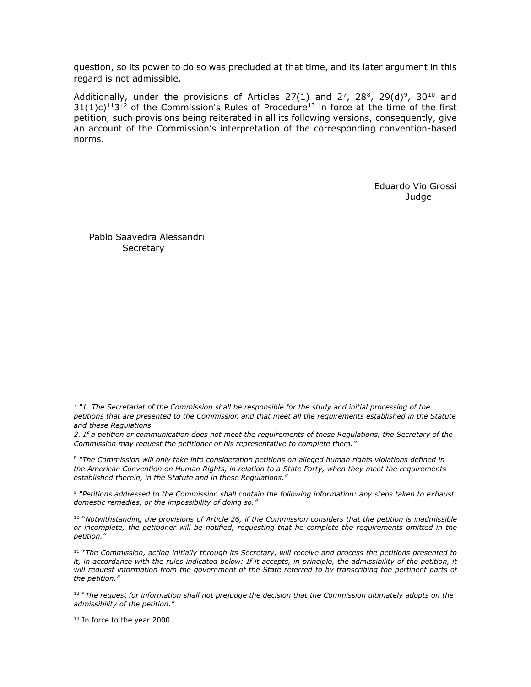question, so its power to do so was precluded at that time, and its later argument in this regard is not admissible.

Additionally, under the provisions of Articles 27(1) and  $2^7$ , 2[8](#page-63-1) $^8$ , 2[9](#page-63-2)(d) $^9$ , 30<sup>[10](#page-63-3)</sup> and  $31(1)c)^{11}3^{12}$  $31(1)c)^{11}3^{12}$  $31(1)c)^{11}3^{12}$  of the Commission's Rules of Procedure<sup>[13](#page-63-6)</sup> in force at the time of the first petition, such provisions being reiterated in all its following versions, consequently, give an account of the Commission's interpretation of the corresponding convention-based norms.

> Eduardo Vio Grossi Judge

Pablo Saavedra Alessandri **Secretary** 

<span id="page-63-0"></span><sup>7</sup> *"1. The Secretariat of the Commission shall be responsible for the study and initial processing of the petitions that are presented to the Commission and that meet all the requirements established in the Statute and these Regulations.*

*<sup>2.</sup> If a petition or communication does not meet the requirements of these Regulations, the Secretary of the Commission may request the petitioner or his representative to complete them."*

<span id="page-63-1"></span><sup>8</sup> *"The Commission will only take into consideration petitions on alleged human rights violations defined in the American Convention on Human Rights, in relation to a State Party, when they meet the requirements established therein, in the Statute and in these Regulations."*

<span id="page-63-2"></span><sup>9</sup> *"Petitions addressed to the Commission shall contain the following information: any steps taken to exhaust domestic remedies, or the impossibility of doing so."*

<span id="page-63-3"></span><sup>10</sup> "*Notwithstanding the provisions of Article 26, if the Commission considers that the petition is inadmissible or incomplete, the petitioner will be notified, requesting that he complete the requirements omitted in the petition."*

<span id="page-63-4"></span><sup>11</sup> *"The Commission, acting initially through its Secretary, will receive and process the petitions presented to it, in accordance with the rules indicated below: If it accepts, in principle, the admissibility of the petition, it will request information from the government of the State referred to by transcribing the pertinent parts of the petition."*

<span id="page-63-5"></span><sup>12</sup> "*The request for information shall not prejudge the decision that the Commission ultimately adopts on the admissibility of the petition."*

<span id="page-63-6"></span><sup>&</sup>lt;sup>13</sup> In force to the year 2000.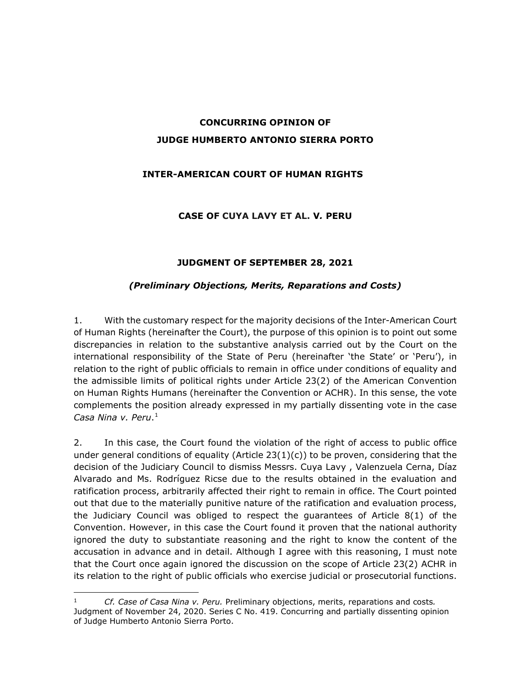# **CONCURRING OPINION OF JUDGE HUMBERTO ANTONIO SIERRA PORTO**

# **INTER-AMERICAN COURT OF HUMAN RIGHTS**

#### **CASE OF CUYA LAVY ET AL. V***.* **PERU**

# **JUDGMENT OF SEPTEMBER 28, 2021**

#### *(Preliminary Objections, Merits, Reparations and Costs)*

1. With the customary respect for the majority decisions of the Inter-American Court of Human Rights (hereinafter the Court), the purpose of this opinion is to point out some discrepancies in relation to the substantive analysis carried out by the Court on the international responsibility of the State of Peru (hereinafter 'the State' or 'Peru'), in relation to the right of public officials to remain in office under conditions of equality and the admissible limits of political rights under Article 23(2) of the American Convention on Human Rights Humans (hereinafter the Convention or ACHR). In this sense, the vote complements the position already expressed in my partially dissenting vote in the case *Casa Nina v. Peru*.[1](#page-64-0)

2. In this case, the Court found the violation of the right of access to public office under general conditions of equality (Article  $23(1)(c)$ ) to be proven, considering that the decision of the Judiciary Council to dismiss Messrs. Cuya Lavy , Valenzuela Cerna, Díaz Alvarado and Ms. Rodríguez Ricse due to the results obtained in the evaluation and ratification process, arbitrarily affected their right to remain in office. The Court pointed out that due to the materially punitive nature of the ratification and evaluation process, the Judiciary Council was obliged to respect the guarantees of Article 8(1) of the Convention. However, in this case the Court found it proven that the national authority ignored the duty to substantiate reasoning and the right to know the content of the accusation in advance and in detail. Although I agree with this reasoning, I must note that the Court once again ignored the discussion on the scope of Article 23(2) ACHR in its relation to the right of public officials who exercise judicial or prosecutorial functions.

<span id="page-64-0"></span><sup>1</sup> *Cf. Case of Casa Nina v. Peru.* Preliminary objections, merits, reparations and costs*.*  Judgment of November 24, 2020. Series C No. 419. Concurring and partially dissenting opinion of Judge Humberto Antonio Sierra Porto.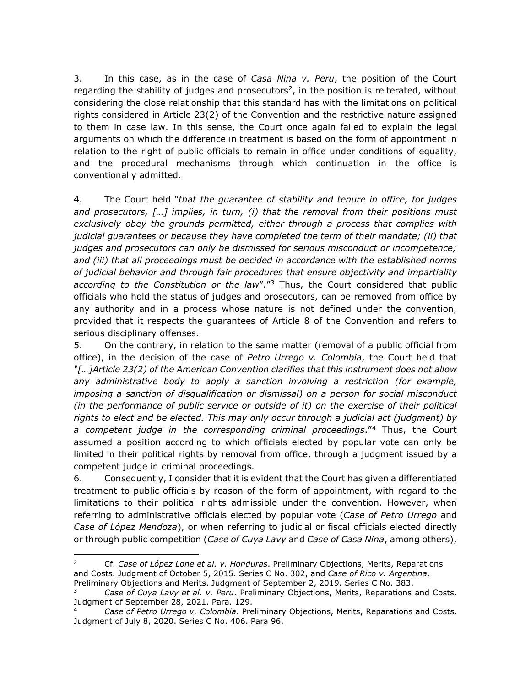3. In this case, as in the case of *Casa Nina v. Peru*, the position of the Court regarding the stability of judges and prosecutors<sup>[2](#page-65-0)</sup>, in the position is reiterated, without considering the close relationship that this standard has with the limitations on political rights considered in Article 23(2) of the Convention and the restrictive nature assigned to them in case law. In this sense, the Court once again failed to explain the legal arguments on which the difference in treatment is based on the form of appointment in relation to the right of public officials to remain in office under conditions of equality, and the procedural mechanisms through which continuation in the office is conventionally admitted.

4. The Court held "*that the guarantee of stability and tenure in office, for judges and prosecutors, […] implies, in turn, (i) that the removal from their positions must exclusively obey the grounds permitted, either through a process that complies with judicial guarantees or because they have completed the term of their mandate; (ii) that judges and prosecutors can only be dismissed for serious misconduct or incompetence; and (iii) that all proceedings must be decided in accordance with the established norms of judicial behavior and through fair procedures that ensure objectivity and impartiality according to the Constitution or the law*"."[3](#page-65-1) Thus, the Court considered that public officials who hold the status of judges and prosecutors, can be removed from office by any authority and in a process whose nature is not defined under the convention, provided that it respects the guarantees of Article 8 of the Convention and refers to serious disciplinary offenses.

5. On the contrary, in relation to the same matter (removal of a public official from office), in the decision of the case of *Petro Urrego v. Colombia*, the Court held that *"[…]Article 23(2) of the American Convention clarifies that this instrument does not allow any administrative body to apply a sanction involving a restriction (for example, imposing a sanction of disqualification or dismissal) on a person for social misconduct (in the performance of public service or outside of it) on the exercise of their political rights to elect and be elected. This may only occur through a judicial act (judgment) by a competent judge in the corresponding criminal proceedings*."[4](#page-65-2) Thus, the Court assumed a position according to which officials elected by popular vote can only be limited in their political rights by removal from office, through a judgment issued by a competent judge in criminal proceedings.

6. Consequently, I consider that it is evident that the Court has given a differentiated treatment to public officials by reason of the form of appointment, with regard to the limitations to their political rights admissible under the convention. However, when referring to administrative officials elected by popular vote (*Case of Petro Urrego* and *Case of López Mendoza*), or when referring to judicial or fiscal officials elected directly or through public competition (*Case of Cuya Lavy* and *Case of Casa Nina*, among others),

<span id="page-65-0"></span><sup>2</sup> Cf. *Case of López Lone et al. v. Honduras*. Preliminary Objections, Merits, Reparations and Costs. Judgment of October 5, 2015. Series C No. 302, and *Case of Rico v. Argentina*. Preliminary Objections and Merits. Judgment of September 2, 2019. Series C No. 383.

<sup>3</sup> *Case of Cuya Lavy et al. v. Peru*. Preliminary Objections, Merits, Reparations and Costs.

<span id="page-65-2"></span><span id="page-65-1"></span>Judgment of September 28, 2021. Para. 129.<br><sup>4</sup> *Case of Petro Urrego v. Colombia*. Preliminary Objections, Merits, Reparations and Costs. Judgment of July 8, 2020. Series C No. 406. Para 96.